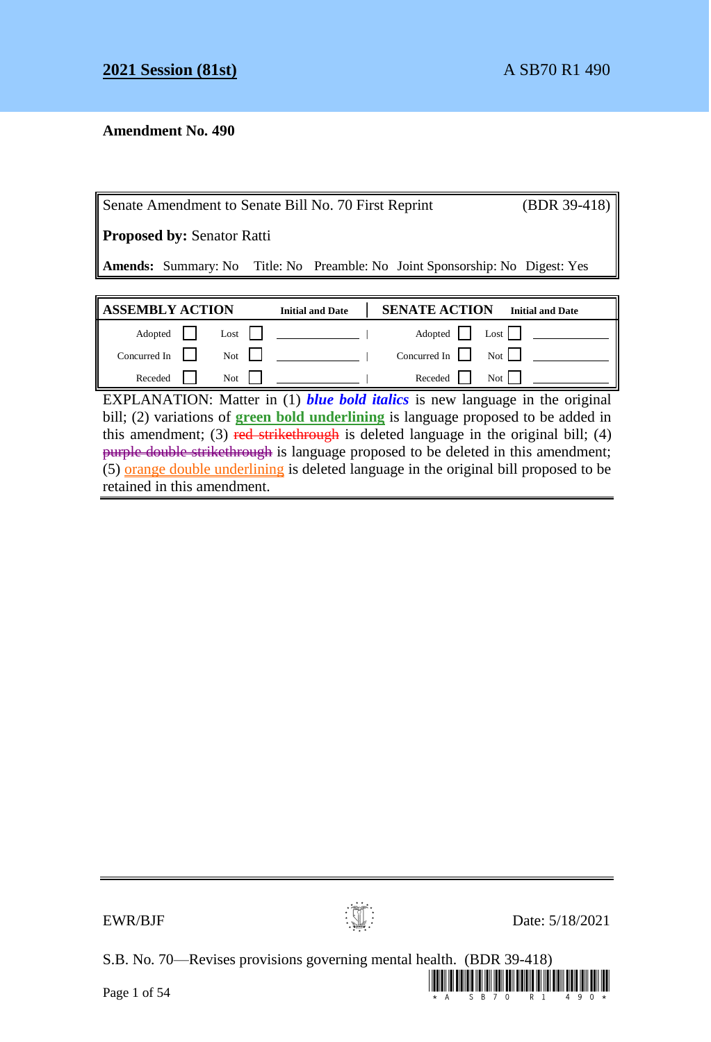# **Amendment No. 490**

| Senate Amendment to Senate Bill No. 70 First Reprint |                                   |  |                         |  | $(BDR 39-418)$       |                 |                                                                                     |
|------------------------------------------------------|-----------------------------------|--|-------------------------|--|----------------------|-----------------|-------------------------------------------------------------------------------------|
|                                                      | <b>Proposed by: Senator Ratti</b> |  |                         |  |                      |                 |                                                                                     |
|                                                      |                                   |  |                         |  |                      |                 | <b>Amends:</b> Summary: No Title: No Preamble: No Joint Sponsorship: No Digest: Yes |
|                                                      |                                   |  |                         |  |                      |                 |                                                                                     |
|                                                      | <b>ASSEMBLY ACTION</b>            |  | <b>Initial and Date</b> |  | <b>SENATE ACTION</b> |                 | <b>Initial and Date</b>                                                             |
| Adopted                                              | Lost                              |  |                         |  | Adopted              | Is <sub>0</sub> |                                                                                     |

Concurred In Not Not | Not | Concurred In Not | Not | Not | Not | Not | Not | Not | Not | Not | Not | Not | Not | Not | Not | Not | Not | Not | Not | Not | Not | Not | Not | Not | Not | Not | Not | Not | Not | Not | Not |

Receded Not | Receded Not EXPLANATION: Matter in (1) *blue bold italics* is new language in the original bill; (2) variations of **green bold underlining** is language proposed to be added in this amendment; (3) red strikethrough is deleted language in the original bill; (4) purple double strikethrough is language proposed to be deleted in this amendment;  $(5)$  orange double underlining is deleted language in the original bill proposed to be retained in this amendment.



 $EWR/BJF$  Date: 5/18/2021

S.B. No. 70—Revises provisions governing mental health. (BDR 39-418)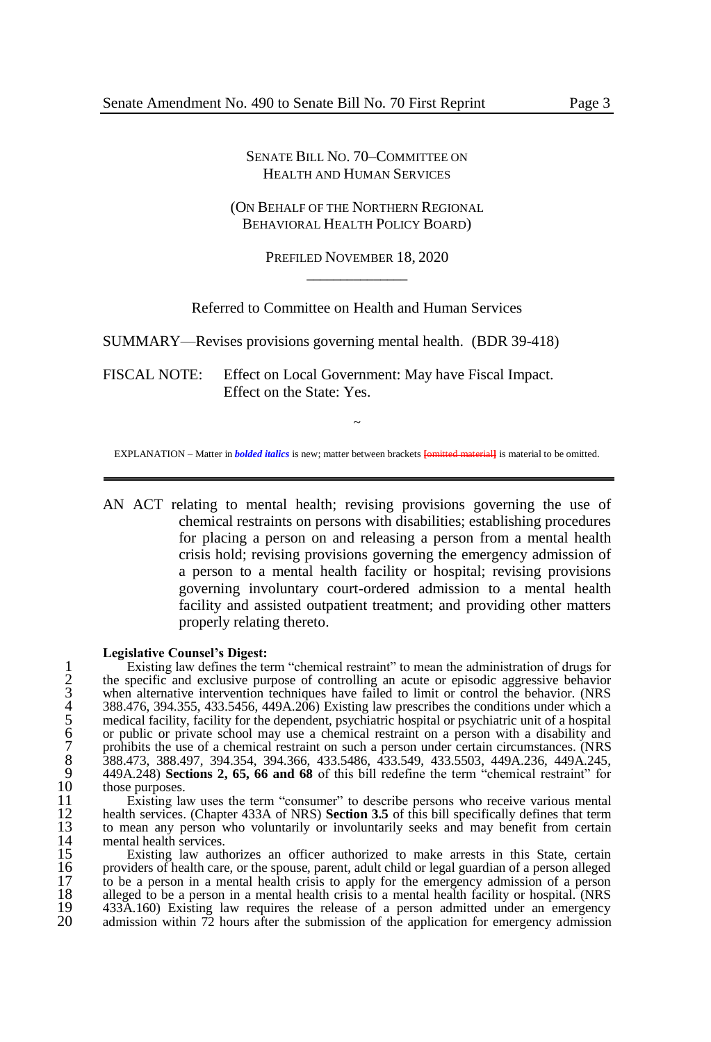#### SENATE BILL NO. 70–COMMITTEE ON HEALTH AND HUMAN SERVICES

#### (ON BEHALF OF THE NORTHERN REGIONAL BEHAVIORAL HEALTH POLICY BOARD)

PREFILED NOVEMBER 18, 2020  $\overline{\phantom{a}}$  , where  $\overline{\phantom{a}}$ 

Referred to Committee on Health and Human Services

SUMMARY—Revises provisions governing mental health. (BDR 39-418)

FISCAL NOTE: Effect on Local Government: May have Fiscal Impact. Effect on the State: Yes.

~ EXPLANATION – Matter in *bolded italics* is new; matter between brackets **[**omitted material**]** is material to be omitted.

AN ACT relating to mental health; revising provisions governing the use of chemical restraints on persons with disabilities; establishing procedures for placing a person on and releasing a person from a mental health crisis hold; revising provisions governing the emergency admission of a person to a mental health facility or hospital; revising provisions governing involuntary court-ordered admission to a mental health facility and assisted outpatient treatment; and providing other matters properly relating thereto.

#### **Legislative Counsel's Digest:**

Existing law defines the term "chemical restraint" to mean the administration of drugs for<br>the specific and exclusive purpose of controlling an acute or episodic aggressive behavior<br>when alternative intervention techniques 2 the specific and exclusive purpose of controlling an acute or episodic aggressive behavior when alternative intervention techniques have failed to limit or control the behavior. (NRS 4 388.476, 394.355, 433.5456, 449A.206) Existing law prescribes the conditions under which a 5 medical facility, facility for the dependent, psychiatric hospital or psychiatric unit of a hospital or public or private school may use a chemical restraint on a person with a disability and prohibits the use of a chemical restraint on such a person under certain circumstances. (NRS 8 388.473, 388.497, 394.354, 394.366, 433.5486, 433.549, 433.5503, 449A.236, 449A.245, 9 449A.248) **Sections 2, 65, 66 and 68** of this bill redefine the term "chemical restraint" for 10 those purposes.<br>11 Existing la

11 Existing law uses the term "consumer" to describe persons who receive various mental 12 health services. (Chapter 433A of NRS) **Section 3.5** of this bill specifically defines that term 12 health services. (Chapter 433A of NRS) Section 3.5 of this bill specifically defines that term<br>13 to mean any person who voluntarily or involuntarily seeks and may benefit from certain<br>14 mental health services.<br>15 Exis mental health services.

15 Existing law authorizes an officer authorized to make arrests in this State, certain 16 providers of health care, or the spouse, parent, adult child or legal guardian of a person alleged to be a person in a mental health crisis to apply for the emergency admission of a person 17 to be a person in a mental health crisis to apply for the emergency admission of a person alleged to be a person in a mental health crisis to a mental health facility or hospital. (NRS 18 alleged to be a person in a mental health crisis to a mental health facility or hospital. (NRS<br>19 433A.160) Existing law requires the release of a person admitted under an emergency 19 433A.160) Existing law requires the release of a person admitted under an emergency<br>20 admission within 72 hours after the submission of the application for emergency admission admission within  $72$  hours after the submission of the application for emergency admission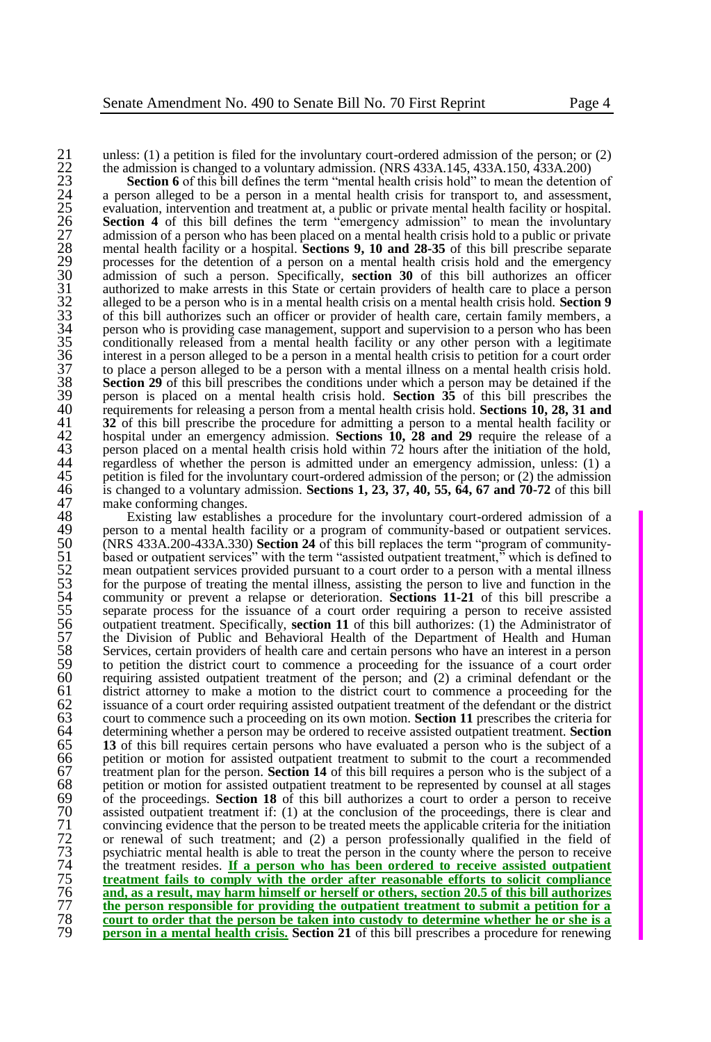22 the admission is changed to a voluntary admission. (NRS 433A.145, 433A.150, 433A.200)

21 unless: (1) a petition is filed for the involuntary court-ordered admission of the person; or (2)<br>
22 the admission is changed to a voluntary admission. (NRS 433A.145, 433A.150, 433A.200)<br>
23 **Section 6** of this bill d **Section 6** of this bill defines the term "mental health crisis hold" to mean the detention of 24 a person alleged to be a person in a mental health crisis for transport to, and assessment, 25 evaluation, intervention and treatment at, a public or private mental health facility or hospital. 26 **Section 4** of this bill defines the term "emergency admission" to mean the involuntary 27 admission of a person who has been placed on a mental health crisis hold to a public or private 28 mental health facility or a hospital. **Sections 9, 10 and 28-35** of this bill prescribe separate processes for the detention of a person on a mental health crisis hold and the emergency 30 admission of such a person. Specifically, **section 30** of this bill authorizes an officer 31 authorized to make arrests in this State or certain providers of health care to place a person 32 alleged to be a person who is in a mental health crisis on a mental health crisis hold. **Section 9** of this bill authorizes such an officer or provider of health care, certain family members, a person who is providing c 33 of this bill authorizes such an officer or provider of health care, certain family members, a 34 person who is providing case management, support and supervision to a person who has been<br>35 conditionally released from a mental health facility or any other person with a legitimate 35 conditionally released from a mental health facility or any other person with a legitimate<br>36 interest in a person alleged to be a person in a mental health crisis to petition for a court order<br>37 to place a person alle interest in a person alleged to be a person in a mental health crisis to petition for a court order  $37$  to place a person alleged to be a person with a mental illness on a mental health crisis hold.<br> $38$  Section 29 of this bill prescribes the conditions under which a person may be detained if the **Section 29** of this bill prescribes the conditions under which a person may be detained if the person is placed on a mental health crisis hold. **Section 35** of this bill prescribes the <sup>39</sup> person is placed on a mental health crisis hold. **Section 35** of this bill prescribes the requirements for releasing a person from a mental health crisis hold. **Sections 10, 28, 31 and** 40 requirements for releasing a person from a mental health crisis hold. **Sections 10, 28, 31 and <br>41 32** of this bill prescribe the procedure for admitting a person to a mental health facility or **32** of this bill prescribe the procedure for admitting a person to a mental health facility or hospital under an emergency admission. **Sections 10, 28 and 29** require the release of a person placed on a mental health cris 42 hospital under an emergency admission. **Sections 10, 28 and 29** require the release of a person placed on a mental health crisis hold within 72 hours after the initiation of the hold, 44 regardless of whether the person is admitted under an emergency admission, unless: (1) a regardless of whether the person is admitted under an emergency admission, unless: (1) a petition is filed for the involuntary co 45 petition is filed for the involuntary court-ordered admission of the person; or (2) the admission 46 is changed to a voluntary admission. **Sections 1, 23, 37, 40, 55, 64, 67 and 70-72** of this bill 47 make conforming changes.<br>48 Existing law establish

48 Existing law establishes a procedure for the involuntary court-ordered admission of a program of community-based or outpatient services. 49 person to a mental health facility or a program of community-based or outpatient services.<br>50 (NRS 433A.200-433A.330) **Section 24** of this bill replaces the term "program of community-50 (NRS 433A.200-433A.330) **Section 24** of this bill replaces the term "program of community-51 based or outpatient services" with the term "assisted outpatient treatment," which is defined to mean outpatient services provided pursuant to a court order to a person with a mental illness for the purpose of treating mean outpatient services provided pursuant to a court order to a person with a mental illness 53 for the purpose of treating the mental illness, assisting the person to live and function in the community or prevent a relapse or deterioration. **Sections 11-21** of this bill prescribe a 54 community or prevent a relapse or deterioration. **Sections 11-21** of this bill prescribe a separate process for the issuance of a court order requiring a person to receive assisted outpatient treatment. Specifically, **s** 55 separate process for the issuance of a court order requiring a person to receive assisted 56 outpatient treatment. Specifically, **section 11** of this bill authorizes: (1) the Administrator of 57 the Division of Public and Behavioral Health of the Department of Health and Human S8 Services, certain providers of health care and certain persons who have an interest in a person 58 Services, certain providers of health care and certain persons who have an interest in a person<br>59 to petition the district court to commence a proceeding for the issuance of a court order 59 to petition the district court to commence a proceeding for the issuance of a court order<br>60 requiring assisted outpatient treatment of the person: and (2) a criminal defendant or the 60 requiring assisted outpatient treatment of the person; and  $(2)$  a criminal defendant or the district attorney to make a motion to the district court to commence a proceeding for the 61 district attorney to make a motion to the district court to commence a proceeding for the issuance of a court order requiring assisted outpatient treatment of the defendant or the district 62 issuance of a court order requiring assisted outpatient treatment of the defendant or the district court to commence such a proceeding on its own motion. **Section 11** prescribes the criteria for 63 court to commence such a proceeding on its own motion. **Section 11** prescribes the criteria for 64 determining whether a person may be ordered to receive assisted outpatient treatment. **Section**  65 **13** of this bill requires certain persons who have evaluated a person who is the subject of a 66 petition or motion for assisted outpatient treatment to submit to the court a recommended<br>67 treatment plan for the person. **Section 14** of this bill requires a person who is the subject of a<br>68 petition or motion for 67 treatment plan for the person. **Section 14** of this bill requires a person who is the subject of a 68 petition or motion for assisted outpatient treatment to be represented by counsel at all stages of the proceedings. **Section 18** of this bill authorizes a court to order a person to receive 69 of the proceedings. **Section 18** of this bill authorizes a court to order a person to receive assisted outpatient treatment if: (1) at the conclusion of the proceedings, there is clear and convincing evidence that the p assisted outpatient treatment if: (1) at the conclusion of the proceedings, there is clear and 71 convincing evidence that the person to be treated meets the applicable criteria for the initiation or renewal of such treatment; and (2) a person professionally qualified in the field of 72 or renewal of such treatment; and (2) a person professionally qualified in the field of psychiatric mental health is able to treat the person in the county where the person to receive the treatment resides. **If a perso** 73 psychiatric mental health is able to treat the person in the county where the person to receive 74 the treatment resides. **If a person who has been ordered to receive assisted outpatient**  75 **treatment fails to comply with the order after reasonable efforts to solicit compliance**<br>76 **and, as a result, may harm himself or herself or others, section 20.5 of this bill authorizes**<br>77 **he person responsible for** and, as a result, may harm himself or herself or others, section 20.5 of this bill authorizes 77 **the person responsible for providing the outpatient treatment to submit a petition for a**  78 **court to order that the person be taken into custody to determine whether he or she is a person in a mental health crisis. Section 21** of this bill prescribes a procedure for renewing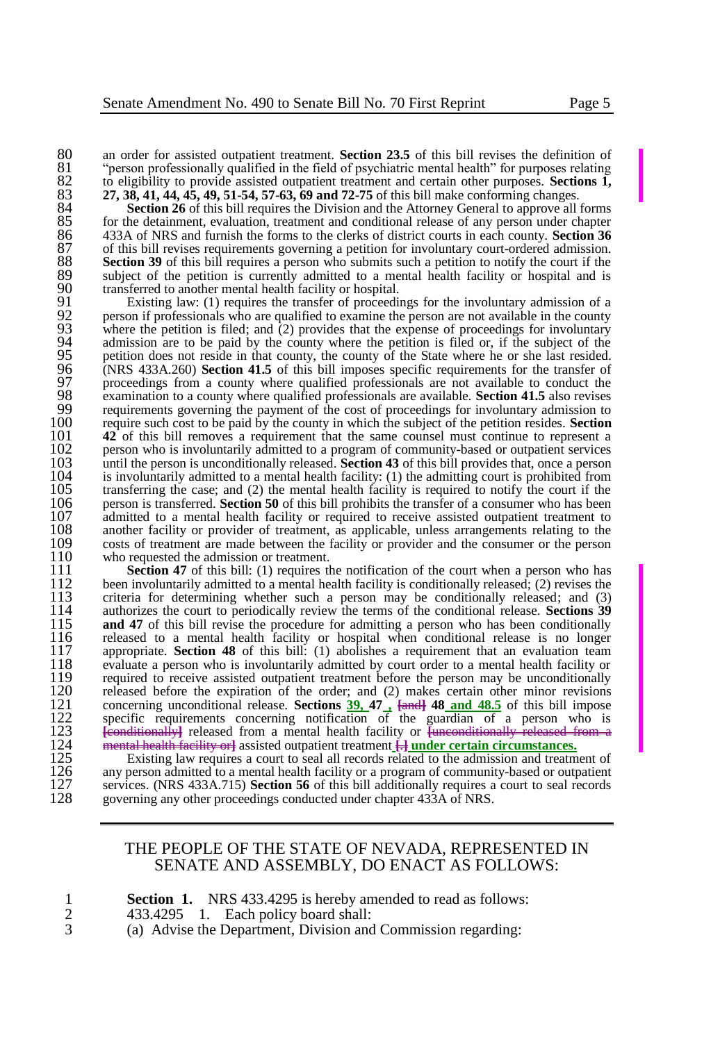80 an order for assisted outpatient treatment. **Section 23.5** of this bill revises the definition of 81 "berson professionally qualified in the field of psychiatric mental health" for purposes relating 81 "person professionally qualified in the field of psychiatric mental health" for purposes relating<br>82 to eligibility to provide assisted outpatient treatment and certain other purposes. Sections 1. 82 to eligibility to provide assisted outpatient treatment and certain other purposes. **Sections 1,** <br>83 **27.38.41.44.45.49.51-54.57-63.69 and 72-75** of this bill make conforming changes. 83 **27, 38, 41, 44, 45, 49, 51-54, 57-63, 69 and 72-75** of this bill make conforming changes.

84 **Section 26** of this bill requires the Division and the Attorney General to approve all forms 85 for the detainment, evaluation, treatment and conditional release of any person under chapter 85 for the detainment, evaluation, treatment and conditional release of any person under chapter 433A of NRS and furnish the forms to the clerks of district courts in each county. **Section 36** 86 433A of NRS and furnish the forms to the clerks of district courts in each county. **Section 36** 87 of this bill revises requirements governing a petition for involuntary court-ordered admission.<br>88 **Section 39** of this bill requires a person who submits such a petition to notify the court if the 88 **Section 39** of this bill requires a person who submits such a petition to notify the court if the subject of the petition is currently admitted to a mental health facility or hospital and is 89 subject of the petition is currently admitted to a mental health facility or hospital and is transferred to another mental health facility or hospital. 90 transferred to another mental health facility or hospital.<br>91 Existing law: (1) requires the transfer of proceedi

91 Existing law: (1) requires the transfer of proceedings for the involuntary admission of a<br>92 person if professionals who are qualified to examine the person are not available in the county 92 person if professionals who are qualified to examine the person are not available in the county<br>93 where the petition is filed: and (2) provides that the expense of proceedings for involuntary 93 where the petition is filed; and (2) provides that the expense of proceedings for involuntary admission are to be paid by the county where the petition is filed or, if the subject of the 94 admission are to be paid by the county where the petition is filed or, if the subject of the petition does not reside in that county, the county of the State where he or she last resided. 95 petition does not reside in that county, the county of the State where he or she last resided.<br>96 (NRS 433A.260) **Section 41.5** of this bill imposes specific requirements for the transfer of 96 (NRS 433A.260) **Section 41.5** of this bill imposes specific requirements for the transfer of proceedings from a county where qualified professionals are not available to conduct the 97 proceedings from a county where qualified professionals are not available to conduct the examination to a county where qualified professionals are available. **Section 41.5** also revises 98 examination to a county where qualified professionals are available. **Section 41.5** also revises 99 requirements governing the payment of the cost of proceedings for involuntary admission to  $100$  require such cost to be paid by the county in which the subject of the petition resides. **Section** 100 require such cost to be paid by the county in which the subject of the petition resides. **Section**  101 **42** of this bill removes a requirement that the same counsel must continue to represent a 102 person who is involuntarily admitted to a program of community-based or outpatient services 102 person who is involuntarily admitted to a program of community-based or outpatient services 103 until the person is unconditionally released. Section 43 of this bill provides that, once a person 103 until the person is unconditionally released. **Section 43** of this bill provides that, once a person  $104$  is involuntarily admitted to a mental health facility: (1) the admitting court is prohibited from  $105$  transferring the case: and (2) the mental health facility is required to notify the court if the 105 transferring the case; and (2) the mental health facility is required to notify the court if the 106 person is transferred. **Section 50** of this bill prohibits the transfer of a consumer who has been 106 person is transferred. **Section 50** of this bill prohibits the transfer of a consumer who has been 107 admitted to a mental health facility or required to receive assisted outpatient treatment to 107 admitted to a mental health facility or required to receive assisted outpatient treatment to 108 another facility or provider of treatment, as applicable, unless arrangements relating to the 108 another facility or provider of treatment, as applicable, unless arrangements relating to the costs of treatment are made between the facility or provider and the consumer or the person 109 costs of treatment are made between the facility or provider and the consumer or the person<br>110 who requested the admission or treatment 110 who requested the admission or treatment.<br>111 **Section 47** of this bill: (1) requires the

**Section 47** of this bill: (1) requires the notification of the court when a person who has 112 been involuntarily admitted to a mental health facility is conditionally released: (2) revises the 112 been involuntarily admitted to a mental health facility is conditionally released; (2) revises the 113 criteria for determining whether such a person may be conditionally released; and (3) 113 criteria for determining whether such a person may be conditionally released; and (3) 114 authorizes the court to periodically review the terms of the conditional release. **Sections 39** 114 authorizes the court to periodically review the terms of the conditional release. **Sections 39** 115 **and 47** of this bill revise the procedure for admitting a person who has been conditionally released to a mental health facility or hospital when conditional release is no longer 116 released to a mental health facility or hospital when conditional release is no longer  $117$  appropriate. **Section 48** of this bill: (1) abolishes a requirement that an evaluation team 117 appropriate. **Section 48** of this bill: (1) abolishes a requirement that an evaluation team<br>118 evaluate a person who is involuntarily admitted by court order to a mental health facility or 118 evaluate a person who is involuntarily admitted by court order to a mental health facility or 119 required to receive assisted outpatient treatment before the person may be unconditionally<br>120 released before the expiration of the order: and (2) makes certain other minor revisions 120 released before the expiration of the order; and (2) makes certain other minor revisions  $121$  concerning unconditional release. **Sections 39, 47**,  $\overline{\text{land 48.5}}$  of this bill impose 121 concerning unconditional release. **Sections**  $\frac{39}{10}$ **,**  $47$   $\frac{1}{10}$  and  $\frac{48}{10}$  and  $\frac{48.5}{10}$  of this bill impose specific requirements concerning notification of the guardian of a person who is 122 specific requirements concerning notification of the guardian of a person who is<br>
123 <del>[conditionally]</del> released from a mental health facility or  $\frac{1}{2}$  [conditionally] released from a<br>
124 mental health facility o 123 **[**conditionally**]** released from a mental health facility or **[**unconditionally released from a 124 mental health facility or**]** assisted outpatient treatment **[**.**] under certain circumstances.**

125 Existing law requires a court to seal all records related to the admission and treatment of 126 any person admitted to a mental health facility or a program of community-based or outpatient 127 services. (NRS 433A.715) any person admitted to a mental health facility or a program of community-based or outpatient 127 services. (NRS 433A.715) **Section 56** of this bill additionally requires a court to seal records 128 governing any other proceedings conducted under chapter 433A of NRS. governing any other proceedings conducted under chapter 433A of NRS.

### THE PEOPLE OF THE STATE OF NEVADA, REPRESENTED IN SENATE AND ASSEMBLY, DO ENACT AS FOLLOWS:

|  | <b>Section 1.</b> NRS 433.4295 is hereby amended to read as follows: |
|--|----------------------------------------------------------------------|
|  | 433.4295 1. Each policy board shall:                                 |

3 (a) Advise the Department, Division and Commission regarding: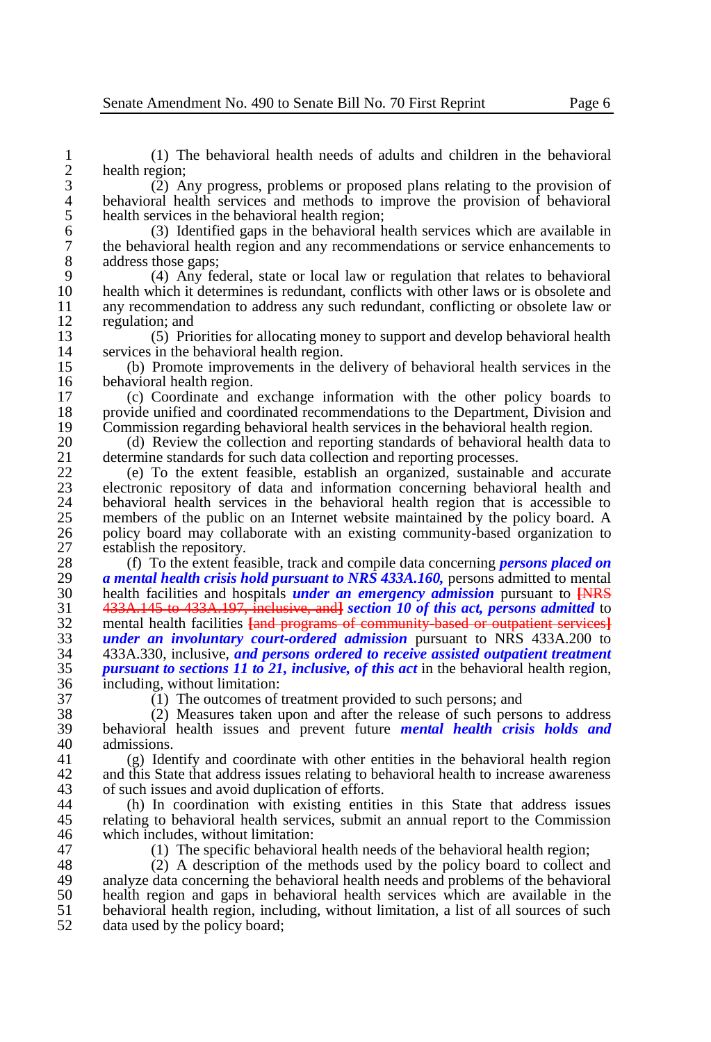1 (1) The behavioral health needs of adults and children in the behavioral  $\frac{2}{3}$  health region;<br>(2) A

3 (2) Any progress, problems or proposed plans relating to the provision of 4 behavioral health services and methods to improve the provision of behavioral health services in the behavioral health region: 5 health services in the behavioral health region;<br>6 (3) Identified gaps in the behavioral h

6 (3) Identified gaps in the behavioral health services which are available in 7 the behavioral health region and any recommendations or service enhancements to address those gaps: 8 address those gaps;<br>9  $(4)$  Any fee

9 (4) Any federal, state or local law or regulation that relates to behavioral 10 health which it determines is redundant, conflicts with other laws or is obsolete and<br>11 any recommendation to address any such redundant, conflicting or obsolete law or 11 any recommendation to address any such redundant, conflicting or obsolete law or regulation: and 12 regulation; and<br>13 (5) Prior

13 (5) Priorities for allocating money to support and develop behavioral health 14 services in the behavioral health region.<br>15 (b) Promote improvements in the d

15 (b) Promote improvements in the delivery of behavioral health services in the 16 behavioral health region.<br>17 (c) Coordinate and

17 (c) Coordinate and exchange information with the other policy boards to 18 provide unified and coordinated recommendations to the Department. Division and 18 provide unified and coordinated recommendations to the Department, Division and Commission regarding behavioral health services in the behavioral health region. 19 Commission regarding behavioral health services in the behavioral health region.<br>20 (d) Review the collection and reporting standards of behavioral health data

20 (d) Review the collection and reporting standards of behavioral health data to determine standards for such data collection and reporting processes. 21 determine standards for such data collection and reporting processes.<br>22 (e) To the extent feasible, establish an organized, sustainable

22 (e) To the extent feasible, establish an organized, sustainable and accurate 23 electronic repository of data and information concerning behavioral health and 24 behavioral health services in the behavioral health region that is accessible to members of the public on an Internet website maintained by the policy board. A 25 members of the public on an Internet website maintained by the policy board. A<br>26 molicy board may collaborate with an existing community-based organization to 26 policy board may collaborate with an existing community-based organization to establish the repository. 27 establish the repository.<br>28 (f) To the extent fea

 (f) To the extent feasible, track and compile data concerning *persons placed on a mental health crisis hold pursuant to NRS 433A.160*, persons admitted to mental 20 health facilities and hospitals *under an emergency admission* pursuant to LNRS health facilities and hospitals *under an emergency admission* pursuant to **[**NRS 433A.145 to 433A.197, inclusive, and**]** *section 10 of this act, persons admitted* to 32 mental health facilities **[and programs of community-based or outpatient services**]<br>33 *under an involuntary court-ordered admission* **pursuant to NRS 433A 200 to**  *under an involuntary court-ordered admission* pursuant to NRS 433A.200 to 433A.330, inclusive, *and persons ordered to receive assisted outpatient treatment pursuant to sections 11 to 21, inclusive, of this act* in the behavioral health region, including, without limitation:<br> $37$  (1) The outcomes of 1

37 (1) The outcomes of treatment provided to such persons; and 38 (2) Measures taken upon and after the release of such person 38 (2) Measures taken upon and after the release of such persons to address<br>39 behavioral health issues and prevent future *mental health crisis holds and* 39 behavioral health issues and prevent future *mental health crisis holds and*  40 admissions.<br>41  $(e)$  Iden

41 (g) Identify and coordinate with other entities in the behavioral health region 42 and this State that address issues relating to behavioral health to increase awareness<br>43 of such issues and avoid duplication of efforts. 43 of such issues and avoid duplication of efforts.<br>44 (b) In coordination with existing entities

44 (h) In coordination with existing entities in this State that address issues<br>45 relating to behavioral health services, submit an annual report to the Commission 45 relating to behavioral health services, submit an annual report to the Commission<br>46 which includes without limitation: 46 which includes, without limitation:<br>47 (1) The specific behavioral

47 (1) The specific behavioral health needs of the behavioral health region;<br>48 (2) A description of the methods used by the policy board to collect a

48 (2) A description of the methods used by the policy board to collect and 49 analyze data concerning the behavioral health needs and problems of the behavioral 49 analyze data concerning the behavioral health needs and problems of the behavioral  $\frac{50}{10}$  health region and gaps in behavioral health services which are available in the 50 health region and gaps in behavioral health services which are available in the  $\frac{51}{2}$  behavioral health region, including without limitation, a list of all sources of such 51 behavioral health region, including, without limitation, a list of all sources of such data used by the policy board: data used by the policy board;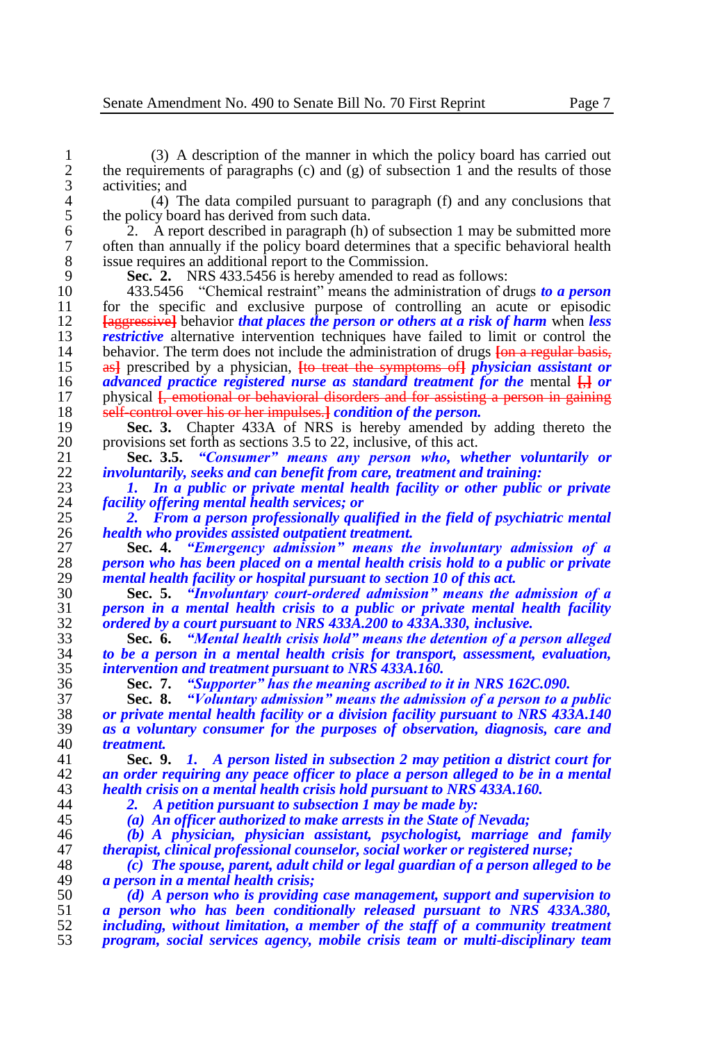1 (3) A description of the manner in which the policy board has carried out 2 the requirements of paragraphs  $(c)$  and  $(g)$  of subsection 1 and the results of those 2 the requirements of paragraphs (c) and (g) of subsection 1 and the results of those activities; and  $\begin{array}{cc} 3 & \text{activities; and} \\ 4 & (4) \end{array}$ 

4 (4) The data compiled pursuant to paragraph (f) and any conclusions that the policy board has derived from such data. 5 the policy board has derived from such data.<br>6 2. A report described in paragraph  $(h)$ 

 $\hat{2}$ . A report described in paragraph (h) of subsection 1 may be submitted more often than annually if the policy board determines that a specific behavioral health 7 often than annually if the policy board determines that a specific behavioral health issue requires an additional report to the Commission. 8 issue requires an additional report to the Commission.<br>9 **Sec. 2.** NRS 433.5456 is hereby amended to rea

**Sec. 2.** NRS 433.5456 is hereby amended to read as follows:

 433.5456 "Chemical restraint" means the administration of drugs *to a person*  11 for the specific and exclusive purpose of controlling an acute or episodic<br>12 **Lageressivel** behavior that places the person or others at a risk of harm when less **[**aggressive**]** behavior *that places the person or others at a risk of harm* when *less restrictive* alternative intervention techniques have failed to limit or control the heliavior. The term does not include the administration of drugs **Lee a** regular basis-14 behavior. The term does not include the administration of drugs  $\frac{1}{2}$  <del>[on a regular basis, 15 as]</del> prescribed by a physician. **Its treat the symptoms of** *physician assistant or*  as**]** prescribed by a physician, **[**to treat the symptoms of**]** *physician assistant or advanced practice registered nurse as standard treatment for the* mental **[**,**]** *or*  17 physical  $\hat{f}$  emotional or behavioral disorders and for assisting a person in gaining self-control over his or her impulses. *Condition of the person*. 18 self-control over his or her impulses.**]** *condition of the person.*<br>19 **Sec. 3.** Chapter 433A of NRS is hereby amended by

**Sec. 3.** Chapter 433A of NRS is hereby amended by adding thereto the 20 provisions set forth as sections 3.5 to 22 inclusive of this act. 20 provisions set forth as sections 3.5 to 22, inclusive, of this act.<br>21 **Sec. 3.5.** "Consumer" means any person who, wh

 **Sec. 3.5.** *"Consumer" means any person who, whether voluntarily or involuntarily, seeks and can benefit from care, treatment and training:*

 *1. In a public or private mental health facility or other public or private facility offering mental health services; or*

 *2. From a person professionally qualified in the field of psychiatric mental health who provides assisted outpatient treatment.*

 **Sec. 4.** *"Emergency admission" means the involuntary admission of a person who has been placed on a mental health crisis hold to a public or private*  29 *mental health facility or hospital pursuant to section 10 of this act.***<br>20 <b>Sec. 5.** *"Involuntary court-ordered admission" means the* 

 **Sec. 5.** *"Involuntary court-ordered admission" means the admission of a person in a mental health crisis to a public or private mental health facility ordered by a court pursuant to NRS 433A.200 to 433A.330, inclusive.*

 **Sec. 6.** *"Mental health crisis hold" means the detention of a person alleged to be a person in a mental health crisis for transport, assessment, evaluation, intervention and treatment pursuant to NRS 433A.160.*

**Sec. 7.** *"Supporter" has the meaning ascribed to it in NRS 162C.090.*

 **Sec. 8.** *"Voluntary admission" means the admission of a person to a public or private mental health facility or a division facility pursuant to NRS 433A.140 as a voluntary consumer for the purposes of observation, diagnosis, care and treatment.*

 **Sec. 9.** *1. A person listed in subsection 2 may petition a district court for an order requiring any peace officer to place a person alleged to be in a mental health crisis on a mental health crisis hold pursuant to NRS 433A.160.*

*2. A petition pursuant to subsection 1 may be made by:*

*(a) An officer authorized to make arrests in the State of Nevada;*

 *(b) A physician, physician assistant, psychologist, marriage and family therapist, clinical professional counselor, social worker or registered nurse;*

 *(c) The spouse, parent, adult child or legal guardian of a person alleged to be a person in a mental health crisis;* 

 *(d) A person who is providing case management, support and supervision to a person who has been conditionally released pursuant to NRS 433A.380, including, without limitation, a member of the staff of a community treatment program, social services agency, mobile crisis team or multi-disciplinary team*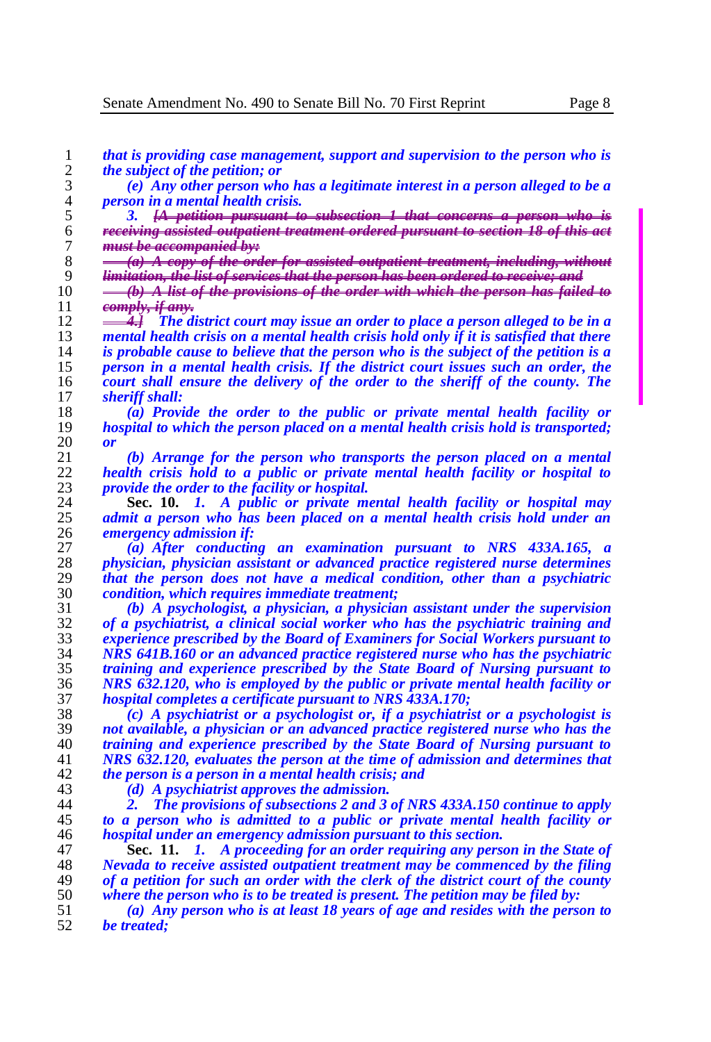*that is providing case management, support and supervision to the person who is the subject of the petition; or*

 *(e) Any other person who has a legitimate interest in a person alleged to be a person in a mental health crisis.* 

5 <sup>3</sup> 3. <del>[A petition pursuant to subsection 1 that concerns a person who is receiving assisted outpatient treatment ordered pursuant to section 18 of this **i**</del> *receiving assisted outpatient treatment ordered pursuant to section 18 of this act must be accompanied by:*

 *(a) A copy of the order for assisted outpatient treatment, including, without limitation, the list of services that the person has been ordered to receive; and*

 *(b) A list of the provisions of the order with which the person has failed to comply, if any.*

**4. The district court may issue an order to place a person alleged to be in a**  $\frac{4}{3}$  **The district court may issue an order to place a person alleged to be in a**  *mental health crisis on a mental health crisis hold only if it is satisfied that there is probable cause to believe that the person who is the subject of the petition is a person in a mental health crisis. If the district court issues such an order, the court shall ensure the delivery of the order to the sheriff of the county. The sheriff shall:*

 *(a) Provide the order to the public or private mental health facility or hospital to which the person placed on a mental health crisis hold is transported; or* 

 *(b) Arrange for the person who transports the person placed on a mental health crisis hold to a public or private mental health facility or hospital to provide the order to the facility or hospital.*

 **Sec. 10.** *1. A public or private mental health facility or hospital may admit a person who has been placed on a mental health crisis hold under an emergency admission if:*

 *(a) After conducting an examination pursuant to NRS 433A.165, a physician, physician assistant or advanced practice registered nurse determines that the person does not have a medical condition, other than a psychiatric condition, which requires immediate treatment;*

 *(b) A psychologist, a physician, a physician assistant under the supervision of a psychiatrist, a clinical social worker who has the psychiatric training and experience prescribed by the Board of Examiners for Social Workers pursuant to NRS 641B.160 or an advanced practice registered nurse who has the psychiatric training and experience prescribed by the State Board of Nursing pursuant to NRS 632.120, who is employed by the public or private mental health facility or hospital completes a certificate pursuant to NRS 433A.170;*

 *(c) A psychiatrist or a psychologist or, if a psychiatrist or a psychologist is not available, a physician or an advanced practice registered nurse who has the training and experience prescribed by the State Board of Nursing pursuant to NRS 632.120, evaluates the person at the time of admission and determines that the person is a person in a mental health crisis; and*

*(d) A psychiatrist approves the admission.*

 *2. The provisions of subsections 2 and 3 of NRS 433A.150 continue to apply to a person who is admitted to a public or private mental health facility or hospital under an emergency admission pursuant to this section.*

 **Sec. 11.** *1. A proceeding for an order requiring any person in the State of Nevada to receive assisted outpatient treatment may be commenced by the filing of a petition for such an order with the clerk of the district court of the county where the person who is to be treated is present. The petition may be filed by:*

 *(a) Any person who is at least 18 years of age and resides with the person to*  be treated;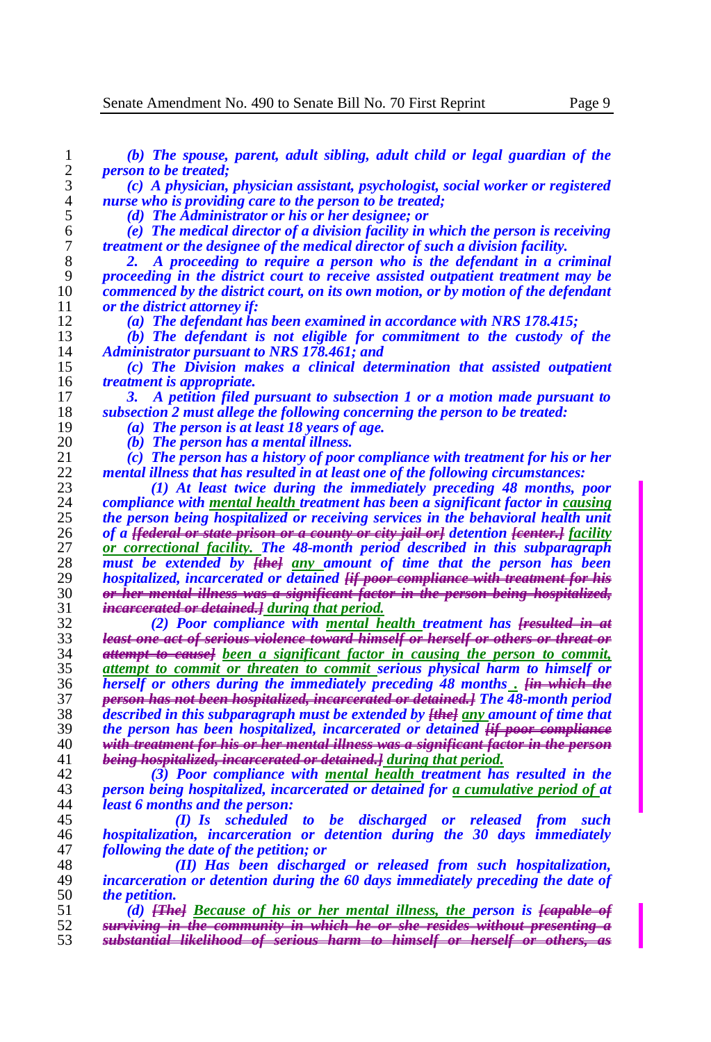| 1        | (b) The spouse, parent, adult sibling, adult child or legal guardian of the                                                                              |
|----------|----------------------------------------------------------------------------------------------------------------------------------------------------------|
| 2        | <i>person to be treated;</i>                                                                                                                             |
| 3        | (c) A physician, physician assistant, psychologist, social worker or registered                                                                          |
| 4        | nurse who is providing care to the person to be treated;                                                                                                 |
| 5        | (d) The Administrator or his or her designee; or                                                                                                         |
| 6        | (e) The medical director of a division facility in which the person is receiving                                                                         |
| 7        | treatment or the designee of the medical director of such a division facility.                                                                           |
| 8        | A proceeding to require a person who is the defendant in a criminal                                                                                      |
| 9        | proceeding in the district court to receive assisted outpatient treatment may be                                                                         |
| 10       | commenced by the district court, on its own motion, or by motion of the defendant                                                                        |
| 11       | or the district attorney if:                                                                                                                             |
| 12       | (a) The defendant has been examined in accordance with NRS 178.415;                                                                                      |
| 13       | (b) The defendant is not eligible for commitment to the custody of the                                                                                   |
| 14       | Administrator pursuant to NRS 178.461; and                                                                                                               |
| 15       | (c) The Division makes a clinical determination that assisted outpatient                                                                                 |
| 16       | <i>treatment is appropriate.</i>                                                                                                                         |
| 17       | A petition filed pursuant to subsection 1 or a motion made pursuant to<br>3.                                                                             |
| 18       | subsection 2 must allege the following concerning the person to be treated:                                                                              |
| 19       | (a) The person is at least 18 years of age.                                                                                                              |
| 20       | (b) The person has a mental illness.                                                                                                                     |
| 21       | (c) The person has a history of poor compliance with treatment for his or her                                                                            |
| 22       | mental illness that has resulted in at least one of the following circumstances:                                                                         |
| 23       | (1) At least twice during the immediately preceding 48 months, poor                                                                                      |
| 24       | compliance with mental health treatment has been a significant factor in causing                                                                         |
| 25       | the person being hospitalized or receiving services in the behavioral health unit                                                                        |
| 26       | of a <del>[federal or state prison or a county or city jail or]</del> detention <del>[center.]</del> facility                                            |
| 27       | or correctional facility. The 48-month period described in this subparagraph                                                                             |
| 28       | must be extended by [the] any amount of time that the person has been                                                                                    |
| 29       | hospitalized, incarcerated or detained [if poor compliance with treatment for his                                                                        |
| 30       | or her mental illness was a significant factor in the person being hospitalized,                                                                         |
| 31       | <i>incarcerated or detained.] during that period.</i>                                                                                                    |
| 32       | (2) Poor compliance with mental health treatment has Fresulted in at                                                                                     |
| 33       | least one act of serious violence toward himself or herself or others or threat or                                                                       |
| 34       | attempt to eausel been a significant factor in causing the person to commit,                                                                             |
| 35       | attempt to commit or threaten to commit serious physical harm to himself or                                                                              |
| 36       | herself or others during the immediately preceding 48 months . <del>[in which the</del>                                                                  |
| 37       | person has not been hospitalized, incarcerated or detained.] The 48-month period                                                                         |
| 38       | described in this subparagraph must be extended by <del>[the]</del> any amount of time that                                                              |
| 39       | the person has been hospitalized, incarcerated or detained <b>Fif poor compliance</b>                                                                    |
| 40       | <del>with treatment for his or her mental illness was a significant factor in the person</del>                                                           |
| 41       | being hospitalized, incareerated or detained.] during that period.                                                                                       |
| 42       | (3) Poor compliance with mental health treatment has resulted in the                                                                                     |
| 43       | person being hospitalized, incarcerated or detained for a cumulative period of at                                                                        |
| 44       | <i>least 6 months and the person:</i>                                                                                                                    |
| 45       | (I) Is scheduled to be discharged or released from such                                                                                                  |
| 46       | hospitalization, incarceration or detention during the 30 days immediately                                                                               |
| 47       | following the date of the petition; or                                                                                                                   |
| 48       | (II) Has been discharged or released from such hospitalization,                                                                                          |
| 49       | incarceration or detention during the 60 days immediately preceding the date of                                                                          |
| 50       | <i>the petition.</i>                                                                                                                                     |
| 51       | (d) <b>[The]</b> Because of his or her mental illness, the person is <b>[eapable of</b>                                                                  |
| 52<br>53 | surviving in the community in which he or she resides without presenting a<br>substantial likelihood of serious harm to himself or herself or others, as |
|          |                                                                                                                                                          |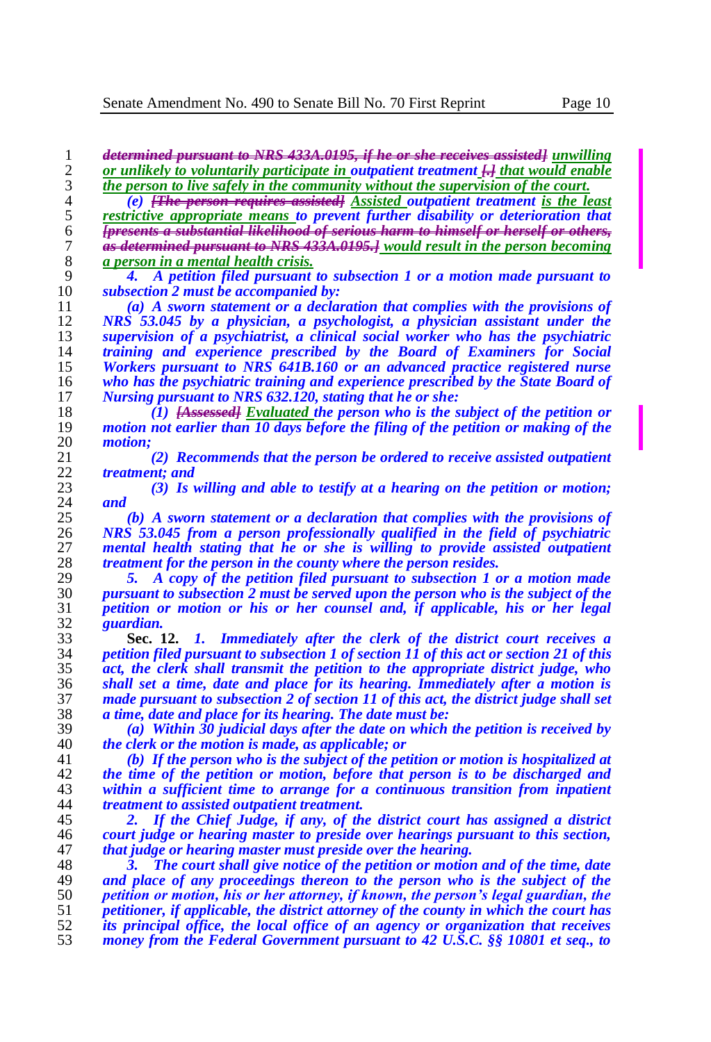*determined pursuant to NRS 433A.0195, if he or she receives assisted] unwilling*  2 *or unlikely to voluntarily participate in outpatient treatment*  $\frac{1}{2}$  *that would enable i the person to live safely in the community without the supervision of the court.* 3 **the person to live safely in the community without the supervision of the court.**<br>4 **(e)** *FRe person requires assisted Assisted outpatient treatment is the le* 

 *(e) [The person requires assisted] Assisted outpatient treatment is the least restrictive appropriate means to prevent further disability or deterioration that [presents a substantial likelihood of serious harm to himself or herself or others, as determined pursuant to NRS 433A.0195.] would result in the person becoming a person in a mental health crisis.*

 *4. A petition filed pursuant to subsection 1 or a motion made pursuant to subsection 2 must be accompanied by:*

 *(a) A sworn statement or a declaration that complies with the provisions of NRS 53.045 by a physician, a psychologist, a physician assistant under the supervision of a psychiatrist, a clinical social worker who has the psychiatric training and experience prescribed by the Board of Examiners for Social Workers pursuant to NRS 641B.160 or an advanced practice registered nurse who has the psychiatric training and experience prescribed by the State Board of Nursing pursuant to NRS 632.120, stating that he or she:*

 *(1) [Assessed] Evaluated the person who is the subject of the petition or motion not earlier than 10 days before the filing of the petition or making of the motion;*

 *(2) Recommends that the person be ordered to receive assisted outpatient treatment; and*

 *(3) Is willing and able to testify at a hearing on the petition or motion; and*

 *(b) A sworn statement or a declaration that complies with the provisions of NRS 53.045 from a person professionally qualified in the field of psychiatric mental health stating that he or she is willing to provide assisted outpatient treatment for the person in the county where the person resides.*

 *5. A copy of the petition filed pursuant to subsection 1 or a motion made pursuant to subsection 2 must be served upon the person who is the subject of the petition or motion or his or her counsel and, if applicable, his or her legal guardian.*

 **Sec. 12.** *1. Immediately after the clerk of the district court receives a petition filed pursuant to subsection 1 of section 11 of this act or section 21 of this*  act, the clerk shall transmit the petition to the appropriate district judge, who *shall set a time, date and place for its hearing. Immediately after a motion is made pursuant to subsection 2 of section 11 of this act, the district judge shall set a time, date and place for its hearing. The date must be:*

 *(a) Within 30 judicial days after the date on which the petition is received by the clerk or the motion is made, as applicable; or*

 *(b) If the person who is the subject of the petition or motion is hospitalized at the time of the petition or motion, before that person is to be discharged and within a sufficient time to arrange for a continuous transition from inpatient treatment to assisted outpatient treatment.*

 *2. If the Chief Judge, if any, of the district court has assigned a district court judge or hearing master to preside over hearings pursuant to this section, that judge or hearing master must preside over the hearing.*

 *3. The court shall give notice of the petition or motion and of the time, date and place of any proceedings thereon to the person who is the subject of the petition or motion, his or her attorney, if known, the person's legal guardian, the petitioner, if applicable, the district attorney of the county in which the court has its principal office, the local office of an agency or organization that receives money from the Federal Government pursuant to 42 U.S.C. §§ 10801 et seq., to*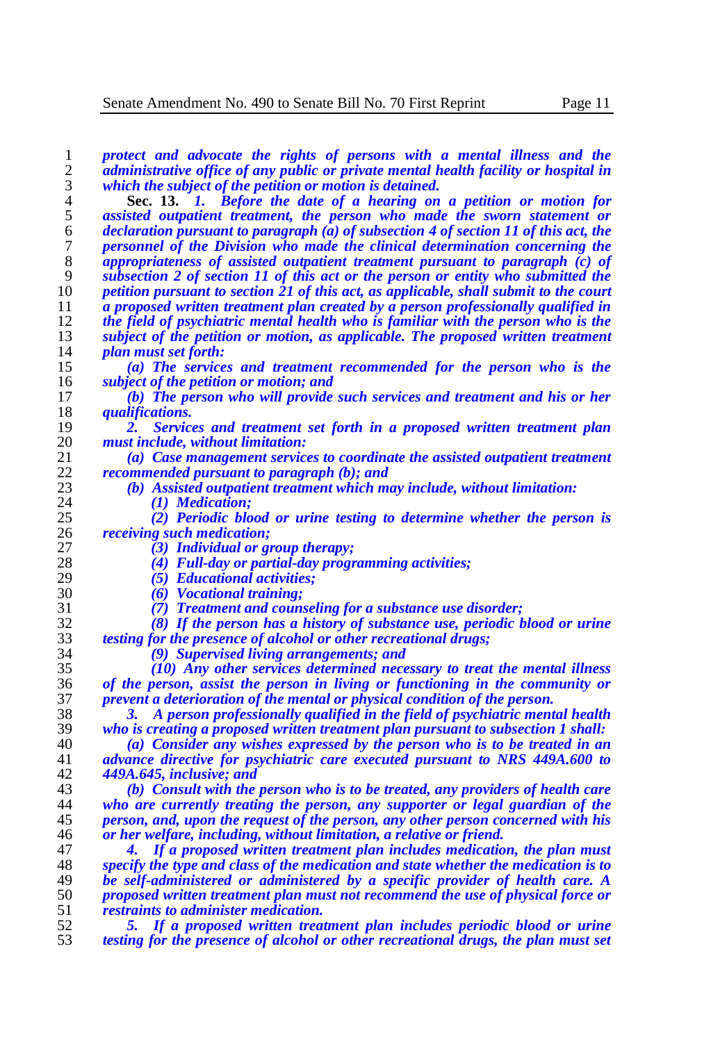*protect and advocate the rights of persons with a mental illness and the administrative office of any public or private mental health facility or hospital in which the subject of the petition or motion is detained.*

 **Sec. 13.** *1. Before the date of a hearing on a petition or motion for assisted outpatient treatment, the person who made the sworn statement or declaration pursuant to paragraph (a) of subsection 4 of section 11 of this act, the personnel of the Division who made the clinical determination concerning the appropriateness of assisted outpatient treatment pursuant to paragraph (c) of subsection 2 of section 11 of this act or the person or entity who submitted the petition pursuant to section 21 of this act, as applicable, shall submit to the court a proposed written treatment plan created by a person professionally qualified in the field of psychiatric mental health who is familiar with the person who is the subject of the petition or motion, as applicable. The proposed written treatment plan must set forth:* 

 *(a) The services and treatment recommended for the person who is the subject of the petition or motion; and*

 *(b) The person who will provide such services and treatment and his or her qualifications.* 

 *2. Services and treatment set forth in a proposed written treatment plan must include, without limitation:*

 *(a) Case management services to coordinate the assisted outpatient treatment recommended pursuant to paragraph (b); and* 

*(b) Assisted outpatient treatment which may include, without limitation:*

 *(1) Medication; (2) Periodic blood or urine testing to determine whether the person is receiving such medication;*

*(3) Individual or group therapy;*

*(4) Full-day or partial-day programming activities;*

*(5) Educational activities;*

*(6) Vocational training;*

*(7) Treatment and counseling for a substance use disorder;*

 *(8) If the person has a history of substance use, periodic blood or urine testing for the presence of alcohol or other recreational drugs;*

*(9) Supervised living arrangements; and*

 *(10) Any other services determined necessary to treat the mental illness of the person, assist the person in living or functioning in the community or prevent a deterioration of the mental or physical condition of the person.*

 *3. A person professionally qualified in the field of psychiatric mental health who is creating a proposed written treatment plan pursuant to subsection 1 shall:*

 *(a) Consider any wishes expressed by the person who is to be treated in an advance directive for psychiatric care executed pursuant to NRS 449A.600 to 449A.645, inclusive; and*

 *(b) Consult with the person who is to be treated, any providers of health care who are currently treating the person, any supporter or legal guardian of the person, and, upon the request of the person, any other person concerned with his or her welfare, including, without limitation, a relative or friend.*

 *4. If a proposed written treatment plan includes medication, the plan must specify the type and class of the medication and state whether the medication is to be self-administered or administered by a specific provider of health care. A proposed written treatment plan must not recommend the use of physical force or restraints to administer medication.*

 *5. If a proposed written treatment plan includes periodic blood or urine testing for the presence of alcohol or other recreational drugs, the plan must set*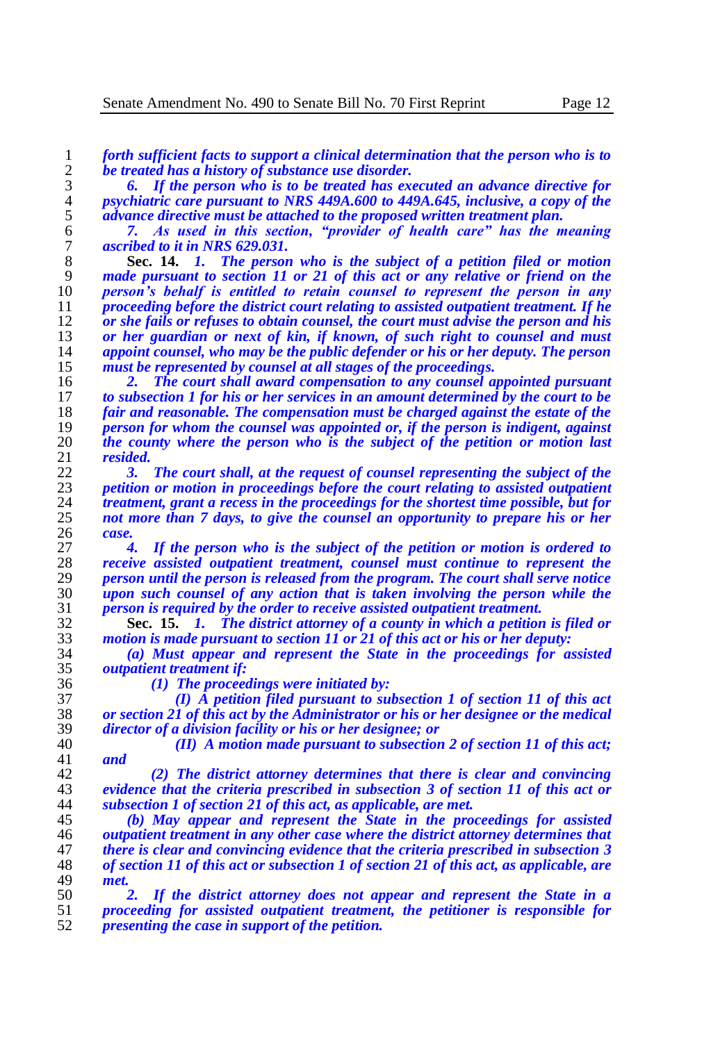*forth sufficient facts to support a clinical determination that the person who is to be treated has a history of substance use disorder.*

 *6. If the person who is to be treated has executed an advance directive for psychiatric care pursuant to NRS 449A.600 to 449A.645, inclusive, a copy of the advance directive must be attached to the proposed written treatment plan.* 

 *7. As used in this section, "provider of health care" has the meaning ascribed to it in NRS 629.031.*

 **Sec. 14.** *1. The person who is the subject of a petition filed or motion made pursuant to section 11 or 21 of this act or any relative or friend on the person's behalf is entitled to retain counsel to represent the person in any proceeding before the district court relating to assisted outpatient treatment. If he or she fails or refuses to obtain counsel, the court must advise the person and his or her guardian or next of kin, if known, of such right to counsel and must appoint counsel, who may be the public defender or his or her deputy. The person must be represented by counsel at all stages of the proceedings.*

 *2. The court shall award compensation to any counsel appointed pursuant to subsection 1 for his or her services in an amount determined by the court to be fair and reasonable. The compensation must be charged against the estate of the person for whom the counsel was appointed or, if the person is indigent, against the county where the person who is the subject of the petition or motion last resided.*

 *3. The court shall, at the request of counsel representing the subject of the petition or motion in proceedings before the court relating to assisted outpatient treatment, grant a recess in the proceedings for the shortest time possible, but for not more than 7 days, to give the counsel an opportunity to prepare his or her case.*

 *4. If the person who is the subject of the petition or motion is ordered to receive assisted outpatient treatment, counsel must continue to represent the person until the person is released from the program. The court shall serve notice upon such counsel of any action that is taken involving the person while the person is required by the order to receive assisted outpatient treatment.*

 **Sec. 15.** *1. The district attorney of a county in which a petition is filed or motion is made pursuant to section 11 or 21 of this act or his or her deputy:*

 *(a) Must appear and represent the State in the proceedings for assisted outpatient treatment if:*

 *(1) The proceedings were initiated by: (I) A petition filed pursuant to subsection 1 of section 11 of this act or section 21 of this act by the Administrator or his or her designee or the medical director of a division facility or his or her designee; or*

 *(II) A motion made pursuant to subsection 2 of section 11 of this act; and*

 *(2) The district attorney determines that there is clear and convincing evidence that the criteria prescribed in subsection 3 of section 11 of this act or subsection 1 of section 21 of this act, as applicable, are met.*

 *(b) May appear and represent the State in the proceedings for assisted outpatient treatment in any other case where the district attorney determines that there is clear and convincing evidence that the criteria prescribed in subsection 3 of section 11 of this act or subsection 1 of section 21 of this act, as applicable, are met.*

 *2. If the district attorney does not appear and represent the State in a proceeding for assisted outpatient treatment, the petitioner is responsible for presenting the case in support of the petition.*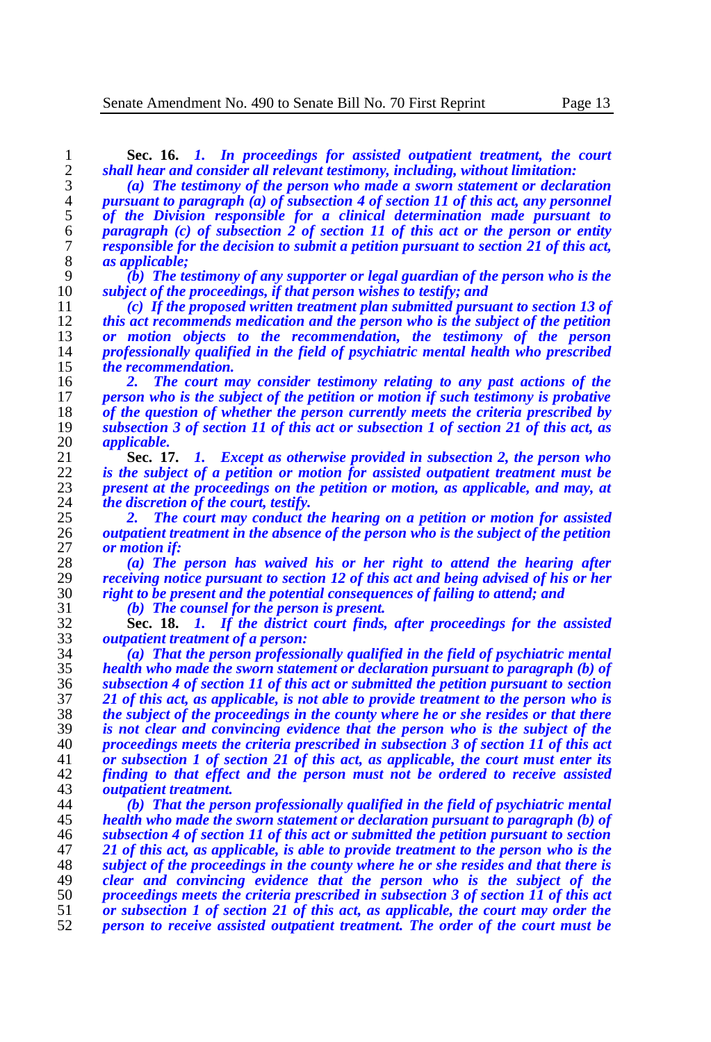**Sec. 16.** *1. In proceedings for assisted outpatient treatment, the court shall hear and consider all relevant testimony, including, without limitation:*

 *(a) The testimony of the person who made a sworn statement or declaration pursuant to paragraph (a) of subsection 4 of section 11 of this act, any personnel of the Division responsible for a clinical determination made pursuant to paragraph (c) of subsection 2 of section 11 of this act or the person or entity responsible for the decision to submit a petition pursuant to section 21 of this act, as applicable;*

 *(b) The testimony of any supporter or legal guardian of the person who is the subject of the proceedings, if that person wishes to testify; and*

 *(c) If the proposed written treatment plan submitted pursuant to section 13 of this act recommends medication and the person who is the subject of the petition or motion objects to the recommendation, the testimony of the person professionally qualified in the field of psychiatric mental health who prescribed the recommendation.*

 *2. The court may consider testimony relating to any past actions of the person who is the subject of the petition or motion if such testimony is probative*  18 of the question of whether the person currently meets the criteria prescribed by<br>19 subsection 3 of section 11 of this act or subsection 1 of section 21 of this act, as *subsection 3 of section 11 of this act or subsection 1 of section 21 of this act, as applicable.*

 **Sec. 17.** *1. Except as otherwise provided in subsection 2, the person who is the subject of a petition or motion for assisted outpatient treatment must be present at the proceedings on the petition or motion, as applicable, and may, at the discretion of the court, testify.*

25 **2.** *2. The court may conduct the hearing on a petition or motion for assisted* $\alpha$ *autoatient treatment in the absence of the person who is the subject of the petition outpatient treatment in the absence of the person who is the subject of the petition or motion if:*

 *(a) The person has waived his or her right to attend the hearing after receiving notice pursuant to section 12 of this act and being advised of his or her right to be present and the potential consequences of failing to attend; and*

*(b) The counsel for the person is present.*

 **Sec. 18.** *1. If the district court finds, after proceedings for the assisted outpatient treatment of a person:*

 *(a) That the person professionally qualified in the field of psychiatric mental health who made the sworn statement or declaration pursuant to paragraph (b) of subsection 4 of section 11 of this act or submitted the petition pursuant to section 21 of this act, as applicable, is not able to provide treatment to the person who is the subject of the proceedings in the county where he or she resides or that there is not clear and convincing evidence that the person who is the subject of the proceedings meets the criteria prescribed in subsection 3 of section 11 of this act or subsection 1 of section 21 of this act, as applicable, the court must enter its finding to that effect and the person must not be ordered to receive assisted outpatient treatment.*

 *(b) That the person professionally qualified in the field of psychiatric mental health who made the sworn statement or declaration pursuant to paragraph (b) of subsection 4 of section 11 of this act or submitted the petition pursuant to section 21 of this act, as applicable, is able to provide treatment to the person who is the subject of the proceedings in the county where he or she resides and that there is clear and convincing evidence that the person who is the subject of the proceedings meets the criteria prescribed in subsection 3 of section 11 of this act or subsection 1 of section 21 of this act, as applicable, the court may order the person to receive assisted outpatient treatment. The order of the court must be*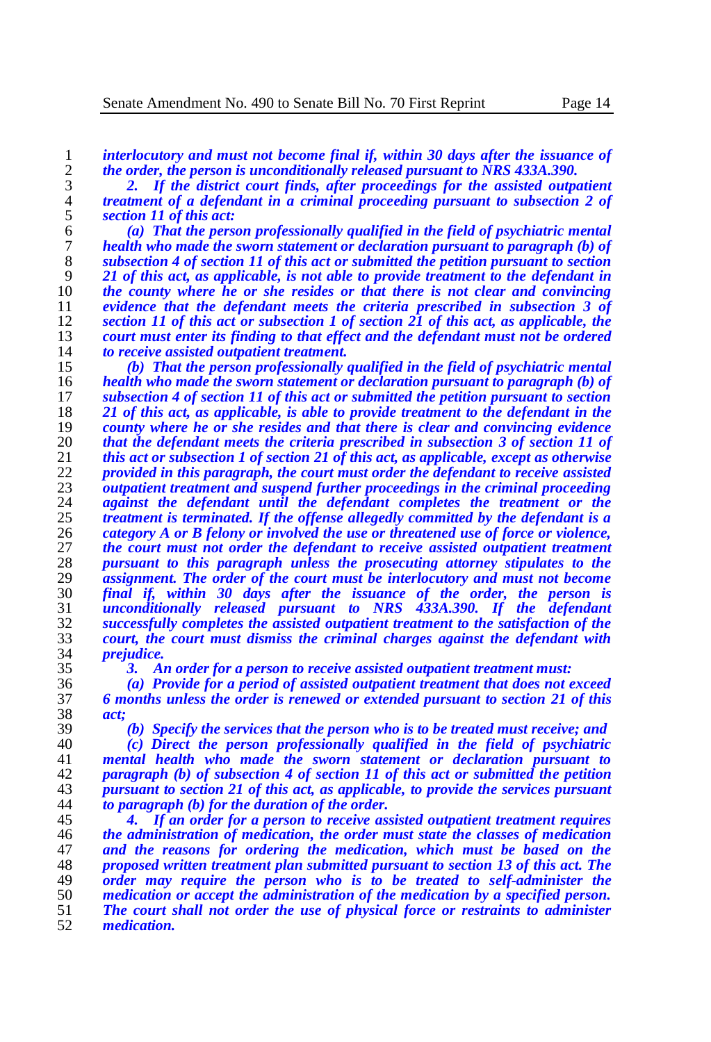*interlocutory and must not become final if, within 30 days after the issuance of the order, the person is unconditionally released pursuant to NRS 433A.390.* 

 *2. If the district court finds, after proceedings for the assisted outpatient treatment of a defendant in a criminal proceeding pursuant to subsection 2 of section 11 of this act:*

 *(a) That the person professionally qualified in the field of psychiatric mental health who made the sworn statement or declaration pursuant to paragraph (b) of subsection 4 of section 11 of this act or submitted the petition pursuant to section*  21 of this act, as applicable, is not able to provide treatment to the defendant in the county where he or she resides or that there is not clear and convincing **the county where he or she resides or that there is not clear and convincing** evidence that the defendant meets the criteria prescribed in subsection 3 of *evidence that the defendant meets the criteria prescribed in subsection 3 of section 11 of this act or subsection 1 of section 21 of this act, as applicable, the court must enter its finding to that effect and the defendant must not be ordered to receive assisted outpatient treatment.* 

 *(b) That the person professionally qualified in the field of psychiatric mental health who made the sworn statement or declaration pursuant to paragraph (b) of*  subsection 4 of section 11 of this act or submitted the petition pursuant to section *21 of this act, as applicable, is able to provide treatment to the defendant in the county where he or she resides and that there is clear and convincing evidence that the defendant meets the criteria prescribed in subsection* 3 of section 11 of *this act or subsection* 1 of section 21 of this act, as applicable, except as otherwise *this act or subsection 1 of section 21 of this act, as applicable, except as otherwise provided in this paragraph, the court must order the defendant to receive assisted*  $\frac{23}{\text{output treatment}}$  *authorize and suspend further proceedings in the criminal proceeding outpatient treatment and suspend further proceedings in the criminal proceeding against the defendant until the defendant completes the treatment or the treatment is terminated. If the offense allegedly committed by the defendant is a treatment is terminated. If the offense allegedly committed by the defendant is a category A or B felony or involved the use or threatened use of force or violence, the court must not order the defendant to receive assisted outpatient treatment pursuant to this paragraph unless the prosecuting attorney stipulates to the assignment. The order of the court must be interlocutory and must not become final if, within 30 days after the issuance of the order, the person is unconditionally released pursuant to NRS 433A.390. If the defendant successfully completes the assisted outpatient treatment to the satisfaction of the court, the court must dismiss the criminal charges against the defendant with prejudice.*

*3. An order for a person to receive assisted outpatient treatment must:*

 *(a) Provide for a period of assisted outpatient treatment that does not exceed 6 months unless the order is renewed or extended pursuant to section 21 of this act;*

*(b) Specify the services that the person who is to be treated must receive; and*

 *(c) Direct the person professionally qualified in the field of psychiatric mental health who made the sworn statement or declaration pursuant to paragraph (b) of subsection 4 of section 11 of this act or submitted the petition pursuant to section 21 of this act, as applicable, to provide the services pursuant to paragraph (b) for the duration of the order.*

 *4. If an order for a person to receive assisted outpatient treatment requires the administration of medication, the order must state the classes of medication and the reasons for ordering the medication, which must be based on the proposed written treatment plan submitted pursuant to section 13 of this act. The order may require the person who is to be treated to self-administer the medication or accept the administration of the medication by a specified person. The court shall not order the use of physical force or restraints to administer*   $mediation.$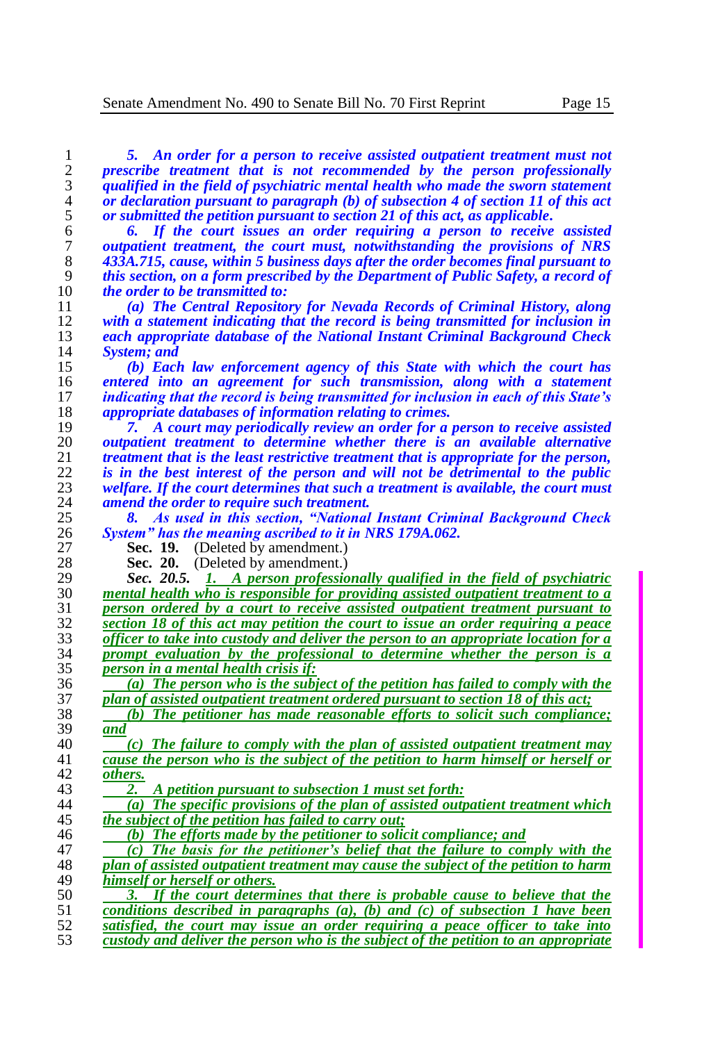*5. An order for a person to receive assisted outpatient treatment must not prescribe treatment that is not recommended by the person professionally qualified in the field of psychiatric mental health who made the sworn statement*  or declaration pursuant to paragraph (b) of subsection 4 of section 11 of this act<br>5 or submitted the petition pursuant to section 21 of this act, as applicable. *or submitted the petition pursuant to section 21 of this act, as applicable. 6. If the court issues an order requiring a person to receive assisted outpatient treatment, the court must, notwithstanding the provisions of NRS 433A.715, cause, within 5 business days after the order becomes final pursuant to this section, on a form prescribed by the Department of Public Safety, a record of the order to be transmitted to:*

 *(a) The Central Repository for Nevada Records of Criminal History, along with a statement indicating that the record is being transmitted for inclusion in each appropriate database of the National Instant Criminal Background Check System; and*

 *(b) Each law enforcement agency of this State with which the court has entered into an agreement for such transmission, along with a statement indicating that the record is being transmitted for inclusion in each of this State's appropriate databases of information relating to crimes.*

 *7. A court may periodically review an order for a person to receive assisted outpatient treatment to determine whether there is an available alternative treatment that is the least restrictive treatment that is appropriate for the person,* $\frac{1}{2}$ *is in the hest interest of the person and will not be detrimental to the public is in the best interest of the person and will not be detrimental to the public welfare. If the court determines that such a treatment is available, the court must amend the order to require such treatment.*

 *8. As used in this section, "National Instant Criminal Background Check System" has the meaning ascribed to it in NRS 179A.062.*

**Sec. 19.** (Deleted by amendment.)

**Sec. 20.** (Deleted by amendment.)

 *Sec. 20.5. 1. A person professionally qualified in the field of psychiatric mental health who is responsible for providing assisted outpatient treatment to a person ordered by a court to receive assisted outpatient treatment pursuant to section 18 of this act may petition the court to issue an order requiring a peace officer to take into custody and deliver the person to an appropriate location for a* <sup>23</sup> *a prompt evaluation by the professional to determine whether the person is a prompt evaluation by the professional to determine whether the person is a**person in a mental health crisis if: person in a mental health crisis if:*

 *(a) The person who is the subject of the petition has failed to comply with the plan of assisted outpatient treatment ordered pursuant to section 18 of this act;* 

 *(b) The petitioner has made reasonable efforts to solicit such compliance; and*

40 *(c)* The failure to comply with the plan of assisted outpatient treatment may  $\frac{1}{2}$  cause the person who is the subject of the petition to harm himself or herself or *cause the person who is the subject of the petition to harm himself or herself or others.*

*2. A petition pursuant to subsection 1 must set forth:*

 *(a) The specific provisions of the plan of assisted outpatient treatment which the subject of the petition has failed to carry out;*

*(b) The efforts made by the petitioner to solicit compliance; and*

 *(c) The basis for the petitioner's belief that the failure to comply with the plan of assisted outpatient treatment may cause the subject of the petition to harm himself or herself or others.*

 *3. If the court determines that there is probable cause to believe that the conditions described in paragraphs (a), (b) and (c) of subsection 1 have been satisfied, the court may issue an order requiring a peace officer to take into custody and deliver the person who is the subject of the petition to an appropriate*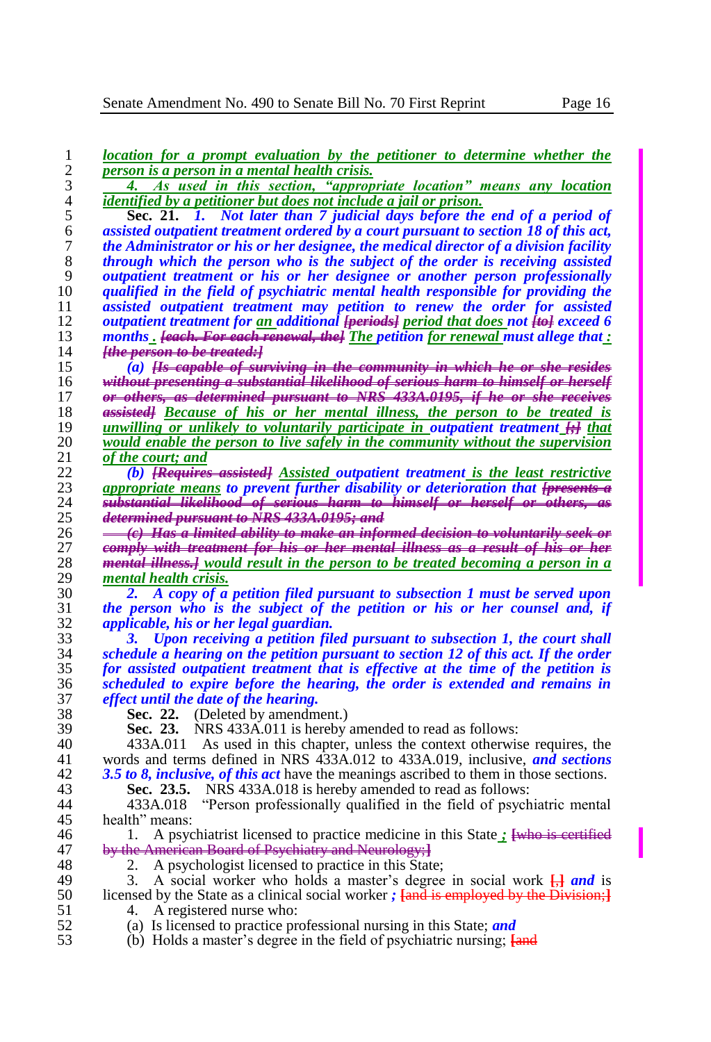| $\overline{c}$<br>person is a person in a mental health crisis.<br>3<br>As used in this section, "appropriate location" means any location<br>4.<br>$\overline{\mathcal{L}}$<br>identified by a petitioner but does not include a jail or prison.<br>5<br>Sec. 21. 1. Not later than 7 judicial days before the end of a period of<br>6<br>assisted outpatient treatment ordered by a court pursuant to section 18 of this act,<br>$\boldsymbol{7}$<br>the Administrator or his or her designee, the medical director of a division facility<br>$\,$ $\,$<br>through which the person who is the subject of the order is receiving assisted<br>9<br>outpatient treatment or his or her designee or another person professionally<br>qualified in the field of psychiatric mental health responsible for providing the<br>10<br>11<br>assisted outpatient treatment may petition to renew the order for assisted<br>12<br>outpatient treatment for an additional <del>[periods]</del> period that does not <b>[#e]</b> exceed 6<br>13<br>months. <b>Feach.</b> For each renewal, the The petition for renewal must allege that:<br>14<br><del>[the person to be treated: ]</del><br>15<br>(a) <del>Hs capable of surviving in the community in which he or she resides</del><br>16<br><del>without presenting a substantial likelihood of serious harm to himself or herself</del><br>or others, as determined pursuant to NRS 433A,0195, if he or she receives<br>17<br>assisted] Because of his or her mental illness, the person to be treated is<br>18<br>unwilling or unlikely to voluntarily participate in outpatient treatment <b>H</b> that<br>19<br>would enable the person to live safely in the community without the supervision<br>20<br>21<br>of the court; and<br>22<br>(b) <b>[Requires assisted]</b> Assisted outpatient treatment is the least restrictive<br>appropriate means to prevent further disability or deterioration that <del>[presents a</del><br>substantial likelihood of serious harm to himself or herself or others, as<br>24<br>25<br>determined pursuant to NRS 433A.0195; and<br>(e) Has a limited ability to make an informed decision to voluntarily seek or<br>comply with treatment for his or her mental illness as a result of his or her<br>27<br>28<br><del>mental illness.]</del> would result in the person to be treated becoming a person in a<br>29<br>mental health crisis.<br>30<br>A copy of a petition filed pursuant to subsection 1 must be served upon<br>2.<br>31<br>the person who is the subject of the petition or his or her counsel and, if<br>32<br><i>applicable, his or her legal guardian.</i><br>33<br>Upon receiving a petition filed pursuant to subsection 1, the court shall<br>3.<br>34<br>schedule a hearing on the petition pursuant to section 12 of this act. If the order<br>for assisted outpatient treatment that is effective at the time of the petition is<br>36<br>scheduled to expire before the hearing, the order is extended and remains in<br>37<br>effect until the date of the hearing.<br>38<br>Sec. 22.<br>(Deleted by amendment.)<br>Sec. 23. NRS 433A.011 is hereby amended to read as follows:<br>39<br>40<br>As used in this chapter, unless the context otherwise requires, the<br>433A.011<br>41<br>words and terms defined in NRS 433A.012 to 433A.019, inclusive, and sections<br>3.5 to 8, <i>inclusive, of this act</i> have the meanings ascribed to them in those sections.<br>43<br>Sec. 23.5. NRS 433A.018 is hereby amended to read as follows:<br>44<br>433A.018<br>"Person professionally qualified in the field of psychiatric mental<br>health" means:<br>A psychiatrist licensed to practice medicine in this State : [who is certified<br>by the American Board of Psychiatry and Neurology; 1<br>47<br>48<br>A psychologist licensed to practice in this State;<br>2. | location for a prompt evaluation by the petitioner to determine whether the |
|-------------------------------------------------------------------------------------------------------------------------------------------------------------------------------------------------------------------------------------------------------------------------------------------------------------------------------------------------------------------------------------------------------------------------------------------------------------------------------------------------------------------------------------------------------------------------------------------------------------------------------------------------------------------------------------------------------------------------------------------------------------------------------------------------------------------------------------------------------------------------------------------------------------------------------------------------------------------------------------------------------------------------------------------------------------------------------------------------------------------------------------------------------------------------------------------------------------------------------------------------------------------------------------------------------------------------------------------------------------------------------------------------------------------------------------------------------------------------------------------------------------------------------------------------------------------------------------------------------------------------------------------------------------------------------------------------------------------------------------------------------------------------------------------------------------------------------------------------------------------------------------------------------------------------------------------------------------------------------------------------------------------------------------------------------------------------------------------------------------------------------------------------------------------------------------------------------------------------------------------------------------------------------------------------------------------------------------------------------------------------------------------------------------------------------------------------------------------------------------------------------------------------------------------------------------------------------------------------------------------------------------------------------------------------------------------------------------------------------------------------------------------------------------------------------------------------------------------------------------------------------------------------------------------------------------------------------------------------------------------------------------------------------------------------------------------------------------------------------------------------------------------------------------------------------------------------------------------------------------------------------------------------------------------------------------------------------------------------------------------------------------------------------------------------------------------------------------------------------------------------------------------------------------------------------------------------------------------------------------------------------------------------------------------------------------------------------------------------------------------------------------------------------------------------------------------------------------------------------------------------------------------|-----------------------------------------------------------------------------|
|                                                                                                                                                                                                                                                                                                                                                                                                                                                                                                                                                                                                                                                                                                                                                                                                                                                                                                                                                                                                                                                                                                                                                                                                                                                                                                                                                                                                                                                                                                                                                                                                                                                                                                                                                                                                                                                                                                                                                                                                                                                                                                                                                                                                                                                                                                                                                                                                                                                                                                                                                                                                                                                                                                                                                                                                                                                                                                                                                                                                                                                                                                                                                                                                                                                                                                                                                                                                                                                                                                                                                                                                                                                                                                                                                                                                                                                                                           |                                                                             |
|                                                                                                                                                                                                                                                                                                                                                                                                                                                                                                                                                                                                                                                                                                                                                                                                                                                                                                                                                                                                                                                                                                                                                                                                                                                                                                                                                                                                                                                                                                                                                                                                                                                                                                                                                                                                                                                                                                                                                                                                                                                                                                                                                                                                                                                                                                                                                                                                                                                                                                                                                                                                                                                                                                                                                                                                                                                                                                                                                                                                                                                                                                                                                                                                                                                                                                                                                                                                                                                                                                                                                                                                                                                                                                                                                                                                                                                                                           |                                                                             |
| 23<br>26<br>35<br>42<br>45<br>46                                                                                                                                                                                                                                                                                                                                                                                                                                                                                                                                                                                                                                                                                                                                                                                                                                                                                                                                                                                                                                                                                                                                                                                                                                                                                                                                                                                                                                                                                                                                                                                                                                                                                                                                                                                                                                                                                                                                                                                                                                                                                                                                                                                                                                                                                                                                                                                                                                                                                                                                                                                                                                                                                                                                                                                                                                                                                                                                                                                                                                                                                                                                                                                                                                                                                                                                                                                                                                                                                                                                                                                                                                                                                                                                                                                                                                                          |                                                                             |
|                                                                                                                                                                                                                                                                                                                                                                                                                                                                                                                                                                                                                                                                                                                                                                                                                                                                                                                                                                                                                                                                                                                                                                                                                                                                                                                                                                                                                                                                                                                                                                                                                                                                                                                                                                                                                                                                                                                                                                                                                                                                                                                                                                                                                                                                                                                                                                                                                                                                                                                                                                                                                                                                                                                                                                                                                                                                                                                                                                                                                                                                                                                                                                                                                                                                                                                                                                                                                                                                                                                                                                                                                                                                                                                                                                                                                                                                                           |                                                                             |
|                                                                                                                                                                                                                                                                                                                                                                                                                                                                                                                                                                                                                                                                                                                                                                                                                                                                                                                                                                                                                                                                                                                                                                                                                                                                                                                                                                                                                                                                                                                                                                                                                                                                                                                                                                                                                                                                                                                                                                                                                                                                                                                                                                                                                                                                                                                                                                                                                                                                                                                                                                                                                                                                                                                                                                                                                                                                                                                                                                                                                                                                                                                                                                                                                                                                                                                                                                                                                                                                                                                                                                                                                                                                                                                                                                                                                                                                                           |                                                                             |
|                                                                                                                                                                                                                                                                                                                                                                                                                                                                                                                                                                                                                                                                                                                                                                                                                                                                                                                                                                                                                                                                                                                                                                                                                                                                                                                                                                                                                                                                                                                                                                                                                                                                                                                                                                                                                                                                                                                                                                                                                                                                                                                                                                                                                                                                                                                                                                                                                                                                                                                                                                                                                                                                                                                                                                                                                                                                                                                                                                                                                                                                                                                                                                                                                                                                                                                                                                                                                                                                                                                                                                                                                                                                                                                                                                                                                                                                                           |                                                                             |
|                                                                                                                                                                                                                                                                                                                                                                                                                                                                                                                                                                                                                                                                                                                                                                                                                                                                                                                                                                                                                                                                                                                                                                                                                                                                                                                                                                                                                                                                                                                                                                                                                                                                                                                                                                                                                                                                                                                                                                                                                                                                                                                                                                                                                                                                                                                                                                                                                                                                                                                                                                                                                                                                                                                                                                                                                                                                                                                                                                                                                                                                                                                                                                                                                                                                                                                                                                                                                                                                                                                                                                                                                                                                                                                                                                                                                                                                                           |                                                                             |
|                                                                                                                                                                                                                                                                                                                                                                                                                                                                                                                                                                                                                                                                                                                                                                                                                                                                                                                                                                                                                                                                                                                                                                                                                                                                                                                                                                                                                                                                                                                                                                                                                                                                                                                                                                                                                                                                                                                                                                                                                                                                                                                                                                                                                                                                                                                                                                                                                                                                                                                                                                                                                                                                                                                                                                                                                                                                                                                                                                                                                                                                                                                                                                                                                                                                                                                                                                                                                                                                                                                                                                                                                                                                                                                                                                                                                                                                                           |                                                                             |
|                                                                                                                                                                                                                                                                                                                                                                                                                                                                                                                                                                                                                                                                                                                                                                                                                                                                                                                                                                                                                                                                                                                                                                                                                                                                                                                                                                                                                                                                                                                                                                                                                                                                                                                                                                                                                                                                                                                                                                                                                                                                                                                                                                                                                                                                                                                                                                                                                                                                                                                                                                                                                                                                                                                                                                                                                                                                                                                                                                                                                                                                                                                                                                                                                                                                                                                                                                                                                                                                                                                                                                                                                                                                                                                                                                                                                                                                                           |                                                                             |
|                                                                                                                                                                                                                                                                                                                                                                                                                                                                                                                                                                                                                                                                                                                                                                                                                                                                                                                                                                                                                                                                                                                                                                                                                                                                                                                                                                                                                                                                                                                                                                                                                                                                                                                                                                                                                                                                                                                                                                                                                                                                                                                                                                                                                                                                                                                                                                                                                                                                                                                                                                                                                                                                                                                                                                                                                                                                                                                                                                                                                                                                                                                                                                                                                                                                                                                                                                                                                                                                                                                                                                                                                                                                                                                                                                                                                                                                                           |                                                                             |
|                                                                                                                                                                                                                                                                                                                                                                                                                                                                                                                                                                                                                                                                                                                                                                                                                                                                                                                                                                                                                                                                                                                                                                                                                                                                                                                                                                                                                                                                                                                                                                                                                                                                                                                                                                                                                                                                                                                                                                                                                                                                                                                                                                                                                                                                                                                                                                                                                                                                                                                                                                                                                                                                                                                                                                                                                                                                                                                                                                                                                                                                                                                                                                                                                                                                                                                                                                                                                                                                                                                                                                                                                                                                                                                                                                                                                                                                                           |                                                                             |
|                                                                                                                                                                                                                                                                                                                                                                                                                                                                                                                                                                                                                                                                                                                                                                                                                                                                                                                                                                                                                                                                                                                                                                                                                                                                                                                                                                                                                                                                                                                                                                                                                                                                                                                                                                                                                                                                                                                                                                                                                                                                                                                                                                                                                                                                                                                                                                                                                                                                                                                                                                                                                                                                                                                                                                                                                                                                                                                                                                                                                                                                                                                                                                                                                                                                                                                                                                                                                                                                                                                                                                                                                                                                                                                                                                                                                                                                                           |                                                                             |
|                                                                                                                                                                                                                                                                                                                                                                                                                                                                                                                                                                                                                                                                                                                                                                                                                                                                                                                                                                                                                                                                                                                                                                                                                                                                                                                                                                                                                                                                                                                                                                                                                                                                                                                                                                                                                                                                                                                                                                                                                                                                                                                                                                                                                                                                                                                                                                                                                                                                                                                                                                                                                                                                                                                                                                                                                                                                                                                                                                                                                                                                                                                                                                                                                                                                                                                                                                                                                                                                                                                                                                                                                                                                                                                                                                                                                                                                                           |                                                                             |
|                                                                                                                                                                                                                                                                                                                                                                                                                                                                                                                                                                                                                                                                                                                                                                                                                                                                                                                                                                                                                                                                                                                                                                                                                                                                                                                                                                                                                                                                                                                                                                                                                                                                                                                                                                                                                                                                                                                                                                                                                                                                                                                                                                                                                                                                                                                                                                                                                                                                                                                                                                                                                                                                                                                                                                                                                                                                                                                                                                                                                                                                                                                                                                                                                                                                                                                                                                                                                                                                                                                                                                                                                                                                                                                                                                                                                                                                                           |                                                                             |
|                                                                                                                                                                                                                                                                                                                                                                                                                                                                                                                                                                                                                                                                                                                                                                                                                                                                                                                                                                                                                                                                                                                                                                                                                                                                                                                                                                                                                                                                                                                                                                                                                                                                                                                                                                                                                                                                                                                                                                                                                                                                                                                                                                                                                                                                                                                                                                                                                                                                                                                                                                                                                                                                                                                                                                                                                                                                                                                                                                                                                                                                                                                                                                                                                                                                                                                                                                                                                                                                                                                                                                                                                                                                                                                                                                                                                                                                                           |                                                                             |
|                                                                                                                                                                                                                                                                                                                                                                                                                                                                                                                                                                                                                                                                                                                                                                                                                                                                                                                                                                                                                                                                                                                                                                                                                                                                                                                                                                                                                                                                                                                                                                                                                                                                                                                                                                                                                                                                                                                                                                                                                                                                                                                                                                                                                                                                                                                                                                                                                                                                                                                                                                                                                                                                                                                                                                                                                                                                                                                                                                                                                                                                                                                                                                                                                                                                                                                                                                                                                                                                                                                                                                                                                                                                                                                                                                                                                                                                                           |                                                                             |
|                                                                                                                                                                                                                                                                                                                                                                                                                                                                                                                                                                                                                                                                                                                                                                                                                                                                                                                                                                                                                                                                                                                                                                                                                                                                                                                                                                                                                                                                                                                                                                                                                                                                                                                                                                                                                                                                                                                                                                                                                                                                                                                                                                                                                                                                                                                                                                                                                                                                                                                                                                                                                                                                                                                                                                                                                                                                                                                                                                                                                                                                                                                                                                                                                                                                                                                                                                                                                                                                                                                                                                                                                                                                                                                                                                                                                                                                                           |                                                                             |
|                                                                                                                                                                                                                                                                                                                                                                                                                                                                                                                                                                                                                                                                                                                                                                                                                                                                                                                                                                                                                                                                                                                                                                                                                                                                                                                                                                                                                                                                                                                                                                                                                                                                                                                                                                                                                                                                                                                                                                                                                                                                                                                                                                                                                                                                                                                                                                                                                                                                                                                                                                                                                                                                                                                                                                                                                                                                                                                                                                                                                                                                                                                                                                                                                                                                                                                                                                                                                                                                                                                                                                                                                                                                                                                                                                                                                                                                                           |                                                                             |
|                                                                                                                                                                                                                                                                                                                                                                                                                                                                                                                                                                                                                                                                                                                                                                                                                                                                                                                                                                                                                                                                                                                                                                                                                                                                                                                                                                                                                                                                                                                                                                                                                                                                                                                                                                                                                                                                                                                                                                                                                                                                                                                                                                                                                                                                                                                                                                                                                                                                                                                                                                                                                                                                                                                                                                                                                                                                                                                                                                                                                                                                                                                                                                                                                                                                                                                                                                                                                                                                                                                                                                                                                                                                                                                                                                                                                                                                                           |                                                                             |
|                                                                                                                                                                                                                                                                                                                                                                                                                                                                                                                                                                                                                                                                                                                                                                                                                                                                                                                                                                                                                                                                                                                                                                                                                                                                                                                                                                                                                                                                                                                                                                                                                                                                                                                                                                                                                                                                                                                                                                                                                                                                                                                                                                                                                                                                                                                                                                                                                                                                                                                                                                                                                                                                                                                                                                                                                                                                                                                                                                                                                                                                                                                                                                                                                                                                                                                                                                                                                                                                                                                                                                                                                                                                                                                                                                                                                                                                                           |                                                                             |
|                                                                                                                                                                                                                                                                                                                                                                                                                                                                                                                                                                                                                                                                                                                                                                                                                                                                                                                                                                                                                                                                                                                                                                                                                                                                                                                                                                                                                                                                                                                                                                                                                                                                                                                                                                                                                                                                                                                                                                                                                                                                                                                                                                                                                                                                                                                                                                                                                                                                                                                                                                                                                                                                                                                                                                                                                                                                                                                                                                                                                                                                                                                                                                                                                                                                                                                                                                                                                                                                                                                                                                                                                                                                                                                                                                                                                                                                                           |                                                                             |
|                                                                                                                                                                                                                                                                                                                                                                                                                                                                                                                                                                                                                                                                                                                                                                                                                                                                                                                                                                                                                                                                                                                                                                                                                                                                                                                                                                                                                                                                                                                                                                                                                                                                                                                                                                                                                                                                                                                                                                                                                                                                                                                                                                                                                                                                                                                                                                                                                                                                                                                                                                                                                                                                                                                                                                                                                                                                                                                                                                                                                                                                                                                                                                                                                                                                                                                                                                                                                                                                                                                                                                                                                                                                                                                                                                                                                                                                                           |                                                                             |
|                                                                                                                                                                                                                                                                                                                                                                                                                                                                                                                                                                                                                                                                                                                                                                                                                                                                                                                                                                                                                                                                                                                                                                                                                                                                                                                                                                                                                                                                                                                                                                                                                                                                                                                                                                                                                                                                                                                                                                                                                                                                                                                                                                                                                                                                                                                                                                                                                                                                                                                                                                                                                                                                                                                                                                                                                                                                                                                                                                                                                                                                                                                                                                                                                                                                                                                                                                                                                                                                                                                                                                                                                                                                                                                                                                                                                                                                                           |                                                                             |
|                                                                                                                                                                                                                                                                                                                                                                                                                                                                                                                                                                                                                                                                                                                                                                                                                                                                                                                                                                                                                                                                                                                                                                                                                                                                                                                                                                                                                                                                                                                                                                                                                                                                                                                                                                                                                                                                                                                                                                                                                                                                                                                                                                                                                                                                                                                                                                                                                                                                                                                                                                                                                                                                                                                                                                                                                                                                                                                                                                                                                                                                                                                                                                                                                                                                                                                                                                                                                                                                                                                                                                                                                                                                                                                                                                                                                                                                                           |                                                                             |
|                                                                                                                                                                                                                                                                                                                                                                                                                                                                                                                                                                                                                                                                                                                                                                                                                                                                                                                                                                                                                                                                                                                                                                                                                                                                                                                                                                                                                                                                                                                                                                                                                                                                                                                                                                                                                                                                                                                                                                                                                                                                                                                                                                                                                                                                                                                                                                                                                                                                                                                                                                                                                                                                                                                                                                                                                                                                                                                                                                                                                                                                                                                                                                                                                                                                                                                                                                                                                                                                                                                                                                                                                                                                                                                                                                                                                                                                                           |                                                                             |
|                                                                                                                                                                                                                                                                                                                                                                                                                                                                                                                                                                                                                                                                                                                                                                                                                                                                                                                                                                                                                                                                                                                                                                                                                                                                                                                                                                                                                                                                                                                                                                                                                                                                                                                                                                                                                                                                                                                                                                                                                                                                                                                                                                                                                                                                                                                                                                                                                                                                                                                                                                                                                                                                                                                                                                                                                                                                                                                                                                                                                                                                                                                                                                                                                                                                                                                                                                                                                                                                                                                                                                                                                                                                                                                                                                                                                                                                                           |                                                                             |
|                                                                                                                                                                                                                                                                                                                                                                                                                                                                                                                                                                                                                                                                                                                                                                                                                                                                                                                                                                                                                                                                                                                                                                                                                                                                                                                                                                                                                                                                                                                                                                                                                                                                                                                                                                                                                                                                                                                                                                                                                                                                                                                                                                                                                                                                                                                                                                                                                                                                                                                                                                                                                                                                                                                                                                                                                                                                                                                                                                                                                                                                                                                                                                                                                                                                                                                                                                                                                                                                                                                                                                                                                                                                                                                                                                                                                                                                                           |                                                                             |
|                                                                                                                                                                                                                                                                                                                                                                                                                                                                                                                                                                                                                                                                                                                                                                                                                                                                                                                                                                                                                                                                                                                                                                                                                                                                                                                                                                                                                                                                                                                                                                                                                                                                                                                                                                                                                                                                                                                                                                                                                                                                                                                                                                                                                                                                                                                                                                                                                                                                                                                                                                                                                                                                                                                                                                                                                                                                                                                                                                                                                                                                                                                                                                                                                                                                                                                                                                                                                                                                                                                                                                                                                                                                                                                                                                                                                                                                                           |                                                                             |
|                                                                                                                                                                                                                                                                                                                                                                                                                                                                                                                                                                                                                                                                                                                                                                                                                                                                                                                                                                                                                                                                                                                                                                                                                                                                                                                                                                                                                                                                                                                                                                                                                                                                                                                                                                                                                                                                                                                                                                                                                                                                                                                                                                                                                                                                                                                                                                                                                                                                                                                                                                                                                                                                                                                                                                                                                                                                                                                                                                                                                                                                                                                                                                                                                                                                                                                                                                                                                                                                                                                                                                                                                                                                                                                                                                                                                                                                                           |                                                                             |
|                                                                                                                                                                                                                                                                                                                                                                                                                                                                                                                                                                                                                                                                                                                                                                                                                                                                                                                                                                                                                                                                                                                                                                                                                                                                                                                                                                                                                                                                                                                                                                                                                                                                                                                                                                                                                                                                                                                                                                                                                                                                                                                                                                                                                                                                                                                                                                                                                                                                                                                                                                                                                                                                                                                                                                                                                                                                                                                                                                                                                                                                                                                                                                                                                                                                                                                                                                                                                                                                                                                                                                                                                                                                                                                                                                                                                                                                                           |                                                                             |
|                                                                                                                                                                                                                                                                                                                                                                                                                                                                                                                                                                                                                                                                                                                                                                                                                                                                                                                                                                                                                                                                                                                                                                                                                                                                                                                                                                                                                                                                                                                                                                                                                                                                                                                                                                                                                                                                                                                                                                                                                                                                                                                                                                                                                                                                                                                                                                                                                                                                                                                                                                                                                                                                                                                                                                                                                                                                                                                                                                                                                                                                                                                                                                                                                                                                                                                                                                                                                                                                                                                                                                                                                                                                                                                                                                                                                                                                                           |                                                                             |
|                                                                                                                                                                                                                                                                                                                                                                                                                                                                                                                                                                                                                                                                                                                                                                                                                                                                                                                                                                                                                                                                                                                                                                                                                                                                                                                                                                                                                                                                                                                                                                                                                                                                                                                                                                                                                                                                                                                                                                                                                                                                                                                                                                                                                                                                                                                                                                                                                                                                                                                                                                                                                                                                                                                                                                                                                                                                                                                                                                                                                                                                                                                                                                                                                                                                                                                                                                                                                                                                                                                                                                                                                                                                                                                                                                                                                                                                                           |                                                                             |
|                                                                                                                                                                                                                                                                                                                                                                                                                                                                                                                                                                                                                                                                                                                                                                                                                                                                                                                                                                                                                                                                                                                                                                                                                                                                                                                                                                                                                                                                                                                                                                                                                                                                                                                                                                                                                                                                                                                                                                                                                                                                                                                                                                                                                                                                                                                                                                                                                                                                                                                                                                                                                                                                                                                                                                                                                                                                                                                                                                                                                                                                                                                                                                                                                                                                                                                                                                                                                                                                                                                                                                                                                                                                                                                                                                                                                                                                                           |                                                                             |
|                                                                                                                                                                                                                                                                                                                                                                                                                                                                                                                                                                                                                                                                                                                                                                                                                                                                                                                                                                                                                                                                                                                                                                                                                                                                                                                                                                                                                                                                                                                                                                                                                                                                                                                                                                                                                                                                                                                                                                                                                                                                                                                                                                                                                                                                                                                                                                                                                                                                                                                                                                                                                                                                                                                                                                                                                                                                                                                                                                                                                                                                                                                                                                                                                                                                                                                                                                                                                                                                                                                                                                                                                                                                                                                                                                                                                                                                                           |                                                                             |
|                                                                                                                                                                                                                                                                                                                                                                                                                                                                                                                                                                                                                                                                                                                                                                                                                                                                                                                                                                                                                                                                                                                                                                                                                                                                                                                                                                                                                                                                                                                                                                                                                                                                                                                                                                                                                                                                                                                                                                                                                                                                                                                                                                                                                                                                                                                                                                                                                                                                                                                                                                                                                                                                                                                                                                                                                                                                                                                                                                                                                                                                                                                                                                                                                                                                                                                                                                                                                                                                                                                                                                                                                                                                                                                                                                                                                                                                                           |                                                                             |
|                                                                                                                                                                                                                                                                                                                                                                                                                                                                                                                                                                                                                                                                                                                                                                                                                                                                                                                                                                                                                                                                                                                                                                                                                                                                                                                                                                                                                                                                                                                                                                                                                                                                                                                                                                                                                                                                                                                                                                                                                                                                                                                                                                                                                                                                                                                                                                                                                                                                                                                                                                                                                                                                                                                                                                                                                                                                                                                                                                                                                                                                                                                                                                                                                                                                                                                                                                                                                                                                                                                                                                                                                                                                                                                                                                                                                                                                                           |                                                                             |
|                                                                                                                                                                                                                                                                                                                                                                                                                                                                                                                                                                                                                                                                                                                                                                                                                                                                                                                                                                                                                                                                                                                                                                                                                                                                                                                                                                                                                                                                                                                                                                                                                                                                                                                                                                                                                                                                                                                                                                                                                                                                                                                                                                                                                                                                                                                                                                                                                                                                                                                                                                                                                                                                                                                                                                                                                                                                                                                                                                                                                                                                                                                                                                                                                                                                                                                                                                                                                                                                                                                                                                                                                                                                                                                                                                                                                                                                                           |                                                                             |
|                                                                                                                                                                                                                                                                                                                                                                                                                                                                                                                                                                                                                                                                                                                                                                                                                                                                                                                                                                                                                                                                                                                                                                                                                                                                                                                                                                                                                                                                                                                                                                                                                                                                                                                                                                                                                                                                                                                                                                                                                                                                                                                                                                                                                                                                                                                                                                                                                                                                                                                                                                                                                                                                                                                                                                                                                                                                                                                                                                                                                                                                                                                                                                                                                                                                                                                                                                                                                                                                                                                                                                                                                                                                                                                                                                                                                                                                                           |                                                                             |
|                                                                                                                                                                                                                                                                                                                                                                                                                                                                                                                                                                                                                                                                                                                                                                                                                                                                                                                                                                                                                                                                                                                                                                                                                                                                                                                                                                                                                                                                                                                                                                                                                                                                                                                                                                                                                                                                                                                                                                                                                                                                                                                                                                                                                                                                                                                                                                                                                                                                                                                                                                                                                                                                                                                                                                                                                                                                                                                                                                                                                                                                                                                                                                                                                                                                                                                                                                                                                                                                                                                                                                                                                                                                                                                                                                                                                                                                                           |                                                                             |
|                                                                                                                                                                                                                                                                                                                                                                                                                                                                                                                                                                                                                                                                                                                                                                                                                                                                                                                                                                                                                                                                                                                                                                                                                                                                                                                                                                                                                                                                                                                                                                                                                                                                                                                                                                                                                                                                                                                                                                                                                                                                                                                                                                                                                                                                                                                                                                                                                                                                                                                                                                                                                                                                                                                                                                                                                                                                                                                                                                                                                                                                                                                                                                                                                                                                                                                                                                                                                                                                                                                                                                                                                                                                                                                                                                                                                                                                                           |                                                                             |
|                                                                                                                                                                                                                                                                                                                                                                                                                                                                                                                                                                                                                                                                                                                                                                                                                                                                                                                                                                                                                                                                                                                                                                                                                                                                                                                                                                                                                                                                                                                                                                                                                                                                                                                                                                                                                                                                                                                                                                                                                                                                                                                                                                                                                                                                                                                                                                                                                                                                                                                                                                                                                                                                                                                                                                                                                                                                                                                                                                                                                                                                                                                                                                                                                                                                                                                                                                                                                                                                                                                                                                                                                                                                                                                                                                                                                                                                                           |                                                                             |
|                                                                                                                                                                                                                                                                                                                                                                                                                                                                                                                                                                                                                                                                                                                                                                                                                                                                                                                                                                                                                                                                                                                                                                                                                                                                                                                                                                                                                                                                                                                                                                                                                                                                                                                                                                                                                                                                                                                                                                                                                                                                                                                                                                                                                                                                                                                                                                                                                                                                                                                                                                                                                                                                                                                                                                                                                                                                                                                                                                                                                                                                                                                                                                                                                                                                                                                                                                                                                                                                                                                                                                                                                                                                                                                                                                                                                                                                                           |                                                                             |
|                                                                                                                                                                                                                                                                                                                                                                                                                                                                                                                                                                                                                                                                                                                                                                                                                                                                                                                                                                                                                                                                                                                                                                                                                                                                                                                                                                                                                                                                                                                                                                                                                                                                                                                                                                                                                                                                                                                                                                                                                                                                                                                                                                                                                                                                                                                                                                                                                                                                                                                                                                                                                                                                                                                                                                                                                                                                                                                                                                                                                                                                                                                                                                                                                                                                                                                                                                                                                                                                                                                                                                                                                                                                                                                                                                                                                                                                                           |                                                                             |
|                                                                                                                                                                                                                                                                                                                                                                                                                                                                                                                                                                                                                                                                                                                                                                                                                                                                                                                                                                                                                                                                                                                                                                                                                                                                                                                                                                                                                                                                                                                                                                                                                                                                                                                                                                                                                                                                                                                                                                                                                                                                                                                                                                                                                                                                                                                                                                                                                                                                                                                                                                                                                                                                                                                                                                                                                                                                                                                                                                                                                                                                                                                                                                                                                                                                                                                                                                                                                                                                                                                                                                                                                                                                                                                                                                                                                                                                                           |                                                                             |
|                                                                                                                                                                                                                                                                                                                                                                                                                                                                                                                                                                                                                                                                                                                                                                                                                                                                                                                                                                                                                                                                                                                                                                                                                                                                                                                                                                                                                                                                                                                                                                                                                                                                                                                                                                                                                                                                                                                                                                                                                                                                                                                                                                                                                                                                                                                                                                                                                                                                                                                                                                                                                                                                                                                                                                                                                                                                                                                                                                                                                                                                                                                                                                                                                                                                                                                                                                                                                                                                                                                                                                                                                                                                                                                                                                                                                                                                                           |                                                                             |
|                                                                                                                                                                                                                                                                                                                                                                                                                                                                                                                                                                                                                                                                                                                                                                                                                                                                                                                                                                                                                                                                                                                                                                                                                                                                                                                                                                                                                                                                                                                                                                                                                                                                                                                                                                                                                                                                                                                                                                                                                                                                                                                                                                                                                                                                                                                                                                                                                                                                                                                                                                                                                                                                                                                                                                                                                                                                                                                                                                                                                                                                                                                                                                                                                                                                                                                                                                                                                                                                                                                                                                                                                                                                                                                                                                                                                                                                                           |                                                                             |
|                                                                                                                                                                                                                                                                                                                                                                                                                                                                                                                                                                                                                                                                                                                                                                                                                                                                                                                                                                                                                                                                                                                                                                                                                                                                                                                                                                                                                                                                                                                                                                                                                                                                                                                                                                                                                                                                                                                                                                                                                                                                                                                                                                                                                                                                                                                                                                                                                                                                                                                                                                                                                                                                                                                                                                                                                                                                                                                                                                                                                                                                                                                                                                                                                                                                                                                                                                                                                                                                                                                                                                                                                                                                                                                                                                                                                                                                                           |                                                                             |
|                                                                                                                                                                                                                                                                                                                                                                                                                                                                                                                                                                                                                                                                                                                                                                                                                                                                                                                                                                                                                                                                                                                                                                                                                                                                                                                                                                                                                                                                                                                                                                                                                                                                                                                                                                                                                                                                                                                                                                                                                                                                                                                                                                                                                                                                                                                                                                                                                                                                                                                                                                                                                                                                                                                                                                                                                                                                                                                                                                                                                                                                                                                                                                                                                                                                                                                                                                                                                                                                                                                                                                                                                                                                                                                                                                                                                                                                                           |                                                                             |
| 49<br>A social worker who holds a master's degree in social work $\frac{1}{x}$ and is<br>3.                                                                                                                                                                                                                                                                                                                                                                                                                                                                                                                                                                                                                                                                                                                                                                                                                                                                                                                                                                                                                                                                                                                                                                                                                                                                                                                                                                                                                                                                                                                                                                                                                                                                                                                                                                                                                                                                                                                                                                                                                                                                                                                                                                                                                                                                                                                                                                                                                                                                                                                                                                                                                                                                                                                                                                                                                                                                                                                                                                                                                                                                                                                                                                                                                                                                                                                                                                                                                                                                                                                                                                                                                                                                                                                                                                                               |                                                                             |
| licensed by the State as a clinical social worker; [and is employed by the Division;]<br>50<br>51                                                                                                                                                                                                                                                                                                                                                                                                                                                                                                                                                                                                                                                                                                                                                                                                                                                                                                                                                                                                                                                                                                                                                                                                                                                                                                                                                                                                                                                                                                                                                                                                                                                                                                                                                                                                                                                                                                                                                                                                                                                                                                                                                                                                                                                                                                                                                                                                                                                                                                                                                                                                                                                                                                                                                                                                                                                                                                                                                                                                                                                                                                                                                                                                                                                                                                                                                                                                                                                                                                                                                                                                                                                                                                                                                                                         |                                                                             |
| A registered nurse who:<br>4.                                                                                                                                                                                                                                                                                                                                                                                                                                                                                                                                                                                                                                                                                                                                                                                                                                                                                                                                                                                                                                                                                                                                                                                                                                                                                                                                                                                                                                                                                                                                                                                                                                                                                                                                                                                                                                                                                                                                                                                                                                                                                                                                                                                                                                                                                                                                                                                                                                                                                                                                                                                                                                                                                                                                                                                                                                                                                                                                                                                                                                                                                                                                                                                                                                                                                                                                                                                                                                                                                                                                                                                                                                                                                                                                                                                                                                                             |                                                                             |
| (a) Is licensed to practice professional nursing in this State; and<br>52                                                                                                                                                                                                                                                                                                                                                                                                                                                                                                                                                                                                                                                                                                                                                                                                                                                                                                                                                                                                                                                                                                                                                                                                                                                                                                                                                                                                                                                                                                                                                                                                                                                                                                                                                                                                                                                                                                                                                                                                                                                                                                                                                                                                                                                                                                                                                                                                                                                                                                                                                                                                                                                                                                                                                                                                                                                                                                                                                                                                                                                                                                                                                                                                                                                                                                                                                                                                                                                                                                                                                                                                                                                                                                                                                                                                                 |                                                                             |
| 53<br>(b) Holds a master's degree in the field of psychiatric nursing; <b>[and</b>                                                                                                                                                                                                                                                                                                                                                                                                                                                                                                                                                                                                                                                                                                                                                                                                                                                                                                                                                                                                                                                                                                                                                                                                                                                                                                                                                                                                                                                                                                                                                                                                                                                                                                                                                                                                                                                                                                                                                                                                                                                                                                                                                                                                                                                                                                                                                                                                                                                                                                                                                                                                                                                                                                                                                                                                                                                                                                                                                                                                                                                                                                                                                                                                                                                                                                                                                                                                                                                                                                                                                                                                                                                                                                                                                                                                        |                                                                             |
|                                                                                                                                                                                                                                                                                                                                                                                                                                                                                                                                                                                                                                                                                                                                                                                                                                                                                                                                                                                                                                                                                                                                                                                                                                                                                                                                                                                                                                                                                                                                                                                                                                                                                                                                                                                                                                                                                                                                                                                                                                                                                                                                                                                                                                                                                                                                                                                                                                                                                                                                                                                                                                                                                                                                                                                                                                                                                                                                                                                                                                                                                                                                                                                                                                                                                                                                                                                                                                                                                                                                                                                                                                                                                                                                                                                                                                                                                           |                                                                             |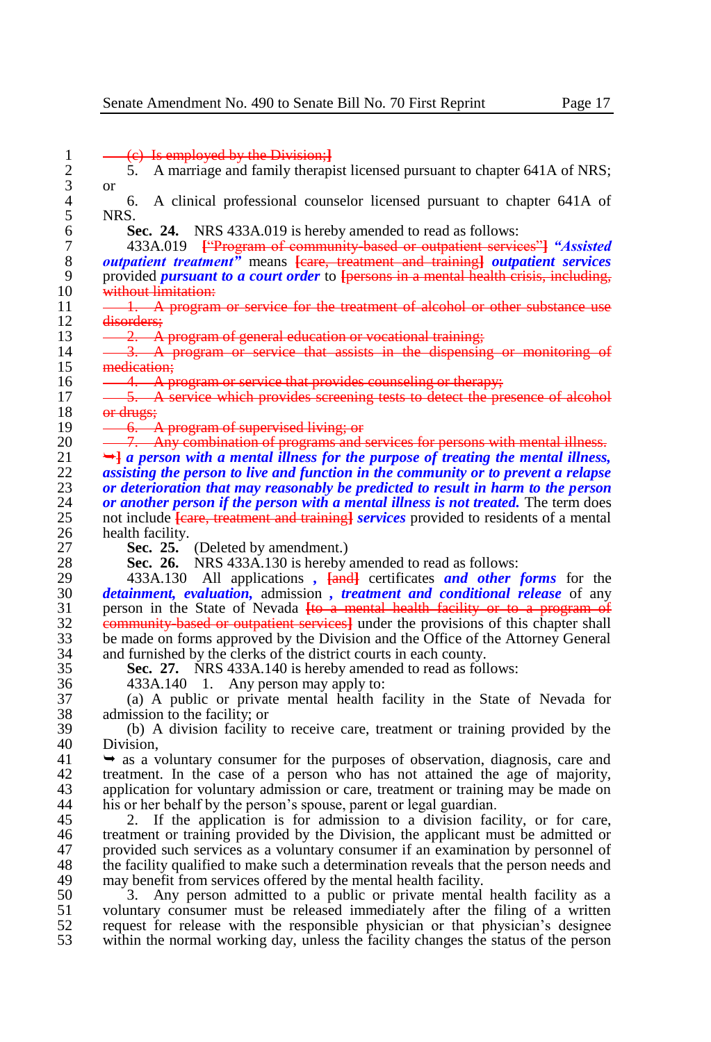1 (b) Is employed by the Division;<br>2 5. A marriage and family therap 2 5. A marriage and family therapist licensed pursuant to chapter 641A of NRS;  $\begin{matrix} 3 & \text{or} \\ 4 & \text{or} \end{matrix}$ 4 6. A clinical professional counselor licensed pursuant to chapter 641A of  $\begin{array}{cc} 5 & \text{NRS.} \\ 6 & \text{S} \end{array}$ 6 **Sec. 24.** NRS 433A.019 is hereby amended to read as follows:<br>7 433A.019 <del>**Explorer of community based or outpatient servic**</del> 7 433A.019 **[**"Program of community-based or outpatient services"**]** *"Assisted*  8 *outpatient treatment"* means **[**care, treatment and training**]** *outpatient services*  9 provided *pursuant to a court order* to **[**persons in a mental health crisis, including, 10 without limitation:<br>11  $\frac{1}{2}$  A program 11 <del>- 1. A program or service for the treatment of alcohol or other substance use</del><br>12 <del>disorders:</del>  $\begin{array}{r}\n 12 \quad \text{disorders;} \\
 13 \quad \text{---}2 \quad \text{---}A\n \end{array}$  $13 \t -2$ . A program of general education or vocational training;<br> $14 \t -3$ . A program or service, that assists in the dispensing 14 3. A program or service that assists in the dispensing or monitoring of<br>15 medication: 15 medication;<br>16  $\overrightarrow{4. A}$ 16  $-4$ . A program or service that provides counseling or therapy;<br>17  $-5$ . A service which provides screening tests to detect the pri 17  $\frac{1}{10}$   $\frac{5}{10}$  A service which provides screening tests to detect the presence of alcohol  $\begin{array}{r} 18 \\ 19 \end{array}$  or drugs; 19 <del>6. A program of supervised living; or</del> 20 **7. Any combination of programs and services for persons with mental illness.** 21  $\rightarrow$ *a a* person with a mental illness for the purpose of treating the mental illness, <br>22. **assisting the person to live and function in the community or to prevent a relanse** 22 *assisting the person to live and function in the community or to prevent a relapse*  23 *or deterioration that may reasonably be predicted to result in harm to the person* $24$ *or another person if the person with a mental illness is not treated. The term does* 24 *or another person if the person with a mental illness is not treated.* **The term does<br>25 anotic include feare, treatment and training algebraics provided to residents of a mental** 25 not include **[**care, treatment and training**]** *services* provided to residents of a mental 26 health facility.<br>27 **Sec. 25.** 27 **Sec. 25.** (Deleted by amendment.) 28 **Sec. 26.** NRS 433A.130 is hereby amended to read as follows: 29 433A.130 All applications *,*  $\frac{[and]}{[and]}$  certificates *and other forms* for the 30 *detainment, evaluation*, admission, *treatment and conditional release* of any 30 *detainment, evaluation,* admission *, treatment and conditional release* of any 31 person in the State of Nevada <del>[to a mental health facility or to a program of</del> 32 **community based or outpatient services** under the provisions of this chapter shall <sup>2</sup> community-based or outpatient services<sup>1</sup> under the provisions of this chapter shall<br>
<sup>33</sup> be made on forms approved by the Division and the Office of the Attorney General 33 be made on forms approved by the Division and the Office of the Attorney General<br>34 and furnished by the clerks of the district courts in each county. 34 and furnished by the clerks of the district courts in each county.<br>35 **Sec. 27.** NRS 433A.140 is hereby amended to read as foll **Sec. 27.** NRS 433A.140 is hereby amended to read as follows: 36 433A.140 1. Any person may apply to: 37 (a) A public or private mental health facility in the State of Nevada for  $38$  admission to the facility; or  $39$  (b) A division facility 39 (b) A division facility to receive care, treatment or training provided by the 40 Division,<br>41  $\rightarrow$  as a v  $\rightarrow$  as a voluntary consumer for the purposes of observation, diagnosis, care and 42 treatment. In the case of a person who has not attained the age of majority,<br>43 application for voluntary admission or care, treatment or training may be made on 43 application for voluntary admission or care, treatment or training may be made on his or her behalf by the person's spouse, parent or legal guardian. his or her behalf by the person's spouse, parent or legal guardian. 45 2. If the application is for admission to a division facility, or for care, 46 treatment or training provided by the Division, the applicant must be admitted or 46 treatment or training provided by the Division, the applicant must be admitted or provided such services as a voluntary consumer if an examination by personnel of 47 provided such services as a voluntary consumer if an examination by personnel of the facility qualified to make such a determination reveals that the person needs and 48 the facility qualified to make such a determination reveals that the person needs and may benefit from services offered by the mental health facility. 49 may benefit from services offered by the mental health facility.<br>50 3. Any person admitted to a public or private mental 50 3. Any person admitted to a public or private mental health facility as a 51 voluntary consumer must be released immediately after the filing of a written<br>52 request for release with the responsible physician or that physician's designee request for release with the responsible physician or that physician's designee 53 within the normal working day, unless the facility changes the status of the person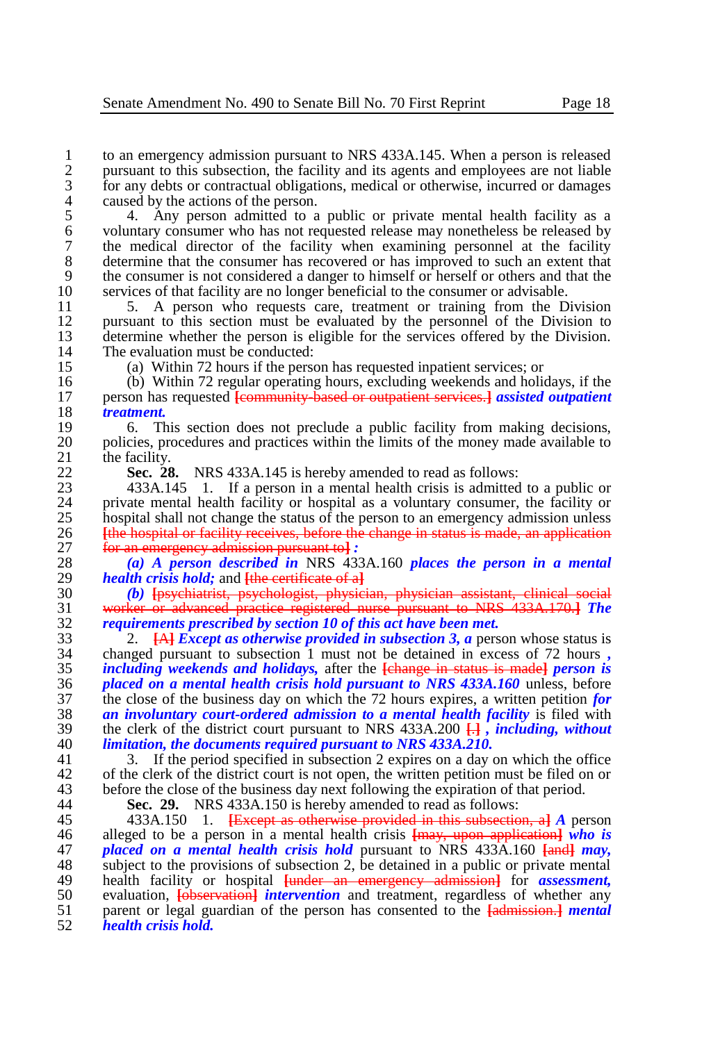1 to an emergency admission pursuant to NRS 433A.145. When a person is released<br>2 pursuant to this subsection, the facility and its agents and employees are not liable 2 pursuant to this subsection, the facility and its agents and employees are not liable<br>5 for any debts or contractual obligations, medical or otherwise, incurred or damages 3 for any debts or contractual obligations, medical or otherwise, incurred or damages caused by the actions of the person. 4 caused by the actions of the person.<br>5 4. Any person admitted to a

5 4. Any person admitted to a public or private mental health facility as a<br>6 voluntary consumer who has not requested release may nonetheless be released by 6 voluntary consumer who has not requested release may nonetheless be released by<br>
the medical director of the facility when examining personnel at the facility 7 the medical director of the facility when examining personnel at the facility<br>8 determine that the consumer has recovered or has improved to such an extent that 8 determine that the consumer has recovered or has improved to such an extent that the consumer is not considered a danger to himself or herself or others and that the 9 the consumer is not considered a danger to himself or herself or others and that the services of that facility are no longer beneficial to the consumer or advisable. 10 services of that facility are no longer beneficial to the consumer or advisable.<br>11 5. A person who requests care, treatment or training from the D

11 5. A person who requests care, treatment or training from the Division 12 pursuant to this section must be evaluated by the personnel of the Division to 12 pursuant to this section must be evaluated by the personnel of the Division to determine whether the person is eligible for the services offered by the Division. 13 determine whether the person is eligible for the services offered by the Division.<br>14 The evaluation must be conducted: 14 The evaluation must be conducted:<br>15 (a) Within 72 hours if the person

15 (a) Within 72 hours if the person has requested inpatient services; or

16 (b) Within 72 regular operating hours, excluding weekends and holidays, if the person has requested **Leonymuity** hased or outpatient services. Lassisted outpatient 17 person has requested **[**community-based or outpatient services.**]** *assisted outpatient*  18 *treatment.*

19 6. This section does not preclude a public facility from making decisions,<br>20 policies procedures and practices within the limits of the money made available to 20 policies, procedures and practices within the limits of the money made available to the facility. 21 the facility.<br>22 Sec. 28

22 **Sec. 28.** NRS 433A.145 is hereby amended to read as follows:<br>23 433A.145 1. If a person in a mental health crisis is admitted

23 433A.145 1. If a person in a mental health crisis is admitted to a public or 24 private mental health facility or hospital as a voluntary consumer, the facility or 24 private mental health facility or hospital as a voluntary consumer, the facility or hospital shall not change the status of the person to an emergency admission unless 25 hospital shall not change the status of the person to an emergency admission unless 26 **the hospital or facility receives**, before the change in status is made, an application 26 **Ithe hospital or facility receives, before the change in status is made, an application** 27 for an emergency admission pursuant to l : 27 **for an emergency admission pursuant to :** 28 *(a) A* **nerson described in** NRS 433

28 *(a) A person described in* NRS 433A.160 *places the person in a mental*  29 *health crisis hold;* and <del>[the certificate of a]</del><br>30 *(b)* <del>Insychiatrist, psychologist, physici</del>

30 *(b)* **[**psychiatrist, psychologist, physician, physician assistant, clinical social 31 worker or advanced practice registered nurse pursuant to NRS 433A.170.**]** *The*  32 *requirements prescribed by section 10 of this act have been met.*

 2. **[**A**]** *Except as otherwise provided in subsection 3, a* person whose status is changed pursuant to subsection 1 must not be detained in excess of 72 hours *, including weekends and holidays,* after the **[**change in status is made**]** *person is placed on a mental health crisis hold pursuant to NRS 433A.160* **unless, before the close of the business day on which the 72 hours expires, a written petition for** 37 the close of the business day on which the 72 hours expires, a written petition *for* an *involuntary court-ordered admission to a mental health facility* is filed with **an involuntary court-ordered admission to a mental health facility is filed with**<br>39 the clerk of the district court pursuant to NRS 433A, 200  $\Box$ , *including, without*  the clerk of the district court pursuant to NRS 433A.200 **[**.**]** *, including, without limitation, the documents required pursuant to NRS 433A.210.*

3. If the period specified in subsection 2 expires on a day on which the office 42 of the clerk of the district court is not open, the written petition must be filed on or before the close of the business day next following the expiration of that period. 43 before the close of the business day next following the expiration of that period.<br>44 **Sec. 29.** NRS 433A.150 is hereby amended to read as follows:

44 **Sec. 29.** NRS 433A.150 is hereby amended to read as follows:

 433A.150 1. **[**Except as otherwise provided in this subsection, a**]** *A* person alleged to be a person in a mental health crisis **[**may, upon application**]** *who is placed on a mental health crisis hold* pursuant to NRS 433A.160 **[**and**]** *may,*  subject to the provisions of subsection 2, be detained in a public or private mental 49 health facility or hospital <del>[under an emergency admission]</del> for *assessment*, <br>50 evaluation, **lobservation** intervention and treatment, regardless of whether any 50 evaluation, **[observation]** *intervention* and treatment, regardless of whether any parent or legal guardian of the person has consented to the **[admission.]** *mental*  parent or legal guardian of the person has consented to the **[**admission.**]** *mental health crisis hold.*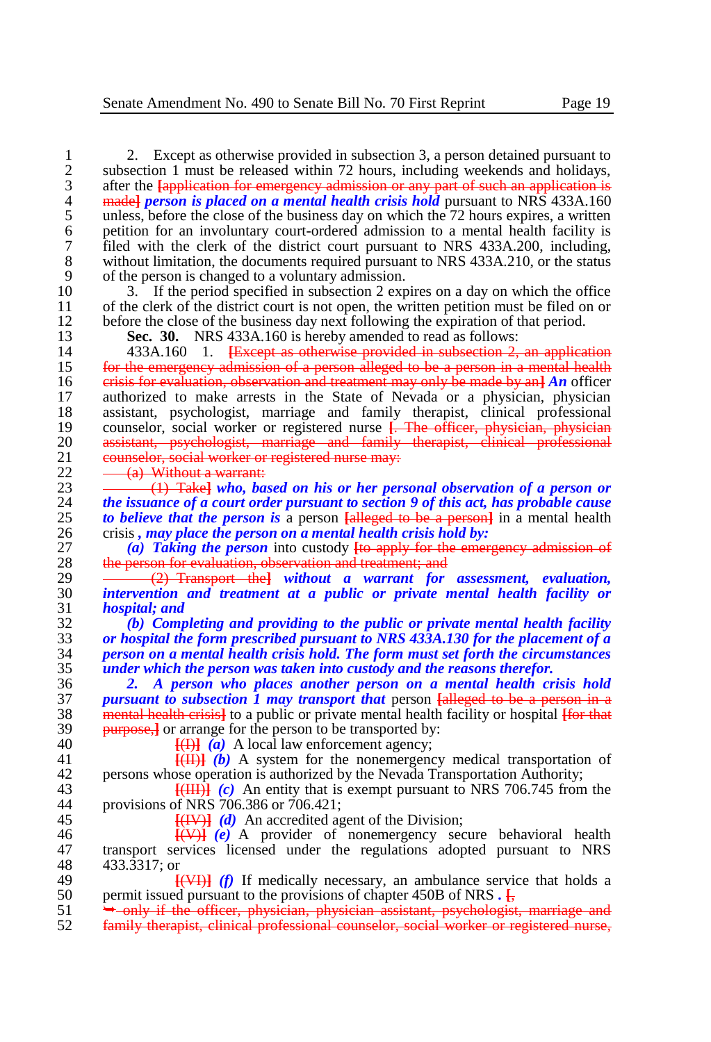2. Except as otherwise provided in subsection 3, a person detained pursuant to<br>2 subsection 1 must be released within 72 hours, including weekends and holidays. 2 subsection 1 must be released within 72 hours, including weekends and holidays, after the  $\frac{1}{2}$  factor of emergency admission or any part of such an application is 3 after the **[application for emergency admission or any part of such an application is<br><b>4** and **a madel** *person is placed on a mental health crisis hold* **pursuant to NRS 433A.160** <sup>4</sup> madel **example 1** made **n** *person* is placed on a mental health crisis hold pursuant to NRS 433A.160<br>5 unless, before the close of the business day on which the 72 hours expires, a written 5 unless, before the close of the business day on which the 72 hours expires, a written<br>6 petition for an involuntary court-ordered admission to a mental health facility is 6 petition for an involuntary court-ordered admission to a mental health facility is 7 filed with the clerk of the district court pursuant to NRS 433A.200, including,<br>8 without limitation, the documents required pursuant to NRS 433A.210, or the status 8 without limitation, the documents required pursuant to NRS 433A.210, or the status of the person is changed to a voluntary admission. 9 of the person is changed to a voluntary admission.<br>10 3. If the period specified in subsection 2 exp

10 3. If the period specified in subsection 2 expires on a day on which the office<br>11 of the clerk of the district court is not onen, the written petition must be filed on or 11 of the clerk of the district court is not open, the written petition must be filed on or before the close of the business day next following the expiration of that period. 12 before the close of the business day next following the expiration of that period.<br>13 **Sec. 30.** NRS 433A.160 is hereby amended to read as follows:

13 **Sec. 30.** NRS 433A.160 is hereby amended to read as follows:<br>14 433A.160 1. <del>IExcept as otherwise provided in subsection 2.</del>

14 433A.160 1. **[**Except as otherwise provided in subsection 2, an application 15 for the emergency admission of a person alleged to be a person in a mental health  $\frac{1}{16}$  erisis for evaluation, observation and treatment may only be made by an  $\frac{1}{16}$  officer 16 crisis for evaluation, observation and treatment may only be made by an<sup>}</sup> *An* officer<br>17 authorized to make arrests in the State of Nevada or a physician, physician 17 authorized to make arrests in the State of Nevada or a physician, physician assistant, psychologist, marriage and family therapist, clinical professional 18 assistant, psychologist, marriage and family therapist, clinical professional counselor, social worker or registered nurse **F. The officer, physician, physician** 19 counselor, social worker or registered nurse **[**. The officer, physician, physician 20 assistant, psychologist, marriage and family therapist, clinical professional <br>21 counselor social worker or registered nurse may: 21 counselor, social worker or registered nurse may:<br>22  $-$  (a) Without a warrant:

22  $\frac{a}{1}$  Without a warrant:<br>23  $\frac{1}{1}$  Takel who, has

23 (1) Take<sup>l</sup> *who, based on his or her personal observation of a person or*  $24$  *the issuance of a court order pursuant to section 9 of this act, has probable cause* 24 *the issuance of a court order pursuant to section 9 of this act, has probable cause***<br>25 <b>***to believe that the person is a person falleged to be a person)* **in a mental health** 25 **to believe that the person is a person <del>[alleged to be a person]</del> in a mental health crisis, may place the person on a mental health crisis hold by:** 26 crisis, *may place the person on a mental health crisis hold by:*<br>27 (a) Taking the person into custody to apply for the emer-

27 *(a) Taking the person* into custody **[**to apply for the emergency admission of 28 the person for evaluation, observation and treatment; and<br>29 <del>(2) Transport, the last without a warrant for</del>

29 (2) Transport the**]** *without a warrant for assessment, evaluation,*  30 *intervention and treatment at a public or private mental health facility or*  31 *hospital; and*

 *(b) Completing and providing to the public or private mental health facility or hospital the form prescribed pursuant to NRS 433A.130 for the placement of a person on a mental health crisis hold. The form must set forth the circumstances under which the person was taken into custody and the reasons therefor.*

 *2. A person who places another person on a mental health crisis hold pursuant to subsection 1 may transport that* **person <del>[alleged to be a person in a</del> 38 <b>mental health crisis**] to a public or private mental health facility or hospital Horthat mental health crisis**]** to a public or private mental health facility or hospital **[**for that **purpose, J** or arrange for the person to be transported by:<br>40 **F(H)** (a) A local law enforcement agency:

40  $\frac{[A]}{[C]}$  *(a)* A local law enforcement agency;<br>41  $\frac{[C]}{[C]}$  *(b)* A system for the nonemergency;

41 **[(II)**  $\overrightarrow{b}$  A system for the nonemergency medical transportation of persons whose operation is authorized by the Nevada Transportation Authority: 42 persons whose operation is authorized by the Nevada Transportation Authority;<br>43 **EVALUA** (c) An entity that is exempt pursuant to NRS 706.745 from

43  $\frac{[({\text{III}})]}{[({\text{III}})]}$  *(c)* An entity that is exempt pursuant to NRS 706.745 from the provisions of NRS 706.386 or 706.421: 44 provisions of NRS 706.386 or 706.421;<br>45  $\frac{[H]}{[H]}$  (d) An accredited as

**[(IV)]** *(d)* An accredited agent of the Division;<br>46 **[***Q***)** *(e)* A provider of nonemergency sec  $\frac{[(\mathbf{V})]}{[(\mathbf{e})]}$  *(e)* A provider of nonemergency secure behavioral health 47 transport services licensed under the regulations adopted pursuant to NRS 47 transport services licensed under the regulations adopted pursuant to NRS<br>48 433.3317: or 433.3317; or<br>49

49 **[(VI)]** *(f)* If medically necessary, an ambulance service that holds a permit issued pursuant to the provisions of chapter 450B of NRS. 50 permit issued pursuant to the provisions of chapter 450B of NRS  $\cdot \frac{1}{5}$ <br>51  $\rightarrow$  only if the officer, physician, physician assistant, psychologist

51 • only if the officer, physician, physician assistant, psychologist, marriage and 52 family therapist, clinical professional counselor, social worker or registered nurse,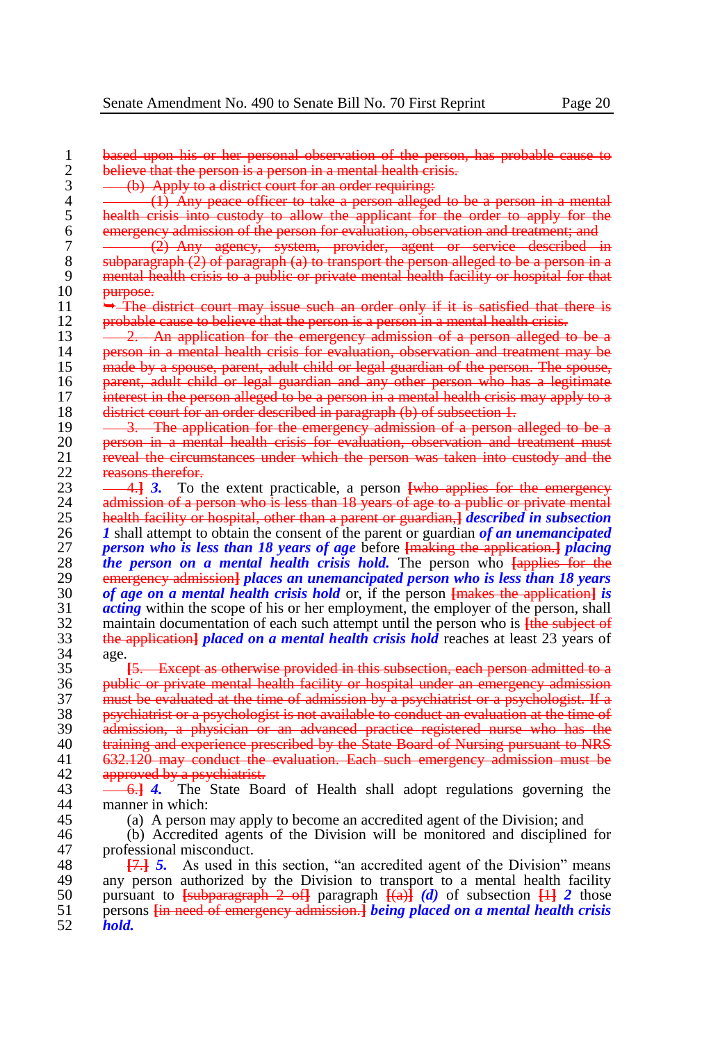1 based upon his or her personal observation of the person, has probable cause to believe that the person is a person in a mental health crisis. 2 believe that the person is a person in a mental health crisis.<br> $3 \rightarrow 0$  Apply to a district court for an order requiring:  $\frac{3}{4}$  (b) Apply to a district court for an order requiring:<br>4  $\frac{1}{4}$  (1) Any peace officer to take a person alleged  $\frac{1}{4}$   $\frac{1}{4}$   $\frac{1}{4}$  Any peace officer to take a person alleged to be a person in a mental  $\frac{1}{4}$  health crisis into custody to allow the applicant for the order to apply for the 5 health crisis into custody to allow the applicant for the order to apply for the<br>6 emergency admission of the person for evaluation, observation and treatment; and 6 emergency admission of the person for evaluation, observation and treatment; and<br>7 - (2) Any agency, system, provider, agent or service described in 7 (2) Any agency, system, provider, agent or service described in 8 subparagraph (2) of paragraph (a) to transport the person alleged to be a person in a 9 mental health crisis to a public or private mental health facility or hospital for that<br>10 metrose. 10 <del>purpose.</del><br>11 → The e 11  $\rightarrow$  The district court may issue such an order only if it is satisfied that there is not approximately in the person is a person in a mental health crisis. 12 probable cause to believe that the person is a person in a mental health crisis.<br>13  $\frac{2}{\sqrt{1-x^2}}$  An application for the emergency admission of a person alleged to 13 <del>2. An application for the emergency admission of a person alleged to be a</del><br>14 **person in a mental health crisis for evaluation** observation and treatment may be 14 person in a mental health crisis for evaluation, observation and treatment may be<br>15 made by a spouse, parent, adult child or legal guardian of the person. The spouse, 15 made by a spouse, parent, adult child or legal guardian of the person. The spouse,<br>16 **parent, adult child or legal guardian and any other person who has a legitimate** 16 parent, adult child or legal guardian and any other person who has a legitimate<br>17 interest in the person alleged to be a person in a mental health crisis may apply to a  $17$  interest in the person alleged to be a person in a mental health crisis may apply to a district court for an order described in paragraph (b) of subsection 1. 18 district court for an order described in paragraph (b) of subsection 1.<br>19 — 3. The application for the emergency admission of a person 19 <del>3. The application for the emergency admission of a person alleged to be a</del><br>20 **person in a mental health crisis for evaluation** observation and treatment must 20 person in a mental health crisis for evaluation, observation and treatment must 21 percept research and the circumstances under which the person was taken into custody and the 21 reveal the circumstances under which the person was taken into custody and the<br>22 reasons therefor 22 reasons therefor.<br>23  $-413$  To the 23 **4.** 2. To the extent practicable, a person **[who applies for the emergency** admission of a person who is less than 18 years of age to a public or private mental 24 admission of a person who is less than 18 years of age to a public or private mental<br>25 bealth facility or bospital, other than a parent or guardian I described in subsection 25 health facility or hospital, other than a parent or guardian,**]** *described in subsection*  26 *1* shall attempt to obtain the consent of the parent or guardian *of an unemancipated*  27 *person who is less than 18 years of age* before **[**making the application.**]** *placing*  28 **the person on a mental health crisis hold. The person who <del>[applies for the</del> emergency admission] places an unemancipated person who is less than 18 years** 29 emergency admission**]** *places an unemancipated person who is less than 18 years*  30 *of age on a mental health crisis hold* or, if the person <del>[makes the application]</del> *is*  $\frac{1}{2}$  *acting* within the scope of his or her employment, the employer of the person, shall 31 *acting* within the scope of his or her employment, the employer of the person, shall<br>32 maintain documentation of each such attempt until the person who is Hanglete of 32 maintain documentation of each such attempt until the person who is **[**the subject of 33 the subject of the subject of the subject of the subject of the subjection **d** *n* a mental health crisis hold reaches at least 23 33 the application<sub>1</sub> *placed on a mental health crisis hold* reaches at least 23 years of 34 age.  $34$  age.<br> $35$   $\frac{1}{2}$ 35 **[**5. Except as otherwise provided in this subsection, each person admitted to a 36 public or private mental health facility or hospital under an emergency admission<br>37 must be evaluated at the time of admission by a psychiatrist or a psychologist. If a 37 must be evaluated at the time of admission by a psychiatrist or a psychologist. If a<br>38 b psychiatrist or a psychologist is not available to conduct an evaluation at the time of 38 psychiatrist or a psychologist is not available to conduct an evaluation at the time of<br>39 admission a physician or an advanced practice registered purse who has the <sup>2</sup> 39 admission, a physician or an advanced practice registered nurse who has the<br>30 training and experience prescribed by the State Board of Nursing pursuant to NRS 40 training and experience prescribed by the State Board of Nursing pursuant to NRS<br>41 632.120 may conduct the evaluation. Each such emergency admission must be 632.120 may conduct the evaluation. Each such emergency admission must be 42 approved by a psychiatrist.<br>43  $-6.14$  The State Bo. 43 6.**]** *4.* The State Board of Health shall adopt regulations governing the manner in which: 45 (a) A person may apply to become an accredited agent of the Division; and 46 (b) Accredited agents of the Division will be monitored and disciplined 46 (b) Accredited agents of the Division will be monitored and disciplined for 47 professional misconduct.<br>48  $\overline{17.1}$  5. As used in 48 **[**7.**]** *5.* As used in this section, "an accredited agent of the Division" means

49 any person authorized by the Division to transport to a mental health facility<br>50 pursuant to  $\frac{1}{2}$  subparagraph 2 of paragraph  $\frac{1}{4}$  (d) of subsection  $\frac{11}{4}$  2 those 50 pursuant to **[**subparagraph 2 of**]** paragraph **[**(a)**]** *(d)* of subsection **[**1**]** *2* those 51 persons **[**in need of emergency admission.**]** *being placed on a mental health crisis*  52 *hold.*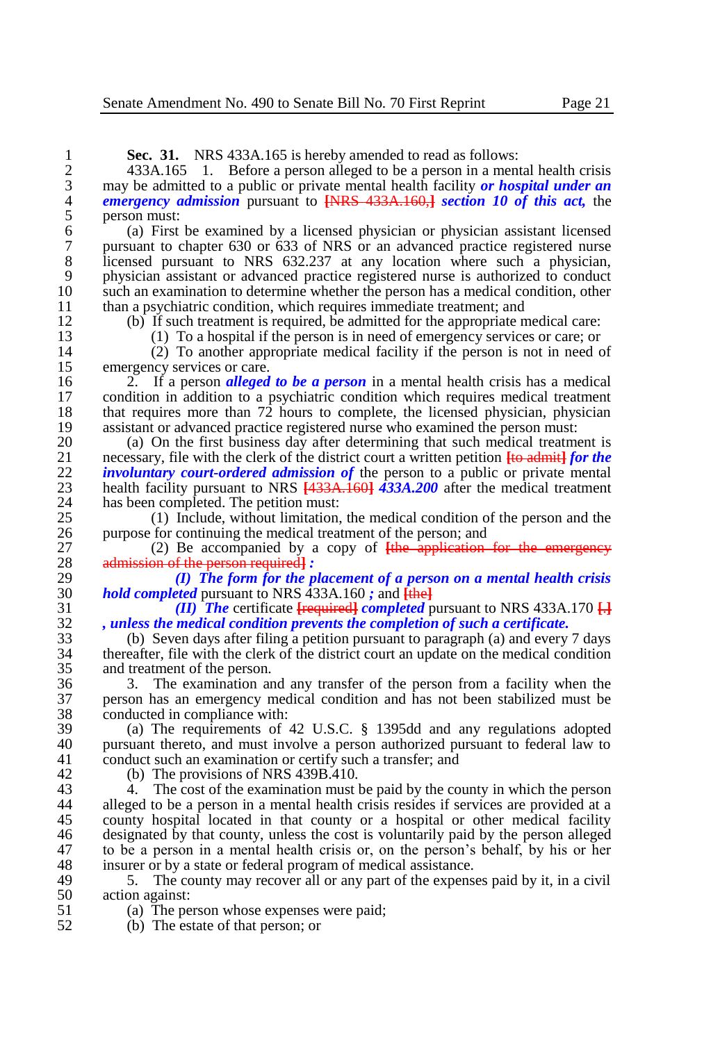**Sec. 31.** NRS 433A.165 is hereby amended to read as follows:<br>2 433A.165 1. Before a person alleged to be a person in a men

2 433A.165 1. Before a person alleged to be a person in a mental health crisis may be admitted to a public or private mental health facility *or hospital under an* 3 may be admitted to a public or private mental health facility *or hospital under an*  $\frac{4}{3}$  emergency admission pursuant to <del>INRS 433A, 160.1</del> section 10 of this act. the 4 *emergency admission* pursuant to **[**NRS 433A.160,**]** *section 10 of this act,* the 5 person must:<br>6 (a) First

6 (a) First be examined by a licensed physician or physician assistant licensed 7 pursuant to chapter 630 or 633 of NRS or an advanced practice registered nurse<br>8 licensed pursuant to NRS 632.237 at any location where such a physician. 8 licensed pursuant to NRS 632.237 at any location where such a physician, physician assistant or advanced practice registered nurse is authorized to conduct 9 physician assistant or advanced practice registered nurse is authorized to conduct such an examination to determine whether the person has a medical condition, other 10 such an examination to determine whether the person has a medical condition, other than a psychiatric condition, which requires immediate treatment: and 11 than a psychiatric condition, which requires immediate treatment; and<br>12. (b) If such treatment is required, be admitted for the appropriate n

12 (b) If such treatment is required, be admitted for the appropriate medical care:<br>13 (1) To a hospital if the person is in need of emergency services or care: or

13 (1) To a hospital if the person is in need of emergency services or care; or 14 (2) To another appropriate medical facility if the person is not in need of 14 (2) To another appropriate medical facility if the person is not in need of

15 emergency services or care.<br>16 2. If a person *alleged* 16 2. If a person *alleged to be a person* in a mental health crisis has a medical 17 condition in addition to a psychiatric condition which requires medical treatment 18 that requires more than 72 hours to complete, the licensed physician, physician 18 that requires more than  $72$  hours to complete, the licensed physician, physician assistant or advanced practice registered nurse who examined the person must: 19 assistant or advanced practice registered nurse who examined the person must:<br>20 (a) On the first business day after determining that such medical treatments

20 (a) On the first business day after determining that such medical treatment is necessary, file with the clerk of the district court a written petition  $\frac{1}{2}$  for the 21 necessary, file with the clerk of the district court a written petition **[to admitherent]** *for the*  $\frac{1}{2}$  *involuntary court-ordered admission of the person to a public or private mental* 22 *involuntary court-ordered admission of* the person to a public or private mental<br>23 health facility pursuant to NRS 1433A 1601 433A 200 after the medical treatment 23 health facility pursuant to NRS  $\overline{433A.160}$  *433A.200* after the medical treatment has been completed. The petition must: 24 has been completed. The petition must:<br>25 (1) Include, without limitation.

25 (1) Include, without limitation, the medical condition of the person and the 26 purpose for continuing the medical treatment of the person; and  $27$  (2) Be accompanied by a copy of  $\frac{1}{2}$  Eulerian

27 (2) Be accompanied by a copy of **[**the application for the emergency 28 admission of the person required**]** *:*

29 *(I) The form for the placement of a person on a mental health crisis*  $30$  *hold completed pursuant to NRS* 433A.160 *: and lihel* 30 *hold completed pursuant to NRS 433A.160 ; and*  $\frac{[the]}{[the]}$ *<br>31 <i>(II) The certificate is equired completed n* 

31 *(II) The* certificate **[**required**]** *completed* pursuant to NRS 433A.170 **[**.**]** 32 *, unless the medical condition prevents the completion of such a certificate.*

 $33$  (b) Seven days after filing a petition pursuant to paragraph (a) and every 7 days thereafter, file with the clerk of the district court an undate on the medical condition 34 thereafter, file with the clerk of the district court an update on the medical condition and treatment of the person.

36 3. The examination and any transfer of the person from a facility when the 37 person has an emergency medical condition and has not been stabilized must be 38 conducted in compliance with:<br>39 (a) The requirements of  $\epsilon$ 

39 (a) The requirements of 42 U.S.C. § 1395dd and any regulations adopted 40 pursuant thereto, and must involve a person authorized pursuant to federal law to conduct such an examination or certify such a transfer: and conduct such an examination or certify such a transfer; and

42 (b) The provisions of NRS 439B.410.<br>43 4. The cost of the examination must 43 4. The cost of the examination must be paid by the county in which the person<br>44 alleged to be a person in a mental health crisis resides if services are provided at a alleged to be a person in a mental health crisis resides if services are provided at a 45 county hospital located in that county or a hospital or other medical facility<br>46 designated by that county unless the cost is voluntarily paid by the person alleged 46 designated by that county, unless the cost is voluntarily paid by the person alleged<br>47 to be a person in a mental health crisis or, on the person's behalf, by his or her 47 to be a person in a mental health crisis or, on the person's behalf, by his or her insurer or by a state or federal program of medical assistance. 48 insurer or by a state or federal program of medical assistance.<br>49 5. The county may recover all or any part of the expense

49 5. The county may recover all or any part of the expenses paid by it, in a civil 50 action against:<br>51 (a) The per-

51 (a) The person whose expenses were paid;<br>52 (b) The estate of that person: or

(b) The estate of that person; or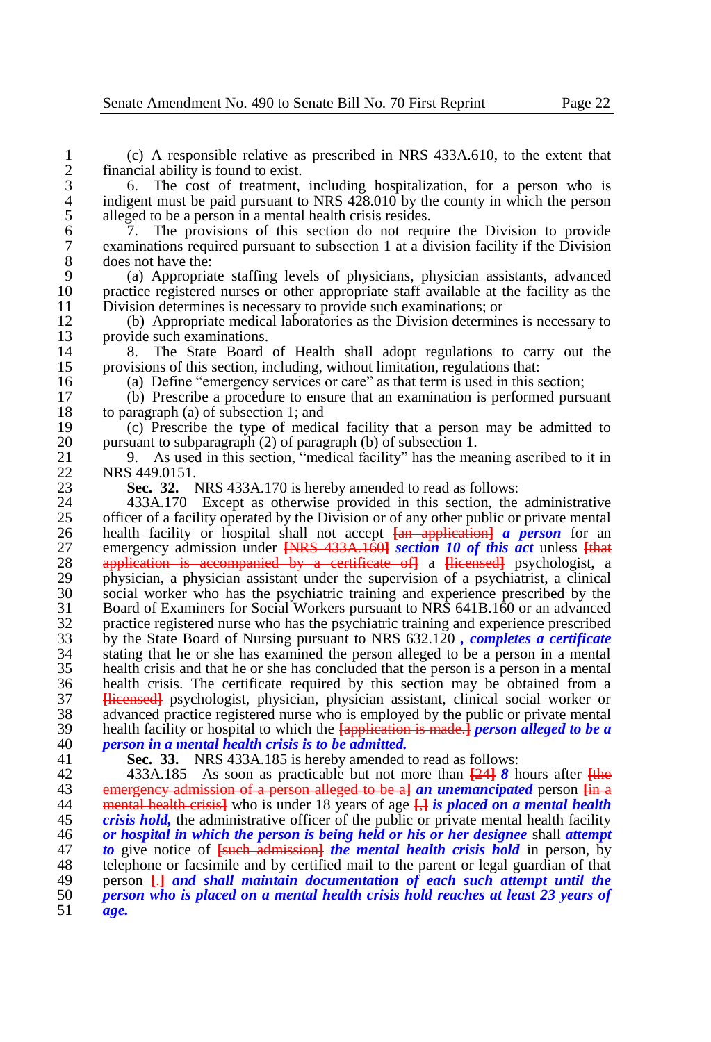1 (c) A responsible relative as prescribed in NRS 433A.610, to the extent that 2 financial ability is found to exist.<br>3 6. The cost of treatment.

3 6. The cost of treatment, including hospitalization, for a person who is indigent must be paid pursuant to NRS 428.010 by the county in which the person 4 indigent must be paid pursuant to NRS  $428.010$  by the county in which the person alleged to be a person in a mental health crisis resides. 5 alleged to be a person in a mental health crisis resides.<br>6 7. The provisions of this section do not requ

6 7. The provisions of this section do not require the Division to provide 7 examinations required pursuant to subsection 1 at a division facility if the Division 8 does not have the:<br>9 (a) Appropria

9 (a) Appropriate staffing levels of physicians, physician assistants, advanced 10 practice registered nurses or other appropriate staff available at the facility as the <br>11 Division determines is necessary to provide such examinations: or 11 Division determines is necessary to provide such examinations; or<br>12 (b) Appropriate medical laboratories as the Division determin

12 (b) Appropriate medical laboratories as the Division determines is necessary to 13 provide such examinations.<br>14 8. The State Board

14 8. The State Board of Health shall adopt regulations to carry out the provisions of this section, including, without limitation, regulations that: 15 provisions of this section, including, without limitation, regulations that:<br>16 (a) Define "emergency services or care" as that term is used in this s

16 (a) Define "emergency services or care" as that term is used in this section;<br>17 (b) Prescribe a procedure to ensure that an examination is performed purs

17 (b) Prescribe a procedure to ensure that an examination is performed pursuant 18 to paragraph (a) of subsection 1; and<br>19 (c) Prescribe the type of medic

19 (c) Prescribe the type of medical facility that a person may be admitted to  $20$  pursuant to subparagraph  $(2)$  of paragraph  $(b)$  of subsection 1. 20 pursuant to subparagraph (2) of paragraph (b) of subsection 1.<br>21 9. As used in this section, "medical facility" has the me-

21 9. As used in this section, "medical facility" has the meaning ascribed to it in<br>22 NRS 449.0151. 22 NRS 449.0151.<br>23 Sec. 32.

23 **Sec. 32.** NRS 433A.170 is hereby amended to read as follows:<br>24 433A.170 Except as otherwise provided in this section, the

24 433A.170 Except as otherwise provided in this section, the administrative of a facility operated by the Division or of any other public or private mental 25 officer of a facility operated by the Division or of any other public or private mental 26 health facility or hospital shall not accept  $\frac{1}{2}$  or application and person for an 26 health facility or hospital shall not accept  $\frac{1}{2}$  a person and the person of and the energy admission under  $\frac{1}{2}$  and  $\frac{1}{2}$  and  $\frac{1}{2}$  and  $\frac{1}{2}$  are the energy admission under  $\frac{1}{2}$  and  $\frac{1}{2}$ 27 emergency admission under **[**NRS 433A.160**]** *section 10 of this act* unless **[**that 28 application is accompanied by a certificate of**]** a **[**licensed**]** psychologist, a 29 physician, a physician assistant under the supervision of a psychiatrist, a clinical 30 social worker who has the psychiatric training and experience prescribed by the 30 social worker who has the psychiatric training and experience prescribed by the 31 Board of Examiners for Social Workers pursuant to NRS 641B.160 or an advanced 31 Board of Examiners for Social Workers pursuant to NRS 641B.160 or an advanced 32 practice registered nurse who has the psychiatric training and experience prescribed<br>33 by the State Board of Nursing pursuant to NRS 632.120, completes a certificate 33 by the State Board of Nursing pursuant to NRS 632.120 *, completes a certificate*  34 stating that he or she has examined the person alleged to be a person in a mental 35 health crisis and that he or she has concluded that the person is a person in a mental 36 health crisis. The certificate required by this section may be obtained from a<br>37 **Hicensedl** psychologist, physician, physician assistant, clinical social worker or 37 **[**licensed**]** psychologist, physician, physician assistant, clinical social worker or 38 advanced practice registered nurse who is employed by the public or private mental<br>39 health facility or hospital to which the **Lapplication is made.** Laterson alleged to be a 39 health facility or hospital to which the **[**application is made.**]** *person alleged to be a*  40 *person in a mental health crisis is to be admitted.*

**Sec. 33.** NRS 433A.185 is hereby amended to read as follows:

 433A.185 As soon as practicable but not more than **[**24**]** *8* hours after **[**the emergency admission of a person alleged to be a**]** *an unemancipated* person **[**in a mental health crisis**]** who is under 18 years of age **[**,**]** *is placed on a mental health crisis hold*, the administrative officer of the public or private mental health facility<br>46 *or hospital in which the person is being held or his or her designee shall attemnt or hospital in which the person is being held or his or her designee* shall *attempt to* give notice of **[**such admission**]** *the mental health crisis hold* in person, by 48 telephone or facsimile and by certified mail to the parent or legal guardian of that<br>49 between  $\Box A$  and shall maintain documentation of each such attempt until the 49 person <del>[.]</del> and shall maintain documentation of each such attempt until the <br>50 person who is placed on a mental health crisis hold reaches at least 23 years of *person who is placed on a mental health crisis hold reaches at least 23 years of*  51 *age.*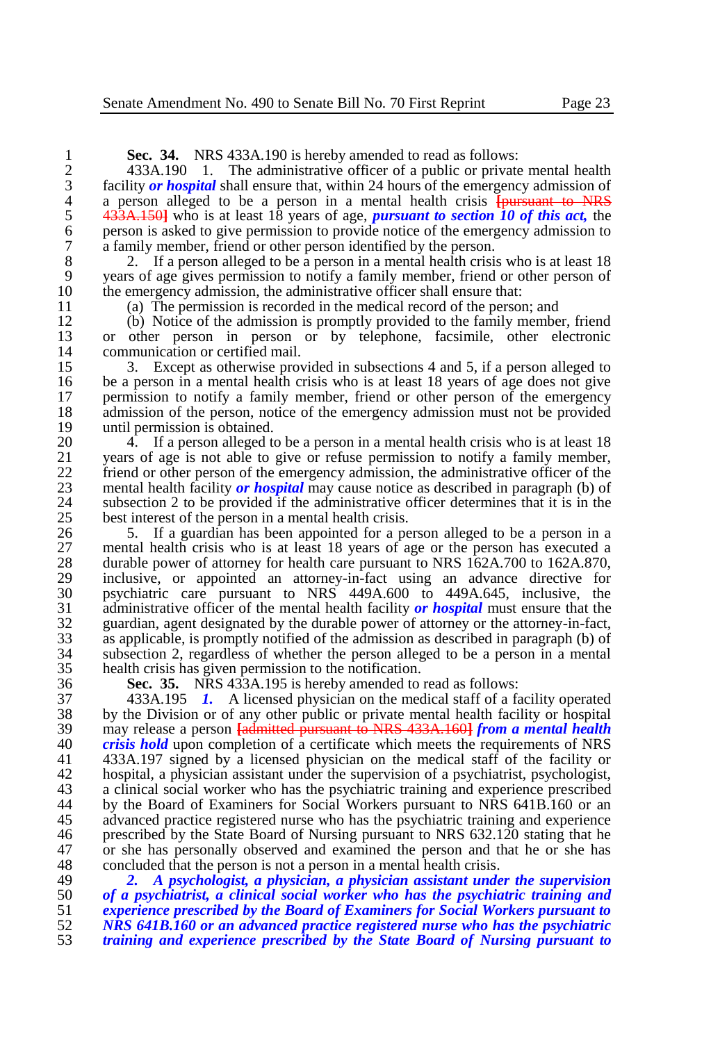**Sec. 34.** NRS 433A.190 is hereby amended to read as follows:<br>2 433A.190 1. The administrative officer of a public or private

2 433A.190 1. The administrative officer of a public or private mental health facility *or hospital* shall ensure that, within 24 hours of the emergency admission of 3 facility *or hospital* shall ensure that, within 24 hours of the emergency admission of a person alleged to be a person in a mental health crisis **fourwant** to NRS 4 a person alleged to be a person in a mental health crisis **[pursuant to NRS** 5 433A, 150] who is at least 18 years of age, *pursuant to section 10 of this act*, the 5 433A.150**]** who is at least 18 years of age, *pursuant to section 10 of this act*, the person is asked to give permission to provide notice of the emergency admission to 6 person is asked to give permission to provide notice of the emergency admission to a family member, friend or other person identified by the person. 7 a family member, friend or other person identified by the person.

8 2. If a person alleged to be a person in a mental health crisis who is at least 18 9 years of age gives permission to notify a family member, friend or other person of the emergency admission, the administrative officer shall ensure that: 10 the emergency admission, the administrative officer shall ensure that:<br>11 (a) The permission is recorded in the medical record of the person

11 (a) The permission is recorded in the medical record of the person; and 12 (b) Notice of the admission is promptly provided to the family member

12 (b) Notice of the admission is promptly provided to the family member, friend 13 or other person in person or by telephone. facsimile, other electronic 13 or other person in person or by telephone, facsimile, other electronic communication or certified mail. 14 communication or certified mail.<br>15 3. Except as otherwise pro-

15 3. Except as otherwise provided in subsections 4 and 5, if a person alleged to 16 be a person in a mental health crisis who is at least 18 years of age does not give 16 be a person in a mental health crisis who is at least 18 years of age does not give<br>17 permission to notify a family member, friend or other person of the emergency 17 permission to notify a family member, friend or other person of the emergency<br>18 admission of the person, notice of the emergency admission must not be provided 18 admission of the person, notice of the emergency admission must not be provided 19 until permission is obtained. 19 until permission is obtained.<br>20 4 If a person alleged to

20 4. If a person alleged to be a person in a mental health crisis who is at least 18<br>21 vears of age is not able to give or refuse permission to notify a family member. 21 years of age is not able to give or refuse permission to notify a family member,<br>22 friend or other person of the emergency admission, the administrative officer of the 22 friend or other person of the emergency admission, the administrative officer of the mental health facility or *hospital* may cause notice as described in paragraph (b) of 23 mental health facility *or hospital* may cause notice as described in paragraph (b) of 24 subsection 2 to be provided if the administrative officer determines that it is in the best interest of the person in a mental health crisis. 25 best interest of the person in a mental health crisis.<br>26 5. If a guardian has been appointed for a per-

26 5. If a guardian has been appointed for a person alleged to be a person in a 27 mental health crisis who is at least 18 years of age or the person has executed a<br>28 durable power of attorney for health care pursuant to NRS 162A 700 to 162A 870. 28 durable power of attorney for health care pursuant to NRS 162A.700 to 162A.870,<br>29 inclusive, or appointed an attorney-in-fact using an advance directive for 29 inclusive, or appointed an attorney-in-fact using an advance directive for<br>30 november of nursuant to NRS 449A.600 to 449A.645, inclusive, the 30 psychiatric care pursuant to NRS 449A.600 to 449A.645, inclusive, the administrative officer of the mental health facility or hospital must ensure that the 31 administrative officer of the mental health facility *or hospital* must ensure that the 32 guardian, agent designated by the durable power of attorney or the attorney-in-fact,<br>33 as applicable, is promptly notified of the admission as described in paragraph (b) of 33 as applicable, is promptly notified of the admission as described in paragraph (b) of 34 subsection 2, regardless of whether the person alleged to be a person in a mental health crisis has given permission to the notification.

36 **Sec. 35.** NRS 433A.195 is hereby amended to read as follows: 37 433A.195 *1.* A licensed physician on the medical staff of a facility operated 38 by the Division or of any other public or private mental health facility or hospital<br>39 may release a person **Ladmitted pursuant to NRS 433A 1601 from a mental health** 39 may release a person **[**admitted pursuant to NRS 433A.160**]** *from a mental health*  40 *crisis hold* upon completion of a certificate which meets the requirements of NRS<br>41 433A.197 signed by a licensed physician on the medical staff of the facility or 41 433A.197 signed by a licensed physician on the medical staff of the facility or 42 hospital, a physician assistant under the supervision of a psychiatrist, psychologist,<br>43 a clinical social worker who has the psychiatric training and experience prescribed 43 a clinical social worker who has the psychiatric training and experience prescribed 44 by the Board of Examiners for Social Workers pursuant to NRS 641B.160 or an by the Board of Examiners for Social Workers pursuant to NRS 641B.160 or an 45 advanced practice registered nurse who has the psychiatric training and experience<br>46 erescribed by the State Board of Nursing pursuant to NRS 632.120 stating that he 46 prescribed by the State Board of Nursing pursuant to NRS 632.120 stating that he<br>47 or she has personally observed and examined the person and that he or she has 47 or she has personally observed and examined the person and that he or she has concluded that the person is not a person in a mental health crisis. 48 concluded that the person is not a person in a mental health crisis.<br>49  $\frac{2}{3}$  A psychologist, a physician, a physician assistant unde

 *2. A psychologist, a physician, a physician assistant under the supervision of a psychiatrist, a clinical social worker who has the psychiatric training and experience prescribed by the Board of Examiners for Social Workers pursuant to NRS 641B.160 or an advanced practice registered nurse who has the psychiatric training and experience prescribed by the State Board of Nursing pursuant to*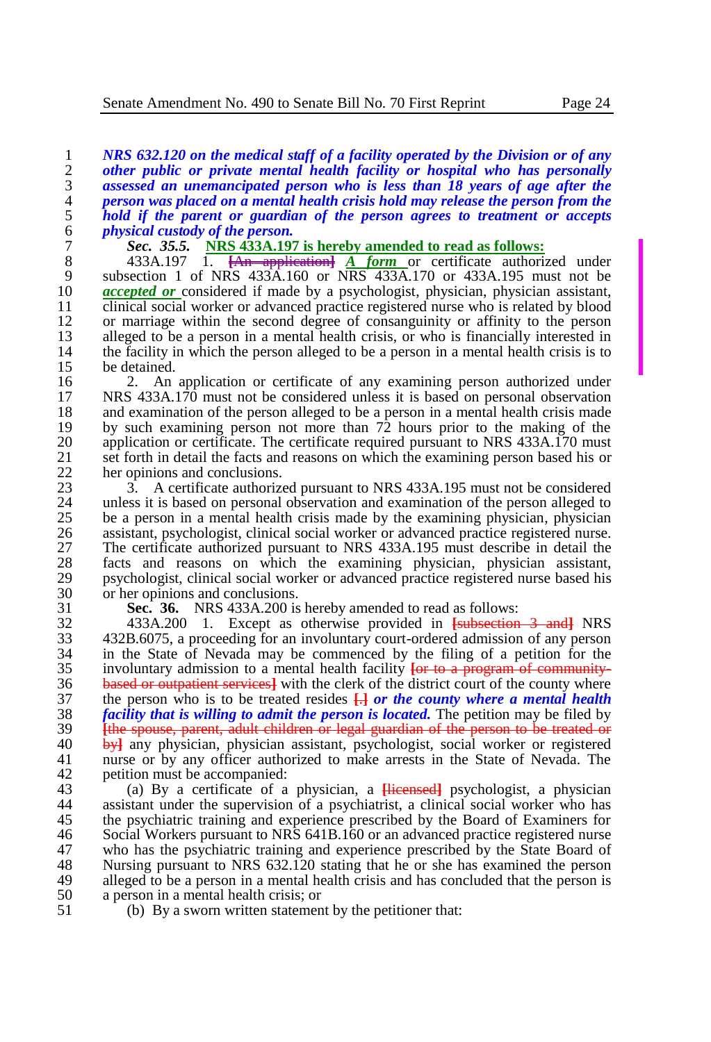*NRS 632.120 on the medical staff of a facility operated by the Division or of any other public or private mental health facility or hospital who has personally assessed an unemancipated person who is less than 18 years of age after the person was placed on a mental health crisis hold may release the person from the hold if the parent or guardian of the person agrees to treatment or accepts physical custody of the person.* 

7 **Sec.** 35.5. **NRS 433A.197 is hereby amended to read as follows:<br>8 433A.197 1. <del>[An application]</del> A form or certificate authori** 

8 433A.197 1. **[An application] A form** or certificate authorized under subsection 1 of NRS 433A.160 or NRS 433A.170 or 433A.195 must not be 9 subsection 1 of NRS  $433\text{\AA}$ .160 or NRS  $433\text{\AA}$ .170 or  $433\text{\AA}$ .195 must not be  $\alpha$  *accepted or* considered if made by a psychologist, physician, physician assistant. 10 *accepted or* considered if made by a psychologist, physician, physician assistant, clinical social worker or advanced practice registered nurse who is related by blood 11 clinical social worker or advanced practice registered nurse who is related by blood<br>12 or marriage within the second degree of consanguinity or affinity to the person 12 or marriage within the second degree of consanguinity or affinity to the person<br>13 alleged to be a person in a mental health crisis, or who is financially interested in 13 alleged to be a person in a mental health crisis, or who is financially interested in the facility in which the person alleged to be a person in a mental health crisis is to 14 the facility in which the person alleged to be a person in a mental health crisis is to be detained. 15 be detained.<br>16 2. An

16 2. An application or certificate of any examining person authorized under<br>17 NRS 433A.170 must not be considered unless it is based on personal observation 17 NRS 433A.170 must not be considered unless it is based on personal observation 18 and examination of the person alleged to be a person in a mental health crisis made<br>19 by such examining person not more than 72 hours prior to the making of the 19 by such examining person not more than 72 hours prior to the making of the<br>20 application or certificate. The certificate required pursuant to NRS 433A.170 must 20 application or certificate. The certificate required pursuant to NRS 433A.170 must<br>21 set forth in detail the facts and reasons on which the examining person based his or 21 set forth in detail the facts and reasons on which the examining person based his or her opinions and conclusions. 22 her opinions and conclusions.<br>23  $\overline{3}$  A certificate authorized

23 3. A certificate authorized pursuant to NRS 433A.195 must not be considered 24 unless it is based on personal observation and examination of the person alleged to 24 unless it is based on personal observation and examination of the person alleged to 25 be a person in a mental health crisis made by the examining physician, physician 25 be a person in a mental health crisis made by the examining physician, physician 26 assistant, psychologist, clinical social worker or advanced practice registered nurse. 26 assistant, psychologist, clinical social worker or advanced practice registered nurse.<br>27 The certificate authorized pursuant to NRS 433A.195 must describe in detail the 27 The certificate authorized pursuant to NRS 433A.195 must describe in detail the facts and reasons on which the examining physician, physician assistant. 28 facts and reasons on which the examining physician, physician assistant, 29 symbologist, clinical social worker or advanced practice registered nurse based his 29 psychologist, clinical social worker or advanced practice registered nurse based his<br>30 or her opinions and conclusions. 30 or her opinions and conclusions.<br>31 **Sec. 36.** NRS 433A.200 is

31 **Sec. 36.** NRS 433A.200 is hereby amended to read as follows:

32 433A.200 1. Except as otherwise provided in **[**subsection 3 and**]** NRS 33 432B.6075, a proceeding for an involuntary court-ordered admission of any person  $34$  in the State of Nevada may be commenced by the filing of a petition for the involuntary admission to a mental health facility for to a program of communityinvoluntary admission to a mental health facility **[or to a program of community-**36 **based or outpatient services** with the clerk of the district court of the county where the nerson who is to be treated resides  $\Box$  or the county where a mental health 37 the person who is to be treated resides  $\frac{1}{k}$  *or the county where a mental health* 38 facility that is willing to admit the person is located. The petition may be filed by 38 *facility that is willing to admit the person is located*. The petition may be filed by<br>39 **the spouse** parent, adult children or legal guardian of the person to be treated or <sup>39</sup> **The spouse, parent, adult children or legal guardian of the person to be treated or** 40 **by** any physician, physician assistant, psychologist, social worker or registered 40 by any physician, physician assistant, psychologist, social worker or registered 41 murse or by any officer authorized to make arrests in the State of Nevada. The nurse or by any officer authorized to make arrests in the State of Nevada. The 42 petition must be accompanied:<br>43 (a) By a certificate of a

43 (a) By a certificate of a physician, a **[**licensed**]** psychologist, a physician assistant under the supervision of a psychiatrist, a clinical social worker who has 45 the psychiatric training and experience prescribed by the Board of Examiners for<br>46 Social Workers pursuant to NRS 641B.160 or an advanced practice registered nurse 46 Social Workers pursuant to NRS 641B.160 or an advanced practice registered nurse<br>47 who has the psychiatric training and experience prescribed by the State Board of 47 who has the psychiatric training and experience prescribed by the State Board of 48 Nursing pursuant to NRS 632.120 stating that he or she has examined the person 48 Nursing pursuant to NRS 632.120 stating that he or she has examined the person<br>49 alleged to be a person in a mental health crisis and has concluded that the person is 49 alleged to be a person in a mental health crisis and has concluded that the person is a person in a mental health crisis: or 50 a person in a mental health crisis; or<br>51 (b) By a sworn written statemen

(b) By a sworn written statement by the petitioner that: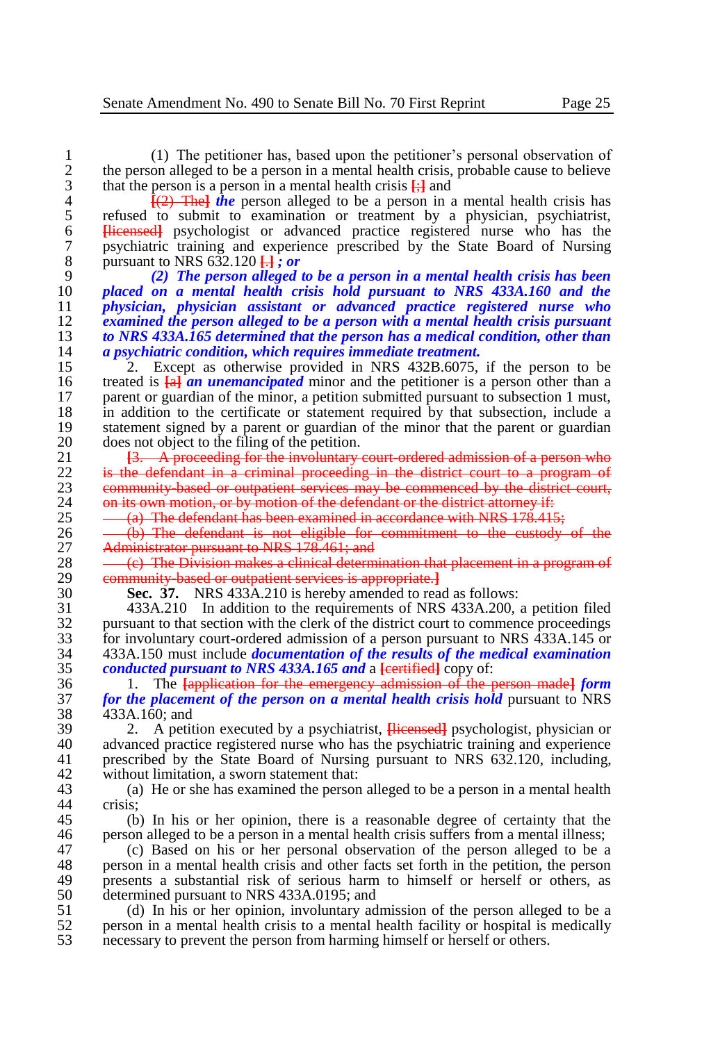1 (1) The petitioner has, based upon the petitioner's personal observation of 2 the person alleged to be a person in a mental health crisis, probable cause to believe<br>3 that the person is a person in a mental health crisis  $\frac{1}{2}$  and 3 that the person is a person in a mental health crisis  $\frac{1}{2}$  and 4 the person alleged to be a person in a

<sup>4</sup>  $\frac{f(2)$  The *i* the person alleged to be a person in a mental health crisis has refused to submit to examination or treatment by a physician, psychiatrist, 5 refused to submit to examination or treatment by a physician, psychiatrist, 6 Hicensed psychologist or advanced practice registered nurse who has the 6 **[**licensed**]** psychologist or advanced practice registered nurse who has the 7 psychiatric training and experience prescribed by the State Board of Nursing<br>8 pursuant to NRS 632.120  $\frac{1}{1}$ : or 8 <b>28</b> <b>29</b> <b>20</b> <b>The person alleged</b> <b>20</b> <b>The person alleged</b>

 *(2) The person alleged to be a person in a mental health crisis has been placed on a mental health crisis hold pursuant to NRS 433A.160 and the physician, physician assistant or advanced practice registered nurse who examined the person alleged to be a person with a mental health crisis pursuant to NRS 433A.165 determined that the person has a medical condition, other than a psychiatric condition, which requires immediate treatment.*

15 <sup>2</sup>. Except as otherwise provided in NRS 432B.6075, if the person to be treated is  $\frac{1}{4}$  an *unemancipated* minor and the petitioner is a person other than a 16 treated is  $\frac{1}{2}$  **an unemancipated** minor and the petitioner is a person other than a narrow parallel number of the minor, a petition submitted pursuant to subsection 1 must. 17 parent or guardian of the minor, a petition submitted pursuant to subsection 1 must, 18 in addition to the certificate or statement required by that subsection, include a 18 in addition to the certificate or statement required by that subsection, include a statement signed by a parent or guardian of the minor that the parent or guardian 19 statement signed by a parent or guardian of the minor that the parent or guardian does not object to the filing of the netition. 20 does not object to the filing of the petition.<br>21 <del>13. A proceeding for the involuntary</del>

21 **[3. A proceeding for the involuntary court-ordered admission of a person who**<br>22 **is the defendant in a criminal proceeding in the district court to a program of** 22 is the defendant in a criminal proceeding in the district court to a program of<br>23 community based or outpatient services may be commenced by the district court 23 community-based or outpatient services may be commenced by the district court,<br>24 on its own motion, or by motion of the defendant or the district attorney if: 24 on its own motion, or by motion of the defendant or the district attorney if:<br>25  $-6$ . The defendant has been examined in accordance with NRS 178,415

25  $-\frac{a}{b}$  The defendant has been examined in accordance with NRS 178.415;<br>26  $-\frac{b}{c}$  The defendant is not eligible for commitment to the custody

26 - (b) The defendant is not eligible for commitment to the custody of the 27 Administrator pursuant to NRS 178.461; and 27 Administrator pursuant to NRS 178.461; and<br>28 (c) The Division makes a clinical determ

28 (c) The Division makes a clinical determination that placement in a program of<br>29 community based or outpatient services is appropriate. 29 community-based or outpatient services is appropriate.<sup>1</sup><br>30 Sec. 37. NRS 433A.210 is hereby amended to read

30 **Sec. 37.** NRS 433A.210 is hereby amended to read as follows:

31 433A.210 In addition to the requirements of NRS 433A.200, a petition filed 32 pursuant to that section with the clerk of the district court to commence proceedings<br>33 for involuntary court-ordered admission of a person pursuant to NRS 433A.145 or  $\frac{33}{14}$  for involuntary court-ordered admission of a person pursuant to NRS 433A.145 or<br>34  $\frac{433A.150}{14}$  must include *documentation of the results of the medical examination* 34 433A.150 must include *documentation of the results of the medical examination conducted pursuant to NRS 433A.165 and a [eertified]* **copy of:** 

36 1. The **[**application for the emergency admission of the person made**]** *form*  37 *for the placement of the person on a mental health crisis hold* **pursuant to NRS** 433A.160; and 38 433A.160; and<br>39 2 A petit

39 2. A petition executed by a psychiatrist, **[**licensed**]** psychologist, physician or 40 advanced practice registered nurse who has the psychiatric training and experience<br>41 origination of the State Board of Nursing pursuant to NRS 632.120, including prescribed by the State Board of Nursing pursuant to NRS 632.120, including, 42 without limitation, a sworn statement that:<br>43 (a) He or she has examined the person

43 (a) He or she has examined the person alleged to be a person in a mental health crisis:

45 (b) In his or her opinion, there is a reasonable degree of certainty that the person alleged to be a person in a mental health crisis suffers from a mental illness: 46 person alleged to be a person in a mental health crisis suffers from a mental illness;<br>47 (c) Based on his or her personal observation of the person alleged to be a

47 (c) Based on his or her personal observation of the person alleged to be a<br>48 nerson in a mental health crisis and other facts set forth in the pertition, the person 48 person in a mental health crisis and other facts set forth in the petition, the person<br>49 persents a substantial risk of serious harm to himself or herself or others, as 49 presents a substantial risk of serious harm to himself or herself or others, as determined pursuant to NRS 433A 0195; and 50 determined pursuant to NRS 433A.0195; and<br>51 (d) In his or her opinion, involuntary ad

51 (d) In his or her opinion, involuntary admission of the person alleged to be a<br>52 person in a mental health crisis to a mental health facility or hospital is medically 52 person in a mental health crisis to a mental health facility or hospital is medically<br>53 necessary to prevent the person from harming himself or herself or others. necessary to prevent the person from harming himself or herself or others.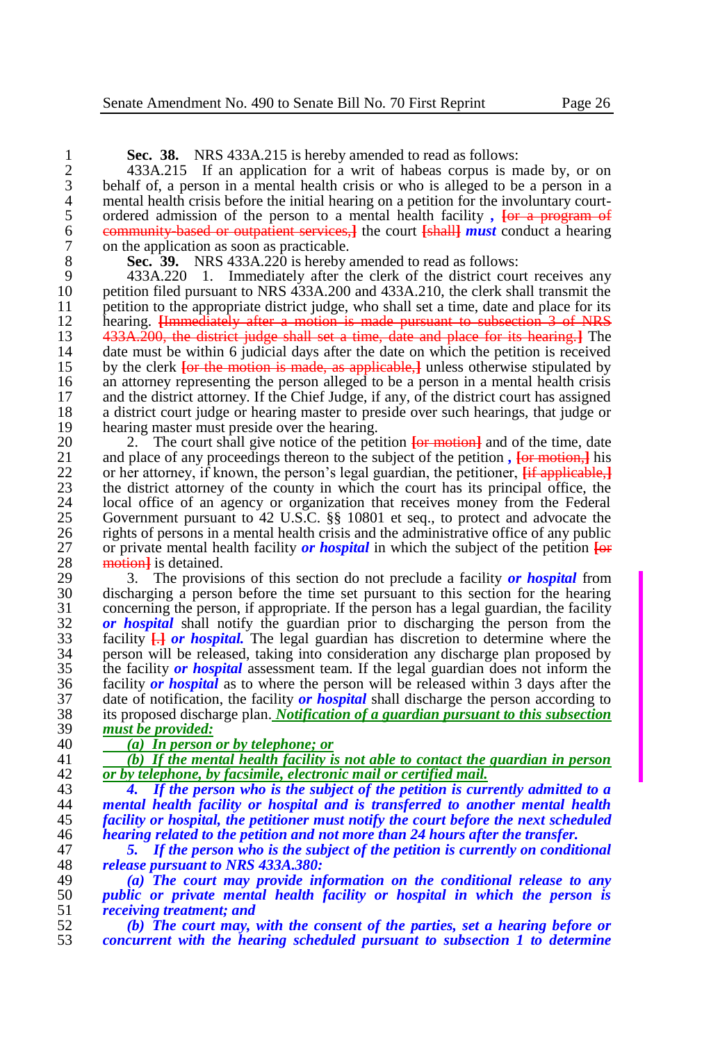**Sec. 38.** NRS 433A.215 is hereby amended to read as follows:<br>2 433A.215 If an application for a writ of habeas corpus is m

2 433A.215 If an application for a writ of habeas corpus is made by, or on behalf of, a person in a mental health crisis or who is alleged to be a person in a 3 behalf of, a person in a mental health crisis or who is alleged to be a person in a 4 mental health crisis before the initial hearing on a petition for the involuntary court-<br>5 ordered admission of the person to a mental health facility, For a program of 5 ordered admission of the person to a mental health facility,  $\frac{1}{100}$   $\frac{1}{100}$   $\frac{1}{100}$   $\frac{1}{100}$   $\frac{1}{100}$   $\frac{1}{100}$   $\frac{1}{100}$   $\frac{1}{100}$   $\frac{1}{100}$   $\frac{1}{100}$   $\frac{1}{100}$   $\frac{1}{100}$   $\frac{1}{100}$   $\frac$ 6 community-based or outpatient services,**]** the court **[**shall**]** *must* conduct a hearing 7 on the application as soon as practicable.<br>8 **Sec. 39.** NRS 433A.220 is hereby

8 **Sec. 39.** NRS 433A.220 is hereby amended to read as follows:<br>9 433A.220 1. Immediately after the clerk of the district cour

9 433A.220 1. Immediately after the clerk of the district court receives any<br>10 petition filed pursuant to NRS 433A.200 and 433A.210, the clerk shall transmit the 10 petition filed pursuant to NRS 433A.200 and 433A.210, the clerk shall transmit the netition to the appropriate district judge, who shall set a time, date and place for its 11 petition to the appropriate district judge, who shall set a time, date and place for its<br>12 hearing. Humpediately after a motion is made pursuant to subsection 3 of NRS 12 hearing. <del>[Immediately after a motion is made pursuant to subsection 3 of NRS</del><br>13 433A.200, the district judge shall set a time, date and place for its hearing. The 13 433A. 200, the district judge shall set a time, date and place for its hearing. The date must be within 6 judicial days after the date on which the netition is received 14 date must be within 6 judicial days after the date on which the petition is received<br>15 by the clerk for the motion is made, as applicable. I unless otherwise stipulated by 15 by the clerk **[or the motion is made, as applicable,]** unless otherwise stipulated by an attorney representing the person alleged to be a person in a mental health crisis 16 an attorney representing the person alleged to be a person in a mental health crisis and the district attorney. If the Chief Judge, if any, of the district court has assigned and the district attorney. If the Chief Judge, if any, of the district court has assigned 18 a district court judge or hearing master to preside over such hearings, that judge or hearing master must preside over the hearing. 19 hearing master must preside over the hearing.<br>20 2. The court shall give notice of the per-

20 2. The court shall give notice of the petition  $\frac{1}{\pi}$  and of the time, date 21 and place of any proceedings thereon to the subject of the petition. **For motion.** I his 21 and place of any proceedings thereon to the subject of the petition,  $\frac{1}{2}$  **[or motion,**] his or her attorney, if known, the person's legal guardian, the petitioner. *if applicable 1* 22 or her attorney, if known, the person's legal guardian, the petitioner, *h* applicable, 23 the district attorney of the county in which the court has its principal office, the 23 the district attorney of the county in which the court has its principal office, the local office of an agency or organization that receives money from the Federal 24 local office of an agency or organization that receives money from the Federal 25 Covernment pursuant to 42 U.S.C. 88 10801 et seq., to protect and advocate the 25 Government pursuant to 42 U.S.C. §§ 10801 et seq., to protect and advocate the rights of persons in a mental health crisis and the administrative office of any public 26 rights of persons in a mental health crisis and the administrative office of any public<br>27 or private mental health facility *or hospital* in which the subject of the petition  $\overline{1}$ 27 or private mental health facility *or hospital* in which the subject of the petition  $\frac{1}{\Theta^2}$ <br>28 motion is detained. 28 motion<sup>1</sup> is detained.<br>29 3 The provisi

 3. The provisions of this section do not preclude a facility *or hospital* from discharging a person before the time set pursuant to this section for the hearing 31 concerning the person, if appropriate. If the person has a legal guardian, the facility  $\frac{\partial f}{\partial x}$  or *hospital* shall notify the guardian prior to discharging the person from the **or hospital** shall notify the guardian prior to discharging the person from the facility  $\frac{1}{2}$  or *hospital*. The legal guardian has discretion to determine where the facility **[**.**]** *or hospital.* The legal guardian has discretion to determine where the 34 person will be released, taking into consideration any discharge plan proposed by the facility *or hospital* assessment team. If the legal guardian does not inform the the facility *or hospital* assessment team. If the legal guardian does not inform the 36 facility *or hospital* as to where the person will be released within 3 days after the 37 date of notification, the facility *or hospital* shall discharge the person according to 37 date of notification, the facility *or hospital* shall discharge the person according to<br>38 its proposed discharge plan. *Notification of a guardian pursuant to this subsection*  its proposed discharge plan. *Notification of a guardian pursuant to this subsection must be provided:*

40 *(a) In person or by telephone; or*

41 *(b) If the mental health facility is not able to contact the guardian in person*  42 *or by telephone, by facsimile, electronic mail or certified mail.*

 *4. If the person who is the subject of the petition is currently admitted to a mental health facility or hospital and is transferred to another mental health facility or hospital, the petitioner must notify the court before the next scheduled hearing related to the petition and not more than 24 hours after the transfer.*

47 *5. If the person who is the subject of the petition is currently on conditional*  48 *release pursuant to NRS 433A.380:*

49 *(a) The court may provide information on the conditional release to any*  50 *public or private mental health facility or hospital in which the person is*  51 *receiving treatment; and*

52 *(b) The court may, with the consent of the parties, set a hearing before or*  53 *concurrent with the hearing scheduled pursuant to subsection 1 to determine*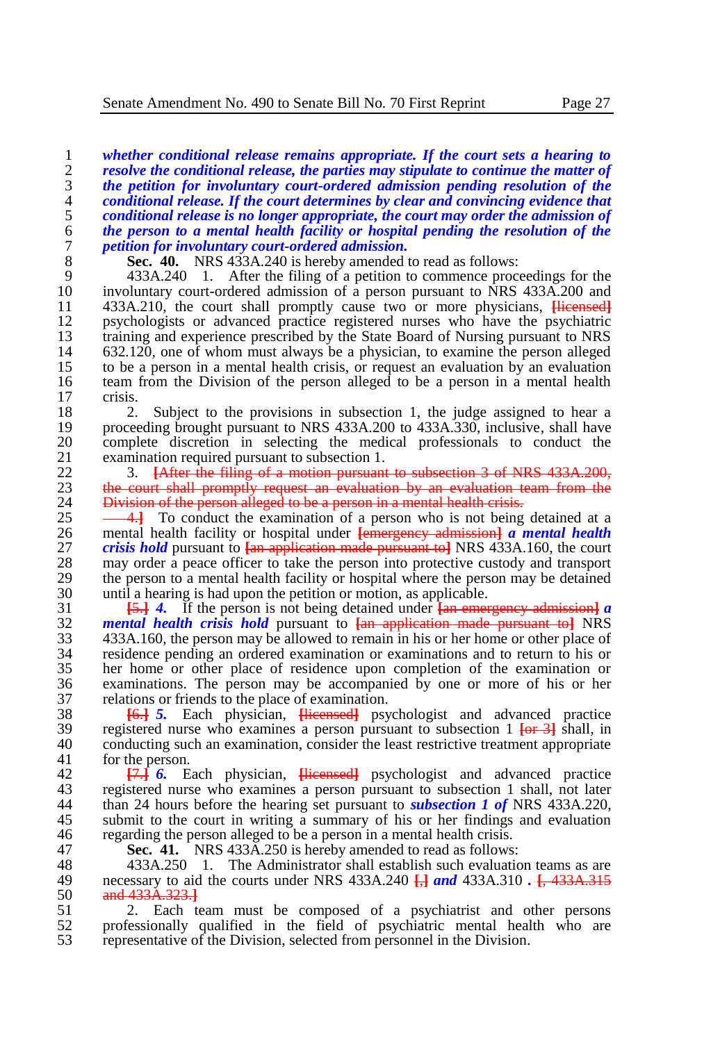*whether conditional release remains appropriate. If the court sets a hearing to resolve the conditional release, the parties may stipulate to continue the matter of the petition for involuntary court-ordered admission pending resolution of the conditional release. If the court determines by clear and convincing evidence that conditional release is no longer appropriate, the court may order the admission of the person to a mental health facility or hospital pending the resolution of the petition for involuntary court-ordered admission.*

8 **Sec.** 40. NRS 433A.240 is hereby amended to read as follows:<br>9 433A.240 1. After the filing of a petition to commence proce

9 433A.240 1. After the filing of a petition to commence proceedings for the involuntary court-ordered admission of a person pursuant to NRS 433A.200 and 10 involuntary court-ordered admission of a person pursuant to NRS 433A.200 and<br>11 433A.210, the court shall promptly cause two or more physicians. Hicensed 11 433A.210, the court shall promptly cause two or more physicians, **[licensed]**<br>12 nsychologists or advanced practice registered nurses who have the psychiatric 12 psychologists or advanced practice registered nurses who have the psychiatric training and experience prescribed by the State Board of Nursing pursuant to NRS 13 training and experience prescribed by the State Board of Nursing pursuant to NRS<br>14 632.120, one of whom must always be a physician, to examine the person alleged 14 632.120, one of whom must always be a physician, to examine the person alleged 15 to be a person in a mental health crisis, or request an evaluation by an evaluation team from the Division of the person alleged to be a person in a mental health 16 team from the Division of the person alleged to be a person in a mental health crisis. crisis.

18 2. Subject to the provisions in subsection 1, the judge assigned to hear a<br>19 proceeding brought pursuant to NRS 433A.200 to 433A.330, inclusive, shall have 19 proceeding brought pursuant to NRS 433A.200 to 433A.330, inclusive, shall have<br>20 complete discretion in selecting the medical professionals to conduct the 20 complete discretion in selecting the medical professionals to conduct the examination required pursuant to subsection 1. 21 examination required pursuant to subsection 1.<br>22. 3. **LAfter the filing of a motion pursuant** 

22 3. **[After the filing of a motion pursuant to subsection 3 of NRS 433A.200,**<br>23 the court shall promptly request an evaluation by an evaluation team from the 23 the court shall promptly request an evaluation by an evaluation team from the 24 Division of the person alleged to be a person in a mental health crisis. 24 Division of the person alleged to be a person in a mental health crisis.<br>25  $-41$  To conduct the examination of a person who is not being

<sup>25</sup> <sup>4.</sup> To conduct the examination of a person who is not being detained at a<br><sup>26</sup> mental health facility or hospital under <del>[emergency admission]</del> a mental health 26 mental health facility or hospital under **[**emergency admission**]** *a mental health*  27 *crisis hold* pursuant to **[**an application made pursuant to**]** NRS 433A.160, the court 28 may order a peace officer to take the person into protective custody and transport the person to a mental health facility or hospital where the person may be detained 29 the person to a mental health facility or hospital where the person may be detained  $\frac{30}{2}$  until a hearing is had upon the pertition or motion, as applicable. 30 until a hearing is had upon the petition or motion, as applicable.<br>31  $\overline{154}$  4. If the person is not being detained under  $\overline{160}$  emer-

 **[**5.**]** *4.* If the person is not being detained under **[**an emergency admission**]** *a mental health crisis hold* pursuant to **[**an application made pursuant to**]** NRS 433A.160, the person may be allowed to remain in his or her home or other place of residence pending an ordered examination or examinations and to return to his or her home or other place of residence upon completion of the examination or examinations. The person may be accompanied by one or more of his or her 37 relations or friends to the place of examination.<br>38  $\overline{6}$   $\overline{6}$   $\overline{5}$ . Each physician. Higgs and psychology

38 **[**6.**]** *5.* Each physician, **[**licensed**]** psychologist and advanced practice 39 registered nurse who examines a person pursuant to subsection 1 **[**or 3**]** shall, in 40 conducting such an examination, consider the least restrictive treatment appropriate for the person. for the person.

42 **[**7.**]** *6.* Each physician, **[**licensed**]** psychologist and advanced practice 43 registered nurse who examines a person pursuant to subsection 1 shall, not later<br>44 than 24 hours before the hearing set pursuant to *subsection 1 of* NRS 433A.220. 44 than 24 hours before the hearing set pursuant to *subsection 1 of* NRS 433A.220, 45 submit to the court in writing a summary of his or her findings and evaluation regarding the person alleged to be a person in a mental health crisis. 46 regarding the person alleged to be a person in a mental health crisis.<br>47 **Sec. 41.** NRS 433A 250 is hereby amended to read as follows:

47 **Sec. 41.** NRS 433A.250 is hereby amended to read as follows:

48 433A.250 1. The Administrator shall establish such evaluation teams as are<br>49 necessary to aid the courts under NRS 433A.240  $\Box$  and 433A.310  $\Box$  433A.315 49 necessary to aid the courts under NRS 433A.240 **[**,**]** *and* 433A.310 *.* **[**, 433A.315 50 and 433A.323.**]**

51 2. Each team must be composed of a psychiatrist and other persons 52 professionally qualified in the field of psychiatric mental health who are professionally qualified in the field of psychiatric mental health who are 53 representative of the Division, selected from personnel in the Division.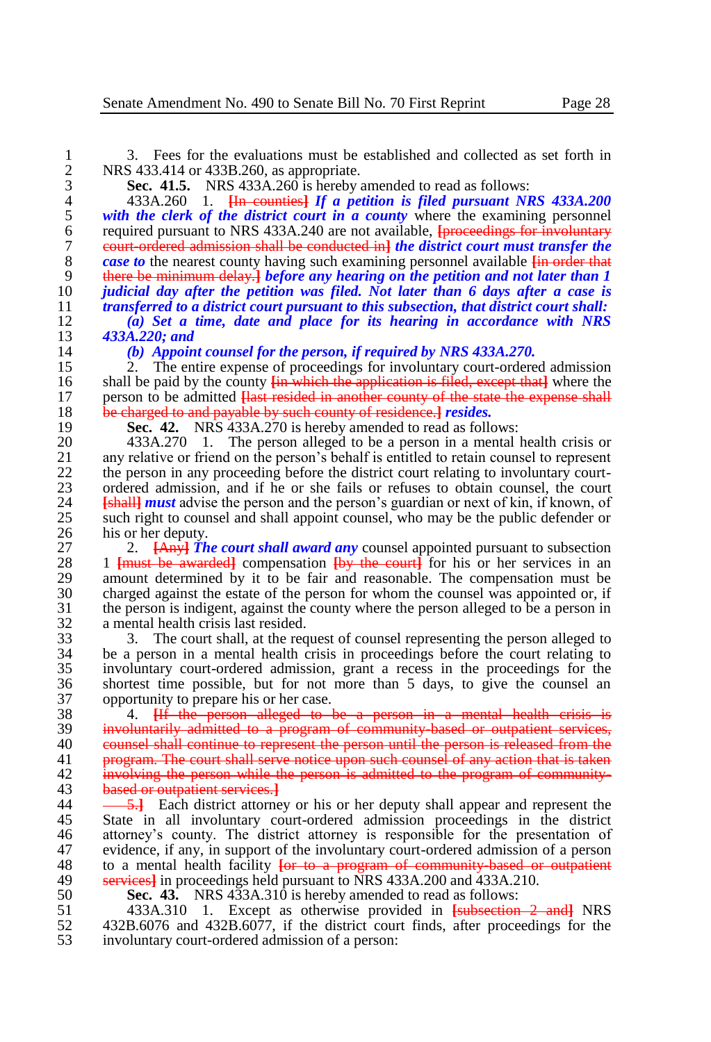1 3. Fees for the evaluations must be established and collected as set forth in<br>2 NRS 433.414 or 433B.260, as appropriate. 2 NRS 433.414 or 433B.260, as appropriate.<br>3 **Sec. 41.5.** NRS 433A.260 is hereby a

3 **Sec. 41.5.** NRS 433A.260 is hereby amended to read as follows:

 433A.260 1. **[**In counties**]** *If a petition is filed pursuant NRS 433A.200 with the clerk of the district court in a county* where the examining personnel<br>6 required pursuant to NRS 433A.240 are not available. <del>Iproceedings for involuntary</del> required pursuant to NRS 433A.240 are not available, **[**proceedings for involuntary court-ordered admission shall be conducted in**]** *the district court must transfer the case to* the nearest county having such examining personnel available  $\frac{1}{2}$  in order that  $\frac{1}{2}$  there be minimum delay. I before any hearing on the petition and not later than 1 there be minimum delay.**]** *before any hearing on the petition and not later than 1 judicial day after the petition was filed. Not later than 6 days after a case is* 

11 *transferred to a district court pursuant to this subsection, that district court shall:***<br>12 (a) Set a time, date and place for its hearing in accordance with NRS** 12 *(a) Set a time, date and place for its hearing in accordance with NRS*  13 *433A.220; and*

14 *(b) Appoint counsel for the person, if required by NRS 433A.270.* 

15 2. The entire expense of proceedings for involuntary court-ordered admission<br>16 shall be paid by the county  $\frac{1}{2}$  in which the application is filed, except that where the 16 shall be paid by the county **[**in which the application is filed, except that**]** where the 17 person to be admitted **[**last resided in another county of the state the expense shall 18 be charged to and payable by such county of residence.] *resides*.<br>19 **Sec. 42.** NRS 433A.270 is hereby amended to read as follow

19 **Sec. 42.** NRS 433A.270 is hereby amended to read as follows:<br>20 433A.270 1. The person alleged to be a person in a mental

20 433A.270 1. The person alleged to be a person in a mental health crisis or any relative or friend on the person's behalf is entitled to retain counsel to represent 21 any relative or friend on the person's behalf is entitled to retain counsel to represent 22 the person in any proceeding before the district court relating to involuntary court-22 the person in any proceeding before the district court relating to involuntary court-<br>23 ordered admission, and if he or she fails or refuses to obtain counsel, the court 23 ordered admission, and if he or she fails or refuses to obtain counsel, the court  $24$  **Example 1 Example 1 Example 1 Example 1 Example 1 Example 1 Example 1 Example 1 Example 1 Example 1 Example 1** 24 *[shall] must* advise the person and the person's guardian or next of kin, if known, of such right to counsel and shall appoint counsel, who may be the public defender or 25 such right to counsel and shall appoint counsel, who may be the public defender or his or her deputy. 26 his or her deputy.<br>27 2.  $\frac{[{\text{Any}}]}{[{\text{Any}}]}$ 

27 2. **[Any<sup>}</sup>** *The court shall award any* **counsel appointed pursuant to subsection** 28 1 **Limust** be awarded compensation thy the court for his or her services in an 28 1 **[must be awarded]** compensation **[by the court]** for his or her services in an an amount determined by it to be fair and reasonable. The compensation must be 29 amount determined by it to be fair and reasonable. The compensation must be charged against the estate of the person for whom the counsel was appointed or, if 30 charged against the estate of the person for whom the counsel was appointed or, if<br>31 the person is indigent, against the county where the person alleged to be a person in 31 the person is indigent, against the county where the person alleged to be a person in 32 a mental health crisis last resided.<br>33 3. The court shall, at the req

33 3. The court shall, at the request of counsel representing the person alleged to 34 be a person in a mental health crisis in proceedings before the court relating to 34 be a person in a mental health crisis in proceedings before the court relating to involuntary court-ordered admission, grant a recess in the proceedings for the involuntary court-ordered admission, grant a recess in the proceedings for the 36 shortest time possible, but for not more than 5 days, to give the counsel an 37 opportunity to prepare his or her case.<br>38  $\overline{4}$ . H<sub>t</sub> the person alleged to 1

 4. **[**If the person alleged to be a person in a mental health crisis is involuntarily admitted to a program of community-based or outpatient services, 40 counsel shall continue to represent the person until the person is released from the 41 program. The court shall serve notice upon such counsel of any action that is taken involving the person while the person is admitted to the program of community-<br>43 based or outpatient services. based or outpatient services.**]**

 $\frac{5.1}{2}$  Each district attorney or his or her deputy shall appear and represent the 45 State in all involuntary court-ordered admission proceedings in the district<br>46 attorney's county. The district attorney is responsible for the presentation of 46 attorney's county. The district attorney is responsible for the presentation of evidence, if any, in support of the involuntary court-ordered admission of a person 47 evidence, if any, in support of the involuntary court-ordered admission of a person<br>48 to a mental health facility for to a program of community based or outpatient 48 to a mental health facility **[or to a program of community based or outpatient** 49 services] in proceedings held pursuant to NRS 433A 200 and 433A 210. 49 services<sup>1</sup> in proceedings held pursuant to NRS 433A.200 and 433A.210.<br>50 **Sec. 43.** NRS 433A.310 is hereby amended to read as follows:

50 **Sec. 43.** NRS 433A.310 is hereby amended to read as follows:<br>51 433A.310 1. Except as otherwise provided in Funderstion

51 433A.310 1. Except as otherwise provided in **[**subsection 2 and**]** NRS 52 432B.6076 and 432B.6077, if the district court finds, after proceedings for the involuntary court-ordered admission of a person: involuntary court-ordered admission of a person: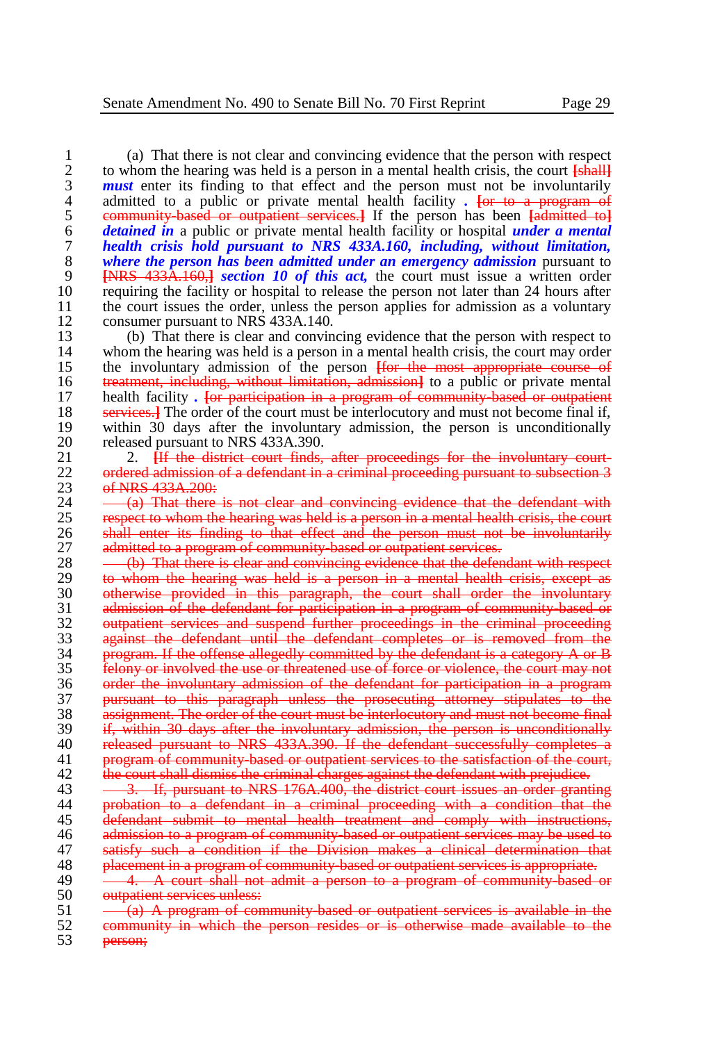1 (a) That there is not clear and convincing evidence that the person with respect 2 to whom the hearing was held is a person in a mental health crisis, the court **Ishalll** 2 to whom the hearing was held is a person in a mental health crisis, the court  $\frac{1}{2}$ <br>**2** to whom the hearing to that effect and the person must not be involuntarily **3 must** enter its finding to that effect and the person must not be involuntarily admitted to a public or private mental health facility. For to a program of admitted to a public or private mental health facility *.* For to a program of equilibrium of the program of the program of  $\frac{1}{2}$  community based or outpatient services. If the person has been fadmitted to 5 community-based or outpatient services.**]** If the person has been **[**admitted to**]** 6 *detained in* a public or private mental health facility or hospital *under a mental*  7 *health crisis hold pursuant to NRS 433A.160, including, without limitation,*  8 *where the person has been admitted under an emergency admission* pursuant to 9 **INRS** 433A 1604 *section 10 of this act*, the court must issue a written order 9 **ENRS** 433A.160, **c** *section 10 of this act*, the court must issue a written order than 24 hours after than 24 hours after 10 requiring the facility or hospital to release the person not later than 24 hours after the court issues the order, unless the person applies for admission as a voluntary 11 the court issues the order, unless the person applies for admission as a voluntary<br>12 consumer pursuant to NRS 433A.140.

12 consumer pursuant to NRS 433A.140.<br>13 (b) That there is clear and convin 13 (b) That there is clear and convincing evidence that the person with respect to 14 whom the hearing was held is a person in a mental health crisis, the court may order 14 whom the hearing was held is a person in a mental health crisis, the court may order<br>15 the involuntary admission of the person  $\frac{1}{\pi}$  the most appropriate course of 15 the involuntary admission of the person **[**for the most appropriate course of 16 treatment, including, without limitation, admission**]** to a public or private mental 17 health facility *.* **[**or participation in a program of community-based or outpatient 18 services.<sup>1</sup> The order of the court must be interlocutory and must not become final if,<br>19 within 30 days after the involuntary admission, the person is unconditionally 19 within 30 days after the involuntary admission, the person is unconditionally released pursuant to NRS 433A 390. 20 released pursuant to NRS 433A.390.<br>21 2. H<del>f the district court finds.</del>

21 2. *Let the district court finds, after proceedings for the involuntary court-***<br>22. <b>***ordered admission of a defendant in a criminal proceeding pursuant to subsection 3* 22 ordered admission of a defendant in a criminal proceeding pursuant to subsection 3<br>23 of NRS 433A 200: 23 of NRS 433A.200:<br>24 (a) That there

 $24 \longrightarrow (a)$  That there is not clear and convincing evidence that the defendant with  $25 \longrightarrow$  respect to whom the hearing was held is a person in a mental health crisis, the court 25 respect to whom the hearing was held is a person in a mental health crisis, the court 26 shall enter its finding to that effect and the person must not be involuntarily<br>27 admitted to a program of community based or outpatient services. 27 admitted to a program of community-based or outpatient services.<br>28 (b) That there is clear and convincing evidence that the defen

28 (b) That there is clear and convincing evidence that the defendant with respect 29 (b) whom the hearing was held is a person in a mental health crisis, except as 29 to whom the hearing was held is a person in a mental health crisis, except as<br>30 **otherwise provided in this paragraph**, the court shall order the involuntary 30 otherwise provided in this paragraph, the court shall order the involuntary<br>31 admission of the defendant for participation in a program of community based or 31 admission of the defendant for participation in a program of community based or<br>32 outpatient services and suspend further proceedings in the criminal proceeding 32 outpatient services and suspend further proceedings in the criminal proceeding<br>33 against the defendant until the defendant completes or is removed from the 33 against the defendant until the defendant completes or is removed from the<br>34 arogram If the offense allegedly committed by the defendant is a category A or B  $34$  program. If the offense allegedly committed by the defendant is a category A or B  $35$  felony or involved the use or threatened use of force or violence, the court may not felony or involved the use or threatened use of force or violence, the court may not 36 order the involuntary admission of the defendant for participation in a program<br>37 pursuant to this paragraph unless the prosecuting attorney stipulates to the 37 pursuant to this paragraph unless the prosecuting attorney stipulates to the 38 assignment. The order of the court must be interlocutory and must not become final 39 if, within 30 days after the involuntary admission, the person is unconditionally 40 released pursuant to NRS 433A.390. If the defendant successfully completes a 41 program of community-based or outpatient services to the satisfaction of the court, 42 the court shall dismiss the criminal charges against the defendant with prejudice.

43 <del>3. If, pursuant to NRS 176A.400, the district court issues an order granting</del><br>44 **probation** to a defendant in a criminal proceeding with a condition that the probation to a defendant in a criminal proceeding with a condition that the 45 defendant submit to mental health treatment and comply with instructions, 46 admission to a program of community based or outpatient services may be used to 47 satisfy such a condition if the Division makes  $\overline{a}$  clinical determination that  $\overline{a}$  algebra of community based or outpatient services is appropriate. 48 placement in a program of community-based or outpatient services is appropriate.

49  $\frac{1}{\sqrt{1-\frac{1}{\sqrt{1-\frac{1}{\sqrt{1-\frac{1}{\sqrt{1-\frac{1}{\sqrt{1-\frac{1}{\sqrt{1-\frac{1}{\sqrt{1-\frac{1}{\sqrt{1-\frac{1}{\sqrt{1-\frac{1}{\sqrt{1-\frac{1}{\sqrt{1-\frac{1}{\sqrt{1-\frac{1}{\sqrt{1-\frac{1}{\sqrt{1-\frac{1}{\sqrt{1-\frac{1}{\sqrt{1-\frac{1}{\sqrt{1-\frac{1}{\sqrt{1-\frac{1}{\sqrt{1-\frac{1}{\sqrt{1-\frac{1}{\sqrt{1-\frac{1}{\sqrt{1-\frac{1}{\sqrt{1-\frac{1}{\sqrt{1-\$  $50$  outpatient services unless:<br> $51 - (a)$  A program of con

 $51 - \frac{1}{(a)}$  A program of community-based or outpatient services is available in the 52 52 community in which the person resides or is otherwise made available to the  $53$ person;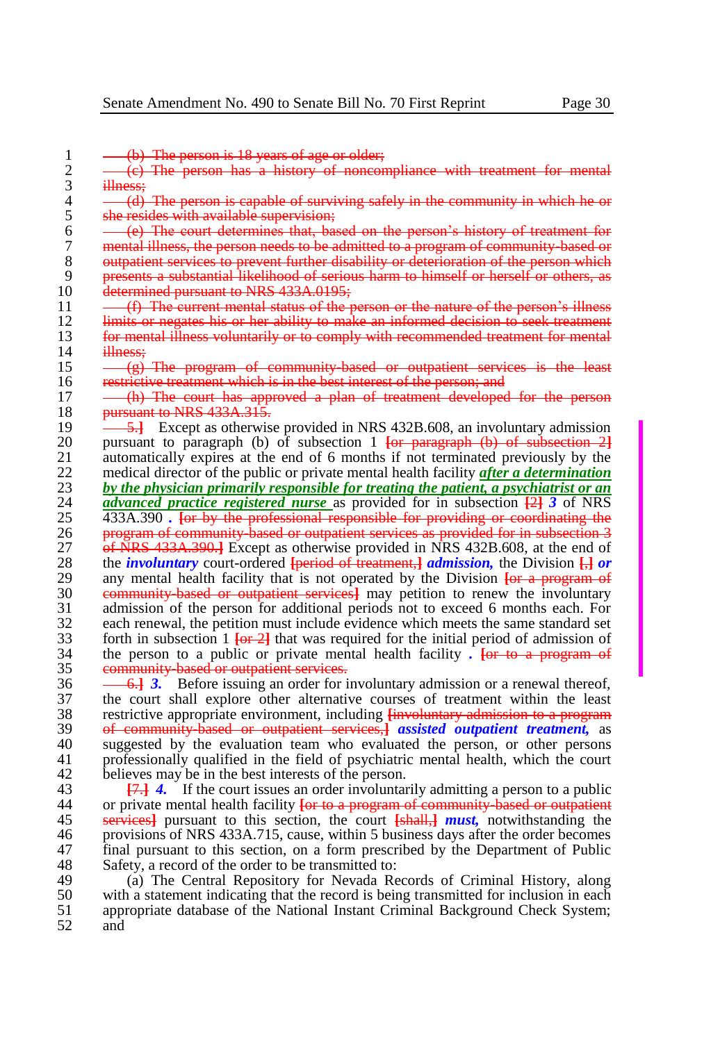1  $-(-6)$  The person is 18 years of age or older;<br>2  $-(-6)$  The person has a history of noncor  $\frac{2}{3}$   $\frac{(-6)}{100}$  The person has a history of noncompliance with treatment for mental  $\frac{3}{4}$  illness;  $\frac{4}{5}$   $\frac{4}{9}$  The person is capable of surviving safely in the community in which he or she resides with available supervision:  $5$  she resides with available supervision;<br> $6 \t\t — (e)$  The court determines that, bas  $6 \leftarrow$  (e) The court determines that, based on the person's history of treatment for  $7 \leftarrow$  mental illness, the person needs to be admitted to a program of community based or 7 mental illness, the person needs to be admitted to a program of community-based or 8 outpatient services to prevent further disability or deterioration of the person which 9 presents a substantial likelihood of serious harm to himself or herself or others, as<br>10 determined pursuant to NRS 433A.0195: 10 determined pursuant to NRS 433A.0195;<br>11 (f) The current mental status of the n  $11 \longrightarrow$  (f) The current mental status of the person or the nature of the person's illness<br>12 limits or negates his or her ability to make an informed decision to seek treatment 12 limits or negates his or her ability to make an informed decision to seek treatment<br>13 for mental illness voluntarily or to comply with recommended treatment for mental 13 for mental illness voluntarily or to comply with recommended treatment for mental illness: 14 illness;<br>15  $(e)$  $15 \longrightarrow (g)$  The program of community-based or outpatient services is the least  $16$  restrictive treatment which is in the best interest of the person: and 16 restrictive treatment which is in the best interest of the person; and<br>17 - (b) The court has approved a plan of treatment developed (h) The court has approved a plan of treatment developed for the person 18 **pursuant to NRS 433A.315.**<br>19  $\frac{5.1}{15}$  Except as otherwise 19 **5.** Except as otherwise provided in NRS 432B.608, an involuntary admission<br>20 **1** Direction 1 **For paragraph** (b) of subsection 1 **For paragraph** (b) of subsection 21 20 pursuant to paragraph (b) of subsection 1 **[**or paragraph (b) of subsection 2**]** 21 automatically expires at the end of 6 months if not terminated previously by the medical director of the public or private mental health facility after a determination 22 medical director of the public or private mental health facility *after a determination*<br>23 by the physician primarily responsible for treating the patient, a psychiatrist or an 23 *by the physician primarily responsible for treating the patient, a psychiatrist or an*  $24$  *advanced practice registered nurse as provided for in subsection*  $\frac{121}{21}$  *3 of NRS* 24 *advanced practice registered nurse* as provided for in subsection **[**2**]** *3* of NRS 25 433A.390 *.* **[**or by the professional responsible for providing or coordinating the 26 program of community based or outpatient services as provided for in subsection 3<br>27 of NRS 433A, 390. I Except as otherwise provided in NRS 432B.608, at the end of 27 **of NRS 433A.390.**] Except as otherwise provided in NRS 432B.608, at the end of the *involuntary* court-ordered Ineriod of treatment *admission*, the Division *H* or 28 the *involuntary* court-ordered *{***period of treatment**,*} admission*, the Division *{a*} *or* any mental health facility that is not operated by the Division *{a*} **or** *a* program of 29 any mental health facility that is not operated by the Division *for a program of* 30 community hased or outpatient services. The may netition to renew the involuntary 30 community-based or outpatient services**]** may petition to renew the involuntary 31 admission of the person for additional periods not to exceed 6 months each. For 32 each renewal, the petition must include evidence which meets the same standard set  $\frac{33}{100}$  for the initial neriod of admission of 33 forth in subsection 1  $\frac{1}{2}$  that was required for the initial period of admission of  $\frac{34}{10}$  the person to a public or private mental health facility. **For to a program of** 34 the person to a public or private mental health facility *.* **[**or to a program of community-based or outpatient services. 36 <del>6. **6.**]</del> **3.** Before issuing an order for involuntary admission or a renewal thereof, 37 the court shall explore other alternative courses of treatment within the least 37 the court shall explore other alternative courses of treatment within the least<br>38 restrictive appropriate environment, including  $\frac{1}{2}$  involuntary admission to a program 38 restrictive appropriate environment, including <del>[involuntary admission to a program</del><br>39 **of community hased or outpatient services** assisted outpatient treatment, as 39 of community-based or outpatient services,**]** *assisted outpatient treatment,* as 40 suggested by the evaluation team who evaluated the person, or other persons 41 professionally qualified in the field of psychiatric mental health, which the court professionally qualified in the field of psychiatric mental health, which the court

42 believes may be in the best interests of the person.<br>43  $\frac{17.1}{4}$  If the court issues an order involuntar 43 **[**7.**]** *4.* If the court issues an order involuntarily admitting a person to a public 44 or private mental health facility **[**or to a program of community-based or outpatient 45 services**]** pursuant to this section, the court **[**shall,**]** *must,* notwithstanding the 46 provisions of NRS 433A.715, cause, within 5 business days after the order becomes 47 final pursuant to this section, on a form prescribed by the Department of Public Safety, a record of the order to be transmitted to: 48 Safety, a record of the order to be transmitted to:<br>49 (a) The Central Repository for Nevada Re

49 (a) The Central Repository for Nevada Records of Criminal History, along with a statement indicating that the record is being transmitted for inclusion in each 50 with a statement indicating that the record is being transmitted for inclusion in each 51 appropriate database of the National Instant Criminal Background Check System: 51 appropriate database of the National Instant Criminal Background Check System;<br>52 and and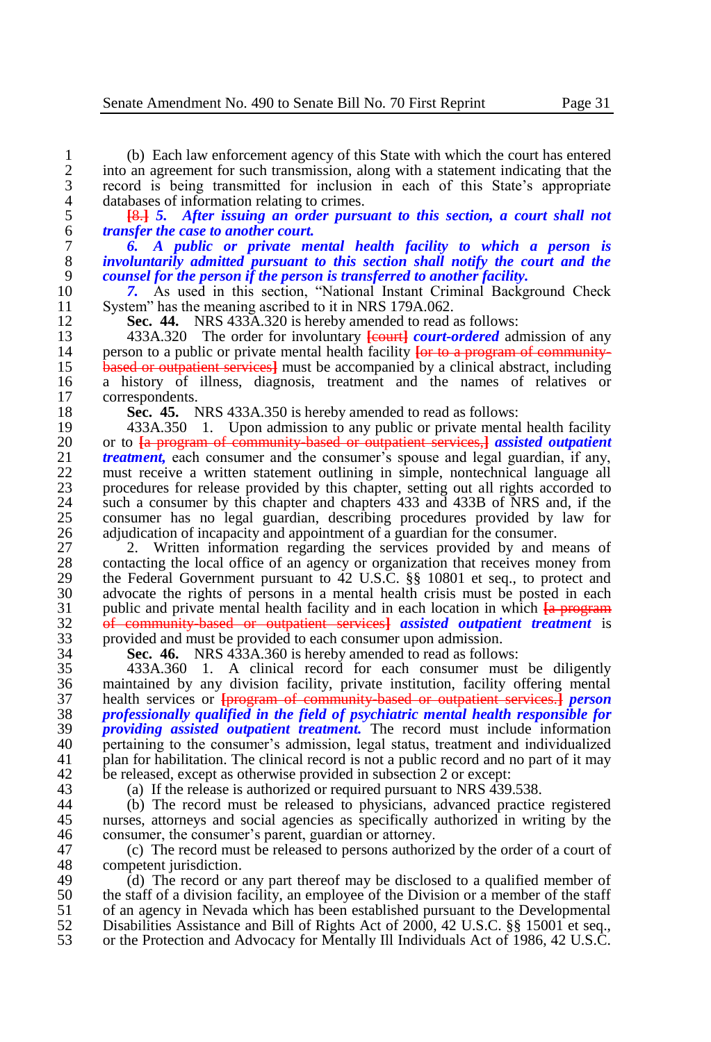1 (b) Each law enforcement agency of this State with which the court has entered into an agreement for such transmission, along with a statement indicating that the 2 into an agreement for such transmission, along with a statement indicating that the record is being transmitted for inclusion in each of this State's appropriate 3 record is being transmitted for inclusion in each of this State's appropriate 4 databases of information relating to crimes.<br>5  $\frac{18.1}{15}$  *After issuing an order pursulal* 

5 **[**8.**]** *5. After issuing an order pursuant to this section, a court shall not*  6 *transfer the case to another court.*

7 *6. A public or private mental health facility to which a person is*  8 *involuntarily admitted pursuant to this section shall notify the court and the*  9 *counsel for the person if the person is transferred to another facility.*

10 **7.** As used in this section, "National Instant Criminal Background Check 11 System" has the meaning ascribed to it in NRS 179A 062. 11 System" has the meaning ascribed to it in NRS 179A.062.<br>12 Sec. 44. NRS 433A.320 is hereby amended to read:

12 **Sec. 44.** NRS 433A.320 is hereby amended to read as follows:<br>13 433A.320 The order for involuntary **Legal at** *Court-ordered* ad 13 433A.320 The order for involuntary **[**court] *court-ordered* admission of any nerson to a public or private mental health facility for to a program of community-14 person to a public or private mental health facility **[or to a program of community-**<br>15 **based or outpatient services** must be accompanied by a clinical abstract, including 15 **based or outpatient services** must be accompanied by a clinical abstract, including<br>16 a history of illness, diagnosis, treatment and the names of relatives or 16 a history of illness, diagnosis, treatment and the names of relatives or correspondents. correspondents.

18 **Sec. 45.** NRS 433A.350 is hereby amended to read as follows:<br>19 433A.350 1. Upon admission to any public or private mental

19 433A.350 1. Upon admission to any public or private mental health facility<br>20 or to La program of community based or outpatient services-l assisted outpatient 20 or to **[**a program of community-based or outpatient services,**]** *assisted outpatient*  21 *treatment*, each consumer and the consumer's spouse and legal guardian, if any, must receive a written statement outlining in simple, nontechnical language all 22 must receive a written statement outlining in simple, nontechnical language all<br>23 more outlines for release provided by this chapter, setting out all rights accorded to 23 procedures for release provided by this chapter, setting out all rights accorded to 24 such a consumer by this chapter and chapters 433 and 433B of NRS and, if the 24 such a consumer by this chapter and chapters 433 and 433B of NRS and, if the consumer has no legal guardian, describing procedures provided by law for 25 consumer has no legal guardian, describing procedures provided by law for 26 adjudication of incapacity and appointment of a guardian for the consumer.<br>27 2. Written information regarding the services provided by and n

27 2. Written information regarding the services provided by and means of 28 contacting the local office of an agency or organization that receives money from 28 contacting the local office of an agency or organization that receives money from<br>29 the Federal Government pursuant to 42 U.S.C. §§ 10801 et seq., to protect and 29 the Federal Government pursuant to  $\dot{4}2$  U.S.C. §§ 10801 et seq., to protect and advocate the rights of persons in a mental health crisis must be posted in each 30 advocate the rights of persons in a mental health crisis must be posted in each posted in each oublic and private mental health facility and in each location in which  $\overline{I}$ 31 public and private mental health facility and in each location in which  $\frac{1}{2}$  program 32 of community based or outpatient services *assisted outpatient treatment* is 32 of community-based or outpatient services**]** *assisted outpatient treatment* is 33 provided and must be provided to each consumer upon admission.<br>34 **Sec. 46.** NRS 433A 360 is hereby amended to read as follow

 **Sec. 46.** NRS 433A.360 is hereby amended to read as follows: 433A.360 1. A clinical record for each consumer must be diligently 36 maintained by any division facility, private institution, facility offering mental<br>37 health services or Incogram of community based or outpatient services I person health services or **[**program of community-based or outpatient services.**]** *person professionally qualified in the field of psychiatric mental health responsible for providing assisted outpatient treatment*. The record must include information nertaining to the consumer's admission, legal status, treatment and individualized 40 pertaining to the consumer's admission, legal status, treatment and individualized<br>41 plan for habilitation. The clinical record is not a public record and no part of it may plan for habilitation. The clinical record is not a public record and no part of it may 42 be released, except as otherwise provided in subsection 2 or except:<br>43 (a) If the release is authorized or required pursuant to NRS 439

43 (a) If the release is authorized or required pursuant to NRS 439.538.<br>44 (b) The record must be released to physicians, advanced practice

44 (b) The record must be released to physicians, advanced practice registered 45 nurses, attorneys and social agencies as specifically authorized in writing by the consumer, the consumer's parent, guardian or attorney. 46 consumer, the consumer's parent, guardian or attorney.<br>47 (c) The record must be released to persons authoriz

47 (c) The record must be released to persons authorized by the order of a court of 48 competent jurisdiction.<br>49 (d) The record or

 $\ddot{d}$  (d) The record or any part thereof may be disclosed to a qualified member of the staff of a division facility, an employee of the Division or a member of the staff 50 the staff of a division facility, an employee of the Division or a member of the staff<br>51 of an agency in Nevada which has been established pursuant to the Developmental 51 of an agency in Nevada which has been established pursuant to the Developmental<br>52 Disabilities Assistance and Bill of Rights Act of 2000, 42 U.S.C. 88 15001 et seq. 52 Disabilities Assistance and Bill of Rights Act of 2000, 42 U.S.C. §§ 15001 et seq., 53 or the Protection and Advocacy for Mentally Ill Individuals Act of 1986, 42 U.S.C.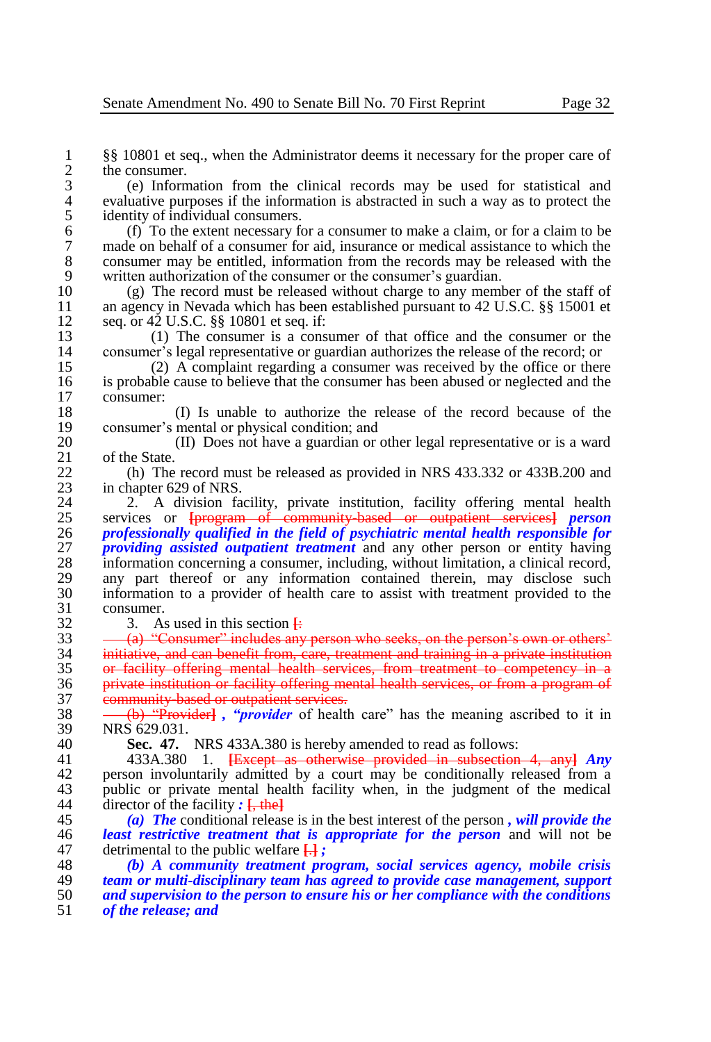1 §§ 10801 et seq., when the Administrator deems it necessary for the proper care of the consumer.  $\frac{2}{3}$  the consumer.<br>  $\frac{2}{3}$  (e) Inform

3 (e) Information from the clinical records may be used for statistical and 4 evaluative purposes if the information is abstracted in such a way as to protect the identity of individual consumers. 5 identity of individual consumers.<br>6 (f) To the extent necessary for

6 (f) To the extent necessary for a consumer to make a claim, or for a claim to be 7 made on behalf of a consumer for aid, insurance or medical assistance to which the consumer may be entitled, information from the records may be released with the 8 consumer may be entitled, information from the records may be released with the written authorization of the consumer or the consumer's guardian. 9 written authorization of the consumer or the consumer's guardian.<br>10 (g) The record must be released without charge to any mem

10 (g) The record must be released without charge to any member of the staff of 11 an agency in Nevada which has been established pursuant to 42 U.S.C. 88 15001 et 11 an agency in Nevada which has been established pursuant to 42 U.S.C. §§ 15001 et seq or 42 U.S.C. 88 10801 et seq if: 12 seq. or  $42 \text{ U.S.C. }$  §§ 10801 et seq. if:<br>13 (1) The consumer is a cons

13 (1) The consumer is a consumer of that office and the consumer or the consumer's legal representative or guardian authorizes the release of the record: or 14 consumer's legal representative or guardian authorizes the release of the record; or (2) A complaint regarding a consumer was received by the office or there

15 (2) A complaint regarding a consumer was received by the office or there is probable cause to believe that the consumer has been abused or neglected and the 16 is probable cause to believe that the consumer has been abused or neglected and the consumer: 17 consumer:

18 (I) Is unable to authorize the release of the record because of the 19 consumer's mental or physical condition; and<br>20 (II) Does not have a guardian or

20 (II) Does not have a guardian or other legal representative or is a ward of the State.  $\begin{array}{cc} 21 & \text{of the State.} \\ 22 & \text{(h)} \text{ The} \end{array}$ 

22 (h) The record must be released as provided in NRS 433.332 or 433B.200 and in chapter 629 of NRS. 23 in chapter 629 of NRS.<br>24 2. A division factory

24 2. A division facility, private institution, facility offering mental health 25 services or **Eurogram** of community hased or outpatient services *nerson* 25 services or **[**program of community-based or outpatient services**]** *person*  26 *professionally qualified in the field of psychiatric mental health responsible for*  27 *providing assisted outpatient treatment* and any other person or entity having 28 information concerning a consumer, including without limitation, a clinical record. 28 information concerning a consumer, including, without limitation, a clinical record,<br>29 any part thereof or any information contained therein, may disclose such 29 any part thereof or any information contained therein, may disclose such 30 information to a provider of health care to assist with treatment provided to the 30 information to a provider of health care to assist with treatment provided to the 31 consumer.<br>32 3. As

 $\begin{array}{r}\n 32 \quad 3. \quad \text{As used in this section } \frac{1}{2} \\
 33 \quad - \quad \text{(a) "Consumer" includes any} \n \end{array}$ 

 $33 \longrightarrow (a)$  "Consumer" includes any person who seeks, on the person's own or others'<br>34 initiative, and can benefit from care, treatment and training in a private institution  $\frac{34}{35}$  initiative, and can benefit from, care, treatment and training in a private institution  $\frac{35}{35}$  or facility offering mental health services. from treatment to competency in a or facility offering mental health services, from treatment to competency in a 36 private institution or facility offering mental health services, or from a program of 37 community-based or outpatient services.<br>38 <del>(b) "Provider]</del>, "*provider* of health

38 (b) "Provider**]** *, "provider* of health care" has the meaning ascribed to it in 39 NRS 629.031.<br>40 Sec. 47.

40 **Sec. 47.** NRS 433A.380 is hereby amended to read as follows:<br>41 433A.380 1. <del>IExcent as otherwise provided in subsection</del>

41 433A.380 1. **[**Except as otherwise provided in subsection 4, any**]** *Any*  42 person involuntarily admitted by a court may be conditionally released from a<br>43 public or private mental health facility when in the judgment of the medical 43 public or private mental health facility when, in the judgment of the medical director of the facility  $\pm$  the l  $\frac{1}{4}$  director of the facility  $\cdot$   $\frac{1}{4}$ , the<sup>1</sup>

45 *(a) The* conditional release is in the best interest of the person *, will provide the*  46 *least restrictive treatment that is appropriate for the person* and will not be detrimental to the public welfare  $\Box$ : 47 detrimental to the public welfare  $\frac{1}{2}$ ;<br>48 (b) A community treatment pro

 *(b) A community treatment program, social services agency, mobile crisis team or multi-disciplinary team has agreed to provide case management, support and supervision to the person to ensure his or her compliance with the conditions*  of the release; and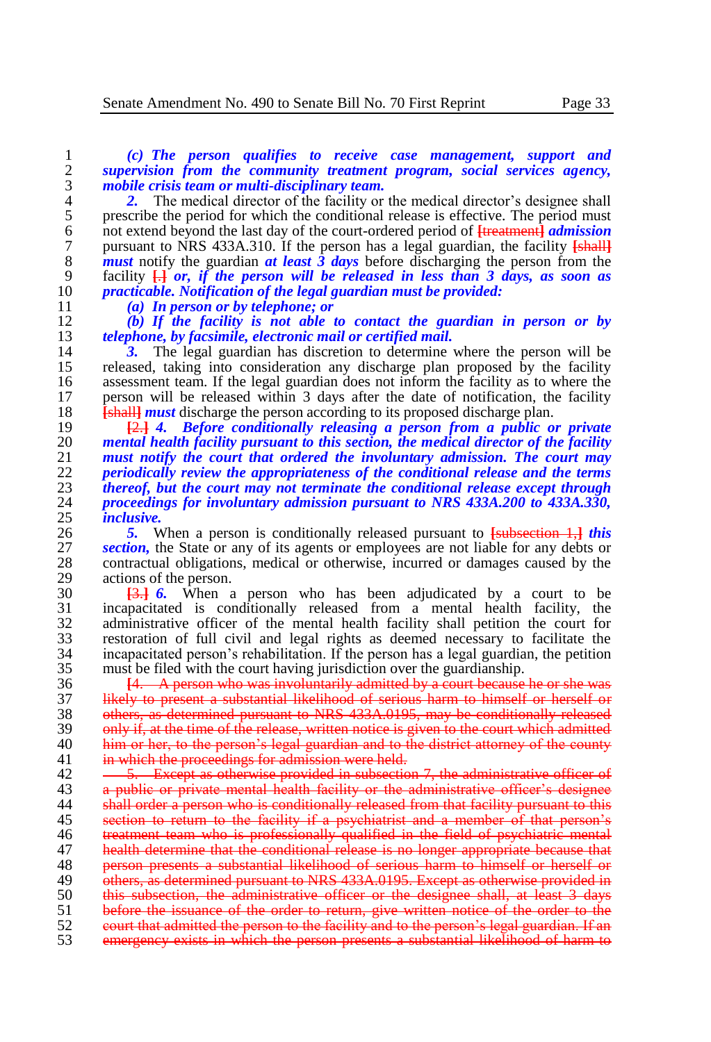1 *(c) The person qualifies to receive case management, support and*  2 *supervision from the community treatment program, social services agency,*  3 *mobile crisis team or multi-disciplinary team.*

2. The medical director of the facility or the medical director's designee shall<br>5 prescribe the period for which the conditional release is effective. The period must 5 prescribe the period for which the conditional release is effective. The period must<br>6 not extend beyond the last day of the court-ordered period of Haratineanth *admission* 6 not extend beyond the last day of the court-ordered period of **[**treatment**]** *admission*  7 pursuant to NRS 433A.310. If the person has a legal guardian, the facility **[shall]**<br>8 *must* notify the guardian *at least 3 days* before discharging the person from the 8 **must** notify the guardian *at least 3 days* before discharging the person from the facility  $\Box$  or, if the person will be released in less than 3 days, as soon as 9 facility  $\overrightarrow{H}$  *or, if the person will be released in less than 3 days, as soon as practicable. Notification of the legal guardian must be provided:* 10 *practicable. Notification of the legal guardian must be provided:*

11 *(a) In person or by telephone; or*

12 *(b) If the facility is not able to contact the guardian in person or by*  13 *telephone, by facsimile, electronic mail or certified mail.*

14 **3.** The legal guardian has discretion to determine where the person will be released, taking into consideration any discharge plan proposed by the facility 15 released, taking into consideration any discharge plan proposed by the facility<br>16 assessment team. If the legal guardian does not inform the facility as to where the 16 assessment team. If the legal guardian does not inform the facility as to where the 17 person will be released within 3 days after the date of notification, the facility 17 person will be released within 3 days after the date of notification, the facility 18 **[shall]** *must* discharge the person according to its proposed discharge plan.<br>19 **12.1.1.** *Refore conditionally releasing a person from a public o* 

 **[**2.**]** *4. Before conditionally releasing a person from a public or private mental health facility pursuant to this section, the medical director of the facility must notify the court that ordered the involuntary admission. The court may periodically review the appropriateness of the conditional release and the terms thereof, but the court may not terminate the conditional release except through proceedings for involuntary admission pursuant to NRS 433A.200 to 433A.330, inclusive.* 

**5. 6. 1. 5. 6. 1. 27** *section.* **the State or any of its agents or employees are not liable for any debts or <b>***suction*. the State or any of its agents or employees are not liable for any debts or *section*, the State or any of its agents or employees are not liable for any debts or contractual obligations, medical or otherwise, incurred or damages caused by the contractual obligations, medical or otherwise, incurred or damages caused by the 29 actions of the person.<br>30  $\overline{1316}$  When a

 **[**3.**]** *6.* When a person who has been adjudicated by a court to be incapacitated is conditionally released from a mental health facility, the 32 administrative officer of the mental health facility shall petition the court for<br>33 restoration of full civil and legal rights as deemed necessary to facilitate the restoration of full civil and legal rights as deemed necessary to facilitate the incapacitated person's rehabilitation. If the person has a legal guardian, the petition  $35$  must be filed with the court having iurisdiction over the guardianship. must be filed with the court having jurisdiction over the guardianship.

36 **[**4. A person who was involuntarily admitted by a court because he or she was 37 likely to present a substantial likelihood of serious harm to himself or herself or<br>38 others, as determined pursuant to NRS 433A,0195, may be conditionally released 38 others, as determined pursuant to NRS 433A.0195, may be conditionally released<br>39 only if at the time of the release, written notice is given to the court which admitted 39 only if, at the time of the release, written notice is given to the court which admitted 40 **him or her, to the person's legal guardian and to the district attorney of the county** 41 in which the proceedings for admission were held.

42 <del>5. Except as otherwise provided in subsection 7, the administrative officer of a public or private mental health facility or the administrative officer's designee</del> 43 a public or private mental health facility or the administrative officer's designee  $\frac{1}{4}$  shall order a person who is conditionally released from that facility pursuant to this 45 section to return to the facility if a psychiatrist and a member of that person's<br>46 treatment team who is professionally qualified in the field of psychiatric mental 46 treatment team who is professionally qualified in the field of psychiatric mental<br>47 bealth determine that the conditional release is no longer appropriate because that 47 health determine that the conditional release is no longer appropriate because that<br>48 **person presents a substantial likelihood of serious harm to himself or herself or** 48 person presents a substantial likelihood of serious harm to himself or herself or<br>49 others, as determined pursuant to NRS 433A 0195. Except as otherwise provided in 49 others, as determined pursuant to NRS 433A.0195. Except as otherwise provided in 50 this subsection. the administrative officer or the designee shall, at least 3 days 50 this subsection, the administrative officer or the designee shall, at least 3 days<br>51 before the issuance of the order to return, give written notice of the order to the 51 before the issuance of the order to return, give written notice of the order to the court that admitted the person to the facility and to the person's legal guardian. If an 52 court that admitted the person to the facility and to the person's legal guardian. If an 53 emergency exists in which the person presents a substantial likelihood of harm to emergency exists in which the person presents a substantial likelihood of harm to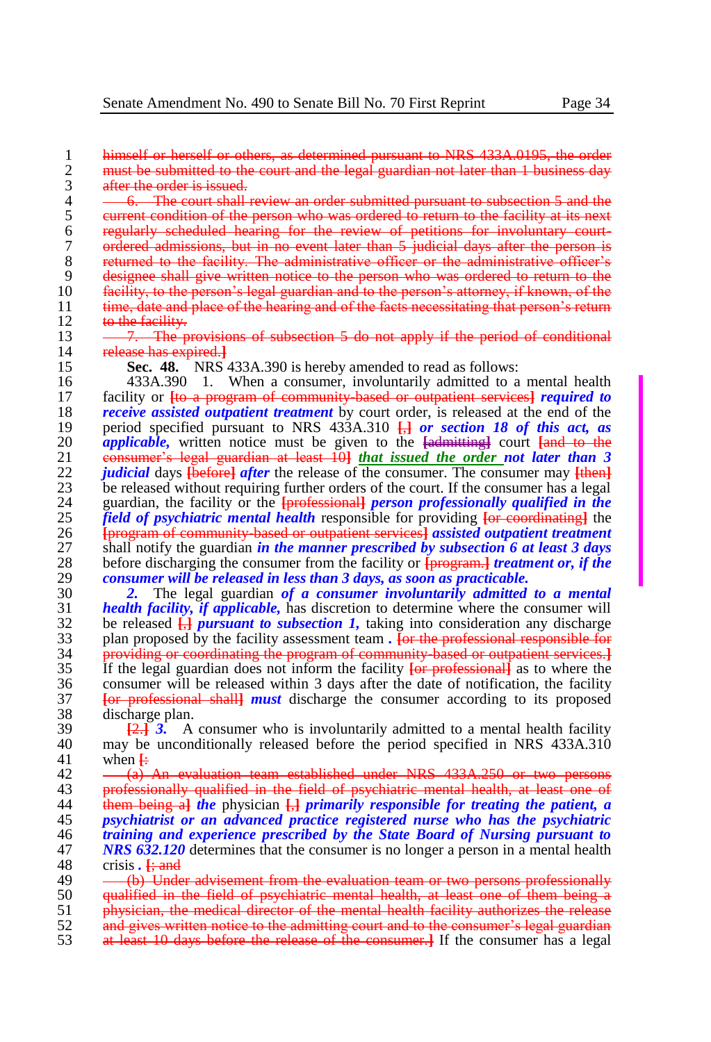1 himself or herself or others, as determined pursuant to NRS 433A.0195, the order<br>2 must be submitted to the court and the legal guardian not later than 1 business day 2 must be submitted to the court and the legal guardian not later than 1 business day<br>3 after the order is issued. 3 after the order is issued.<br>4  $-6$ . The court shall 1

4 <del>6. The court shall review an order submitted pursuant to subsection 5 and the</del><br>5 eurrent condition of the person who was ordered to return to the facility at its next 5 current condition of the person who was ordered to return to the facility at its next<br>6 regularly scheduled hearing for the review of petitions for involuntary court-6 regularly scheduled hearing for the review of petitions for involuntary court-7 ordered admissions, but in no event later than 5 judicial days after the person is 8 returned to the facility. The administrative officer or the administrative officer's 9 designee shall give written notice to the person who was ordered to return to the<br>10 facility, to the person's legal guardian and to the person's attorney, if known, of the 10 facility, to the person's legal guardian and to the person's attorney, if known, of the<br>11 time, date and place of the hearing and of the facts necessitating that person's return 11 time, date and place of the hearing and of the facts necessitating that person's return<br>12 to the facility. 12 to the facility.<br>13  $-7$ . The pi

- 13 7. The provisions of subsection 5 do not apply if the period of conditional release has expired 1 14 release has expired.**]**<br>15 **Sec. 48.** NRS 43
- 

15 **Sec. 48.** NRS 433A.390 is hereby amended to read as follows:<br>16 433A.390 1. When a consumer, involuntarily admitted to a

16 433A.390 1. When a consumer, involuntarily admitted to a mental health facility or Ho a program of community based or outpatient services *required to*  facility or **[**to a program of community-based or outpatient services**]** *required to receive assisted outpatient treatment* by court order, is released at the end of the period specified pursuant to NRS 433A.310  $\overline{H}$  or section 18 of this act. as period specified pursuant to NRS 433A.310 **[**,**]** *or section 18 of this act, as applicable,* written notice must be given to the **[**admitting**]** court **[**and to the 21 consumer's legal guardian at least 10<sup>1</sup> *that issued the order not later than 3*<br>22 *indicial* days the form after the release of the consumer. The consumer may then *judicial* days  $\overline{\text{[before]}}$  *after* the release of the consumer. The consumer may  $\overline{\text{[then]}}$ <br>23 be released without requiring further orders of the court. If the consumer has a legal 23 be released without requiring further orders of the court. If the consumer has a legal 24 guardian, the facility or the **I**Brofessionally *person professionally qualified in the*  guardian, the facility or the **[**professional**]** *person professionally qualified in the field of psychiatric mental health* responsible for providing <del>[or coordinating]</del> the 26 *brogram of community based or outpatient services] assisted outpatient treatment*  **[**program of community-based or outpatient services**]** *assisted outpatient treatment*  27 shall notify the guardian *in the manner prescribed by subsection 6 at least 3 days* before discharging the consumer from the facility or **Expression** *i* reatment or, if the before discharging the consumer from the facility or **[**program.**]** *treatment or, if the consumer will be released in less than 3 days, as soon as practicable.* 

 *2.* The legal guardian *of a consumer involuntarily admitted to a mental health facility, if applicable,* has discretion to determine where the consumer will 32 be released  $\frac{1}{k}$  *pursuant to subsection 1*, taking into consideration any discharge plan proposed by the facility assessment team. For the professional responsible for plan proposed by the facility assessment team *.* **[**or the professional responsible for providing or coordinating the program of community-based or outpatient services.**]** If the legal guardian does not inform the facility **[**or professional**]** as to where the 36 consumer will be released within 3 days after the date of notification, the facility  $\frac{1}{37}$  for professional shall *must* discharge the consumer according to its proposed **[**or professional shall**]** *must* discharge the consumer according to its proposed 38 discharge plan.<br>39  $\overline{12}$   $\overline{3}$   $\overline{4}$   $\overline{3}$   $\overline{4}$ 

 $\frac{2}{2}$  **[2.**] **3.** A consumer who is involuntarily admitted to a mental health facility 40 may be unconditionally released before the period specified in NRS 433A 310 40 may be unconditionally released before the period specified in NRS 433A.310 when  $\pm$ when  $\ddot{F}$ 

 $\frac{42}{43}$   $\frac{43}{45}$  An evaluation team established under NRS 433A.250 or two persons 43

 professionally qualified in the field of psychiatric mental health, at least one of them being a**]** *the* physician **[**,**]** *primarily responsible for treating the patient, a psychiatrist or an advanced practice registered nurse who has the psychiatric training and experience prescribed by the State Board of Nursing pursuant to NRS 632.120* determines that the consumer is no longer a person in a mental health crisis. It and

- 52 and gives written notice to the admitting court and to the consumer's legal guardian<br>53 at least 10 days before the release of the consumer. If the consumer has a legal
- 53 at least 10 days before the release of the consumer.**]** If the consumer has a legal

<sup>48</sup> crisis **.**  $\frac{1}{2}$  and 49 <br> (b) Unde 49 (b) Under advisement from the evaluation team or two persons professionally 50 qualified in the field of psychiatric mental health, at least one of them being  $\dot{a}$ <br>51 being objection, the medical director of the mental health facility authorizes the release

<sup>51</sup> physician, the medical director of the mental health facility authorizes the release<br>52 and cives written notice to the admitting court and to the consumer's legal guardian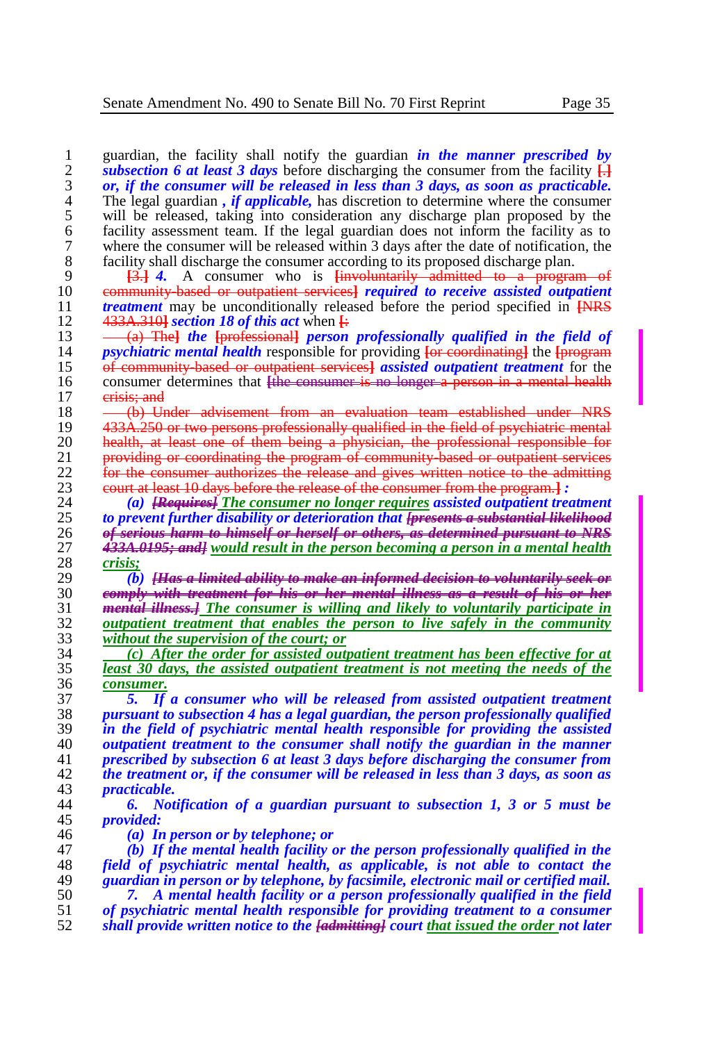quardian, the facility shall notify the guardian *in the manner prescribed by subsection 6 at least 3 days before discharging the consumer from the facility* $\Box$ *subsection 6 at least 3 days* before discharging the consumer from the facility  $\frac{1}{11}$ <br>3 *or, if the consumer will be released in less than 3 days, as soon as practicable. or, if the consumer will be released in less than 3 days, as soon as practicable.*  4 The legal guardian *, if applicable*, has discretion to determine where the consumer<br>5 will be released, taking into consideration any discharge plan proposed by the 5 will be released, taking into consideration any discharge plan proposed by the facility assessment team. If the legal guardian does not inform the facility as to facility assessment team. If the legal guardian does not inform the facility as to 7 where the consumer will be released within 3 days after the date of notification, the facility shall discharge the consumer according to its proposed discharge plan. 8 facility shall discharge the consumer according to its proposed discharge plan.<br>9  $\frac{13.1}{4}$  A consumer who is linearly admitted to a program **[**3.**]** *4.* A consumer who is **[**involuntarily admitted to a program of community-based or outpatient services**]** *required to receive assisted outpatient*  **treatment** may be unconditionally released before the period specified in **[NRS** 12. 433A 310] section 18 of this act when  $\frac{1}{2}$  433A.310**]** *section 18 of this act* when **[**: (a) The**]** *the* **[**professional**]** *person professionally qualified in the field of psychiatric mental health* responsible for providing <del>[or coordinating]</del> the *[program* 15 of community based or outpatient services] assisted outpatient treatment for the of community-based or outpatient services**]** *assisted outpatient treatment* for the consumer determines that **[**the consumer is no longer a person in a mental health 17 erisis; and 18 (b) Under advisement from an evaluation team established under NRS<br>19 433A.250 or two persons professionally qualified in the field of psychiatric mental 433A.250 or two persons professionally qualified in the field of psychiatric mental **health, at least one of them being a physician, the professional responsible for**<br>21 **providing or coordinating the program of community based or outpatient services** 21 providing or coordinating the program of community based or outpatient services<br>22 for the consumer authorizes the release and gives written notice to the admitting 22 for the consumer authorizes the release and gives written notice to the admitting equat at least 10 days before the release of the consumer from the program  $\frac{1}{2}$ : court at least 10 days before the release of the consumer from the program.**]** *: (a) [Requires] The consumer no longer requires assisted outpatient treatment to prevent further disability or deterioration that [presents a substantial likelihood of serious harm to himself or herself or others, as determined pursuant to NRS 433A.0195; and] would result in the person becoming a person in a mental health crisis; (b) [Has a limited ability to make an informed decision to voluntarily seek or comply with treatment for his or her mental illness as a result of his or her mental illness.] The consumer is willing and likely to voluntarily participate in outpatient treatment that enables the person to live safely in the community without the supervision of the court; or (c) After the order for assisted outpatient treatment has been effective for at least 30 days, the assisted outpatient treatment is not meeting the needs of the consumer. 5. If a consumer who will be released from assisted outpatient treatment pursuant to subsection 4 has a legal guardian, the person professionally qualified in the field of psychiatric mental health responsible for providing the assisted outpatient treatment to the consumer shall notify the guardian in the manner prescribed by subsection 6 at least 3 days before discharging the consumer from the treatment or, if the consumer will be released in less than 3 days, as soon as practicable. 6. Notification of a guardian pursuant to subsection 1, 3 or 5 must be provided: (a) In person or by telephone; or (b) If the mental health facility or the person professionally qualified in the field of psychiatric mental health, as applicable, is not able to contact the guardian in person or by telephone, by facsimile, electronic mail or certified mail. 7. A mental health facility or a person professionally qualified in the field of psychiatric mental health responsible for providing treatment to a consumer shall provide written notice to the [admitting] court that issued the order not later*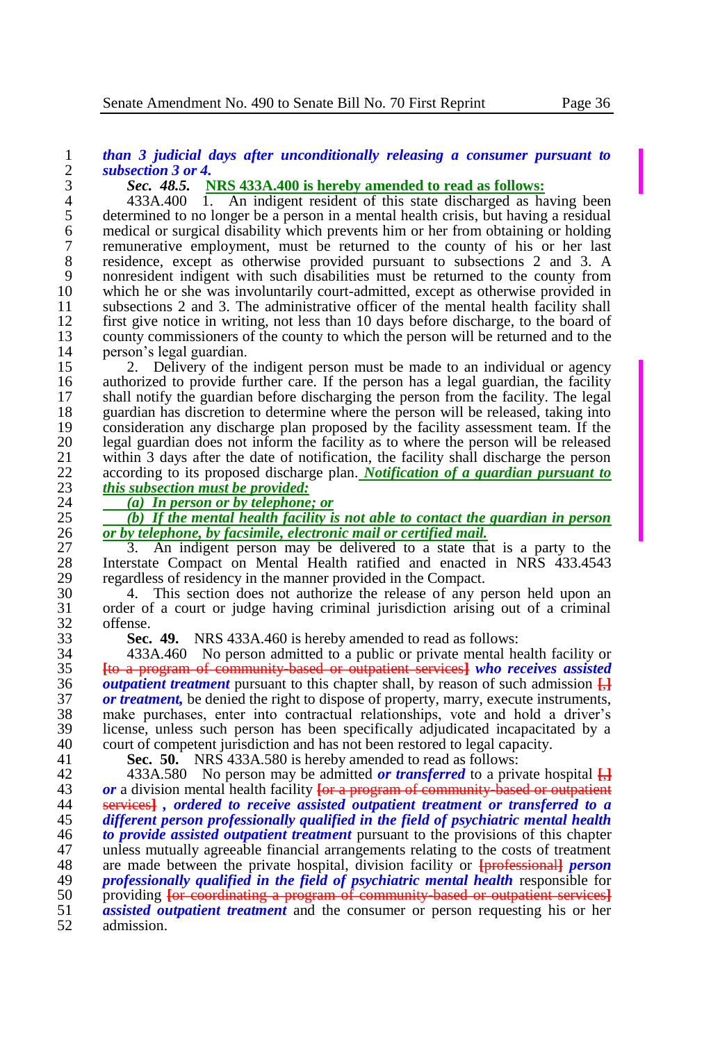# 1 *than 3 judicial days after unconditionally releasing a consumer pursuant to*  2 *subsection 3 or 4.*

# 3 *Sec. 48.5.* **NRS 433A.400 is hereby amended to read as follows:**

4 433A.400 1. An indigent resident of this state discharged as having been 5 determined to no longer be a person in a mental health crisis, but having a residual medical or surgical disability which prevents him or her from obtaining or holding 6 medical or surgical disability which prevents him or her from obtaining or holding<br>7 memunerative employment, must be returned to the county of his or her last 7 remunerative employment, must be returned to the county of his or her last residence, except as otherwise provided pursuant to subsections 2 and 3. A 8 residence, except as otherwise provided pursuant to subsections 2 and 3. A nonresident indigent with such disabilities must be returned to the county from 9 nonresident indigent with such disabilities must be returned to the county from<br>10 which he or she was involuntarily court-admitted, except as otherwise provided in 10 which he or she was involuntarily court-admitted, except as otherwise provided in subsections 2 and 3. The administrative officer of the mental health facility shall 11 subsections 2 and 3. The administrative officer of the mental health facility shall 12 first give notice in writing, not less than 10 days before discharge, to the board of 12 first give notice in writing, not less than 10 days before discharge, to the board of county commissioners of the county to which the person will be returned and to the 13 county commissioners of the county to which the person will be returned and to the nerson's legal guardian. 14 person's legal guardian.<br>15 2. Delivery of the

15 2. Delivery of the indigent person must be made to an individual or agency<br>16 authorized to provide further care. If the person has a legal guardian, the facility 16 authorized to provide further care. If the person has a legal guardian, the facility<br>17 shall notify the guardian before discharging the person from the facility. The legal 17 shall notify the guardian before discharging the person from the facility. The legal<br>18 guardian has discretion to determine where the person will be released, taking into 18 guardian has discretion to determine where the person will be released, taking into<br>19 consideration any discharge plan proposed by the facility assessment team. If the 19 consideration any discharge plan proposed by the facility assessment team. If the 1900 legal guardian does not inform the facility as to where the person will be released 20 legal guardian does not inform the facility as to where the person will be released 21 within 3 days after the date of notification, the facility shall discharge the person<br>22 according to its proposed discharge plan. Notification of a guardian pursuant to 22 according to its proposed discharge plan. *Notification of a guardian pursuant to* 

23 *this subsection must be provided:*

24 *(a) In person or by telephone; or*

25 *(b)* If the mental health facility is not able to contact the guardian in person  $26$  *or by telephone, by facsimile, electronic mail or certified mail.* 26 *or by telephone, by facsimile, electronic mail or certified mail.*

27 3. An indigent person may be delivered to a state that is a party to the<br>28 Interstate Compact on Mental Health ratified and enacted in NRS 433.4543 28 Interstate Compact on Mental Health ratified and enacted in NRS 433.4543 regardless of residency in the manner provided in the Compact. 29 regardless of residency in the manner provided in the Compact.<br>30 4. This section does not authorize the release of any p

30 4. This section does not authorize the release of any person held upon an<br>31 order of a court or judge having criminal jurisdiction arising out of a criminal 31 order of a court or judge having criminal jurisdiction arising out of a criminal 32 offense.<br>33 **Sec.** 

33 **Sec. 49.** NRS 433A.460 is hereby amended to read as follows:

34 433A.460 No person admitted to a public or private mental health facility or<br>35 H<del>to a program of community based or outpatient services</del> who receives assisted **[**to a program of community-based or outpatient services**]** *who receives assisted outpatient treatment* pursuant to this chapter shall, by reason of such admission **[**,**] or treatment,** be denied the right to dispose of property, marry, execute instruments, make purchases, enter into contractual relationships, vote and hold a driver's make purchases, enter into contractual relationships, vote and hold a driver's license, unless such person has been specifically adjudicated incapacitated by a 40 court of competent jurisdiction and has not been restored to legal capacity.<br>41 **Sec. 50.** NRS 433A 580 is hereby amended to read as follows:

**Sec. 50.** NRS 433A.580 is hereby amended to read as follows:

42 433A.580 No person may be admitted *or transferred* to a private hospital  $\frac{1}{12}$ <br>43 *or* a division mental health facility **For a program of community based or outpatient** *or* a division mental health facility  $\frac{1}{100}$  a program of community-based or outpatient 44 services a contract to a services of the *a services* of *a detection to receive assisted outpatient treatment or tran*  services**]** *, ordered to receive assisted outpatient treatment or transferred to a different person professionally qualified in the field of psychiatric mental health to provide assisted outpatient treatment* pursuant to the provisions of this chapter 47 unless mutually agreeable financial arrangements relating to the costs of treatment 48 are made between the private hospital, division facility or **Forefessionall** *person*  are made between the private hospital, division facility or **[**professional**]** *person professionally qualified in the field of psychiatric mental health* responsible for<br>50 providing <del>for coordinating a program of community based or outpatient services.</del> 50 providing <del>[or coordinating a program of community based or outpatient services]<br>51 *assisted outpatient treatment* and the consumer or person requesting his or her</del> *assisted outpatient treatment* and the consumer or person requesting his or her admission.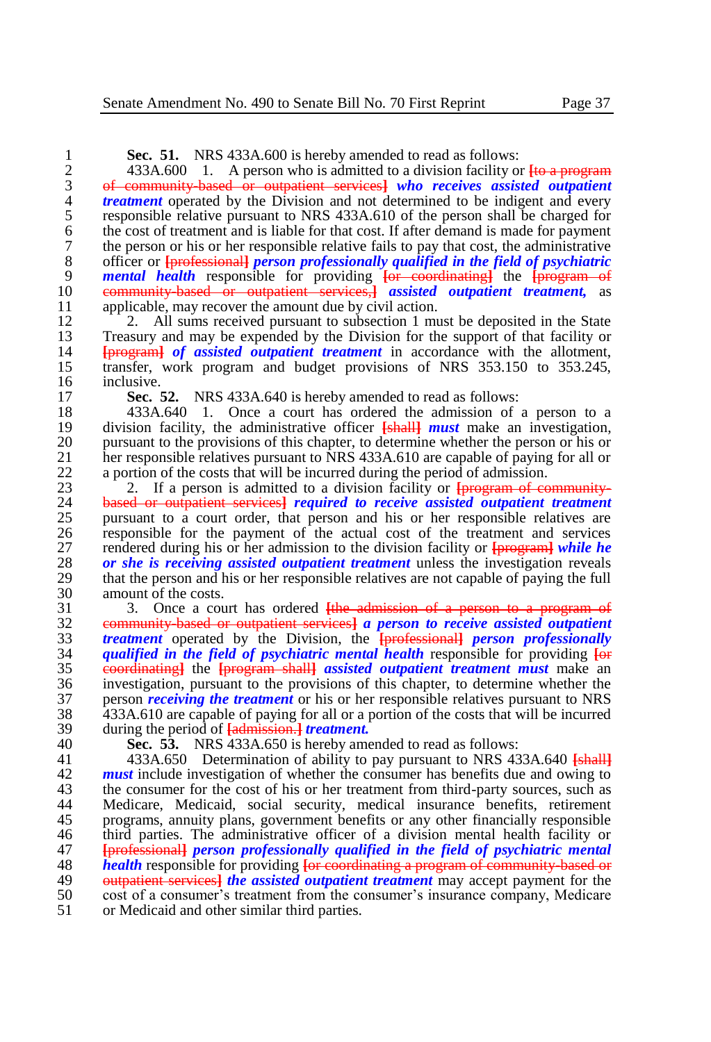**Sec. 51.** NRS 433A.600 is hereby amended to read as follows:<br>2 433A.600 1. A person who is admitted to a division facility of

2 433A.600 1. A person who is admitted to a division facility or  $\frac{1}{10}$  a program<br>3 <del>of community based or outpatient services</del> who receives assisted outpatient 3 of community-based or outpatient services**]** *who receives assisted outpatient treatment* operated by the Division and not determined to be indigent and every responsible relative pursuant to NRS 433A.610 of the person shall be charged for 5 responsible relative pursuant to NRS 433A.610 of the person shall be charged for 6 the cost of treatment and is liable for that cost. If after demand is made for payment<br>7 the person or his or her responsible relative fails to pay that cost, the administrative 7 the person or his or her responsible relative fails to pay that cost, the administrative<br>8 officer or the responsible *nerson professionally qualified in the field of psychiatric* 8 officer or **[**professional**]** *person professionally qualified in the field of psychiatric*  9 *mental health* responsible for providing **[**or coordinating**]** the **[**program of 10 community-based or outpatient services,**]** *assisted outpatient treatment,* as 11 applicable, may recover the amount due by civil action.<br>12 2. All sums received pursuant to subsection 1 mu

12 2. All sums received pursuant to subsection 1 must be deposited in the State 13 13 Treasury and may be expended by the Division for the support of that facility or 13 Treasury and may be expended by the Division for the support of that facility or  $\frac{1}{4}$  Experient *of assisted outpatient treatment* in accordance with the allotment. 14 **[**program**]** *of assisted outpatient treatment* in accordance with the allotment, 15 transfer, work program and budget provisions of NRS 353.150 to 353.245, 16 inclusive.<br>17 **Sec.**:

17 **Sec. 52.** NRS 433A.640 is hereby amended to read as follows:<br>18 433A.640 1. Once a court has ordered the admission of

18 433A.640 1. Once a court has ordered the admission of a person to a 19 division facility, the administrative officer **[shall]** *must* make an investigation. 19 division facility, the administrative officer **[**shall**]** *must* make an investigation, 20 pursuant to the provisions of this chapter, to determine whether the person or his or 21 her responsible relatives pursuant to NRS 433A.610 are capable of paying for all or 21 her responsible relatives pursuant to NRS 433A.610 are capable of paying for all or  $\alpha$  a portion of the costs that will be incurred during the period of admission. 22 a portion of the costs that will be incurred during the period of admission.<br>23 2. If a person is admitted to a division facility or **Information** 

23 2. If a person is admitted to a division facility or **[program of community-**<br>24 **based or outpatient services]** required to receive assisted outpatient treatment 24 based or outpatient services**]** *required to receive assisted outpatient treatment*  25 pursuant to a court order, that person and his or her responsible relatives are 26 responsible for the payment of the actual cost of the treatment and services rendered during his or her admission to the division facility or  $\frac{1}{2}$  is the service of the treatment while he 27 rendered during his or her admission to the division facility or  $\frac{1}{2}$  *programal while he* 28 *or she is receiving assisted outpatient treatment* **unless the investigation reveals** 28 *or she is receiving assisted outpatient treatment* unless the investigation reveals that the person and his or her responsible relatives are not capable of paying the full 29 that the person and his or her responsible relatives are not capable of paying the full amount of the costs. 30 amount of the costs.<br>31 3. Once a cou

31 3. Once a court has ordered <del>[the admission of a person to a program of</del> 32 **example 32 community based or outpatient services** a *person to receive assisted outpatient*  community-based or outpatient services**]** *a person to receive assisted outpatient treatment* operated by the Division, the **[**professional**]** *person professionally qualified in the field of psychiatric mental health* responsible for providing **[**or coordinating**]** the **[**program shall**]** *assisted outpatient treatment must* make an 36 investigation, pursuant to the provisions of this chapter, to determine whether the<br>37 person *receiving the treatment* or his or her responsible relatives pursuant to NRS 37 person *receiving the treatment* or his or her responsible relatives pursuant to NRS<br>38 433A.610 are capable of paving for all or a portion of the costs that will be incurred  $\frac{433\text{A}}{610}$  are capable of paying for all or a portion of the costs that will be incurred during the period of Ladmission 1 *treatment*. during the period of **[**admission.**]** *treatment.*

40 **Sec. 53.** NRS 433A.650 is hereby amended to read as follows:

41 433A.650 Determination of ability to pay pursuant to NRS 433A.640 **[**shall**]** 42 **must** include investigation of whether the consumer has benefits due and owing to the consumer for the cost of his or her treatment from third-party sources, such as 43 the consumer for the cost of his or her treatment from third-party sources, such as<br>44 Medicare. Medicaid. social security. medical insurance benefits. retirement Medicare, Medicaid, social security, medical insurance benefits, retirement 45 programs, annuity plans, government benefits or any other financially responsible<br>46 third parties. The administrative officer of a division mental health facility or 46 third parties. The administrative officer of a division mental health facility or<br>47 **Exploressignally person professionally qualified in the field of psychiatric mental** 47 **[**professional**]** *person professionally qualified in the field of psychiatric mental*  48 *health* responsible for providing <del>[or coordinating a program of community based or</del><br>49 *outnationt services) the assisted outnatient treatment* **may accept payment for the** 49 **outpatient services** *the assisted outpatient treatment* may accept payment for the cost of a consumer's treatment from the consumer's insurance company. Medicare 50 cost of a consumer's treatment from the consumer's insurance company, Medicare 51 or Medicaid and other similar third parties. or Medicaid and other similar third parties.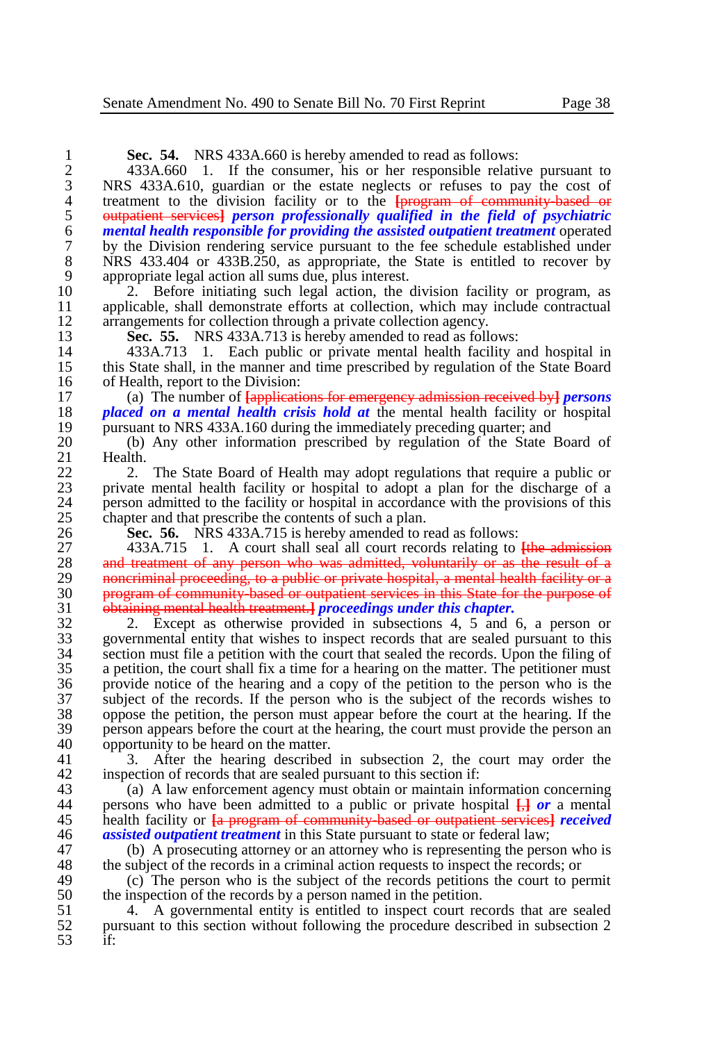| 1                                          | Sec. 54. NRS 433A.660 is hereby amended to read as follows:                                              |
|--------------------------------------------|----------------------------------------------------------------------------------------------------------|
|                                            | 433A.660 1. If the consumer, his or her responsible relative pursuant to                                 |
| $\frac{2}{3}$                              | NRS 433A.610, guardian or the estate neglects or refuses to pay the cost of                              |
| $\begin{array}{c} 4 \\ 5 \\ 6 \end{array}$ | treatment to the division facility or to the <b>[program of community based or</b>                       |
|                                            | outpatient services] person professionally qualified in the field of psychiatric                         |
|                                            | mental health responsible for providing the assisted outpatient treatment operated                       |
| $\overline{7}$                             | by the Division rendering service pursuant to the fee schedule established under                         |
| 8                                          | NRS 433.404 or 433B.250, as appropriate, the State is entitled to recover by                             |
| 9                                          | appropriate legal action all sums due, plus interest.                                                    |
| 10                                         | Before initiating such legal action, the division facility or program, as<br>2.                          |
| 11                                         | applicable, shall demonstrate efforts at collection, which may include contractual                       |
| 12                                         | arrangements for collection through a private collection agency.                                         |
| 13                                         | Sec. 55. NRS 433A.713 is hereby amended to read as follows:                                              |
| 14                                         | 433A.713 1. Each public or private mental health facility and hospital in                                |
| 15                                         | this State shall, in the manner and time prescribed by regulation of the State Board                     |
| 16                                         | of Health, report to the Division:                                                                       |
| 17                                         | (a) The number of $\overline{f}$ applications for emergency admission received by $\overline{g}$ persons |
| 18                                         | <i>placed on a mental health crisis hold at the mental health facility or hospital</i>                   |
| 19                                         | pursuant to NRS 433A.160 during the immediately preceding quarter; and                                   |
| 20                                         | (b) Any other information prescribed by regulation of the State Board of                                 |
| 21                                         | Health.                                                                                                  |
| 22                                         | The State Board of Health may adopt regulations that require a public or<br>2.                           |
| 23                                         | private mental health facility or hospital to adopt a plan for the discharge of a                        |
| 24                                         | person admitted to the facility or hospital in accordance with the provisions of this                    |
| 25                                         | chapter and that prescribe the contents of such a plan.                                                  |
| 26                                         | Sec. 56. NRS 433A.715 is hereby amended to read as follows:                                              |
| 27                                         | $433A.715$ 1. A court shall seal all court records relating to $\frac{f_{th}}{f_{th}}$ admission         |
| 28                                         | and treatment of any person who was admitted, voluntarily or as the result of a                          |
| 29                                         | noncriminal proceeding, to a public or private hospital, a mental health facility or a                   |
| 30                                         | program of community based or outpatient services in this State for the purpose of                       |
| 31                                         | obtaining mental health treatment. <i>proceedings under this chapter</i> .                               |
| 32                                         | 2. Except as otherwise provided in subsections 4, 5 and 6, a person or                                   |
| 33                                         | governmental entity that wishes to inspect records that are sealed pursuant to this                      |
| 34                                         | section must file a petition with the court that sealed the records. Upon the filing of                  |
| 35                                         | a petition, the court shall fix a time for a hearing on the matter. The petitioner must                  |
| 36                                         | provide notice of the hearing and a copy of the petition to the person who is the                        |
| 37                                         | subject of the records. If the person who is the subject of the records wishes to                        |
| 38                                         | oppose the petition, the person must appear before the court at the hearing. If the                      |
| 39                                         | person appears before the court at the hearing, the court must provide the person an                     |
| 40                                         | opportunity to be heard on the matter.                                                                   |
| 41                                         | After the hearing described in subsection 2, the court may order the<br>3.                               |
| 42                                         | inspection of records that are sealed pursuant to this section if:                                       |
| 43                                         | (a) A law enforcement agency must obtain or maintain information concerning                              |
| 44                                         | persons who have been admitted to a public or private hospital $\frac{1}{12}$ or a mental                |
| $\epsilon$                                 |                                                                                                          |

 health facility or **[**a program of community-based or outpatient services**]** *received*  46 *assisted outpatient treatment* in this State pursuant to state or federal law;<br>47 (b) A prosecuting attorney or an attorney who is representing the person

47 (b) A prosecuting attorney or an attorney who is representing the person who is the subject of the records in a criminal action requests to inspect the records: or 48 the subject of the records in a criminal action requests to inspect the records; or<br>49 (c) The person who is the subject of the records petitions the court to per-

49 (c) The person who is the subject of the records petitions the court to permit the inspection of the records by a person named in the petition. 50 the inspection of the records by a person named in the petition.<br>51 4. A governmental entity is entitled to inspect court rec

51 4. A governmental entity is entitled to inspect court records that are sealed<br>52 pursuant to this section without following the procedure described in subsection 2 pursuant to this section without following the procedure described in subsection 2 if: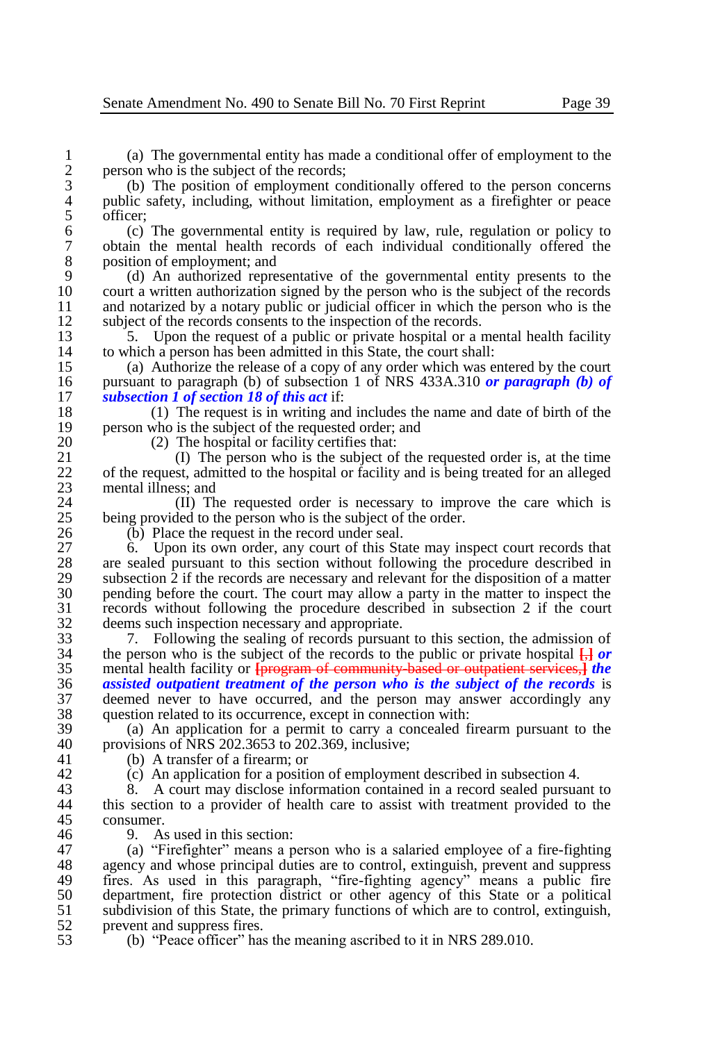1 (a) The governmental entity has made a conditional offer of employment to the 2 person who is the subject of the records;<br>3 (b) The position of employment co

3 (b) The position of employment conditionally offered to the person concerns public safety, including, without limitation, employment as a firefighter or peace 4 public safety, including, without limitation, employment as a firefighter or peace<br>5 officer:  $\begin{array}{cc} 5 & \text{ officer;} \\ 6 & \text{(c)} \end{array}$ 

6 (c) The governmental entity is required by law, rule, regulation or policy to 7 obtain the mental health records of each individual conditionally offered the 8 position of employment; and<br>9 (d) An authorized repre

9 (d) An authorized representative of the governmental entity presents to the 10 court a written authorization signed by the person who is the subject of the records<br>11 and notarized by a notary public or judicial officer in which the person who is the 11 and notarized by a notary public or judicial officer in which the person who is the subject of the records consents to the inspection of the records. 12 subject of the records consents to the inspection of the records.<br>13 5. Upon the request of a public or private hospital or a 1

13 5. Upon the request of a public or private hospital or a mental health facility to which a person has been admitted in this State, the court shall: 14 to which a person has been admitted in this State, the court shall:<br>15 (a) Authorize the release of a copy of any order which was e

15 (a) Authorize the release of a copy of any order which was entered by the court 16 pursuant to paragraph (b) of subsection 1 of NRS 433A.310 or paragraph (b) of 16 pursuant to paragraph (b) of subsection 1 of NRS 433A.310 *or paragraph (b) of*  17 *subsection 1 of section 18 of this act* if:

18 (1) The request is in writing and includes the name and date of birth of the person who is the subject of the requested order: and 19 person who is the subject of the requested order; and  $\frac{20}{20}$  The hospital or facility certifies that:

20 (2) The hospital or facility certifies that:<br>21 (1) The person who is the subject of 21 (I) The person who is the subject of the requested order is, at the time<br>22 of the request, admitted to the hospital or facility and is being treated for an alleged 22 of the request, admitted to the hospital or facility and is being treated for an alleged mental illness: and 23 mental illness; and  $\frac{23}{10}$  mental illness; and

24 (II) The requested order is necessary to improve the care which is  $25$  being provided to the person who is the subject of the order. 25 being provided to the person who is the subject of the order.<br>26 (b) Place the request in the record under seal.

26 (b) Place the request in the record under seal.<br>27 6. Upon its own order, any court of this Sta

27 6. Upon its own order, any court of this State may inspect court records that 28 are sealed pursuant to this section without following the procedure described in 28 are sealed pursuant to this section without following the procedure described in subsection 2 if the records are necessary and relevant for the disposition of a matter 29 subsection  $\tilde{2}$  if the records are necessary and relevant for the disposition of a matter 30 perception of a matter to inspect the court. The court may allow a party in the matter to inspect the 30 pending before the court. The court may allow a party in the matter to inspect the records without following the procedure described in subsection 2 if the court 31 records without following the procedure described in subsection 2 if the court 32 deems such inspection necessary and appropriate.<br>33 7. Following the sealing of records pursuan

33 7. Following the sealing of records pursuant to this section, the admission of the person who is the subject of the records to the public or private hospital  $\Box$  or 34 the person who is the subject of the records to the public or private hospital  $\frac{1}{k}$  *or* mental health facility or *brogram of community based or outpatient services.) the* 35 mental health facility or **[**program of community-based or outpatient services,**]** *the*  36 **assisted outpatient treatment of the person who is the subject of the records** is<br>37 deemed never to have occurred, and the person may answer accordingly any 37 deemed never to have occurred, and the person may answer accordingly any 38 question related to its occurrence, except in connection with:<br>39 (a) An application for a permit to carry a concealed fi

39 (a) An application for a permit to carry a concealed firearm pursuant to the 40 provisions of NRS 202.3653 to 202.369, inclusive;<br>41 (b) A transfer of a firearm: or

(b) A transfer of a firearm; or

42 (c) An application for a position of employment described in subsection 4.<br>43 (a) A court may disclose information contained in a record sealed pursual

43 8. A court may disclose information contained in a record sealed pursuant to 44 this section to a provider of health care to assist with treatment provided to the this section to a provider of health care to assist with treatment provided to the 45 consumer.<br>46 9 A

46 9. As used in this section:<br>47 (a) "Firefighter" means a r 47 (a) "Firefighter" means a person who is a salaried employee of a fire-fighting agency and whose principal duties are to control, extinguish, prevent and suppress 48 agency and whose principal duties are to control, extinguish, prevent and suppress<br>49 fires. As used in this paragraph, "fire-fighting agency" means a public fire 49 fires. As used in this paragraph, "fire-fighting agency" means a public fire 50 department, fire protection district or other agency of this State or a political 51 subdivision of this State, the primary functions of which are to control, extinguish, prevent and suppress fires 52 prevent and suppress fires.<br>53 (b) "Peace officer" has

53 (b) "Peace officer" has the meaning ascribed to it in NRS 289.010.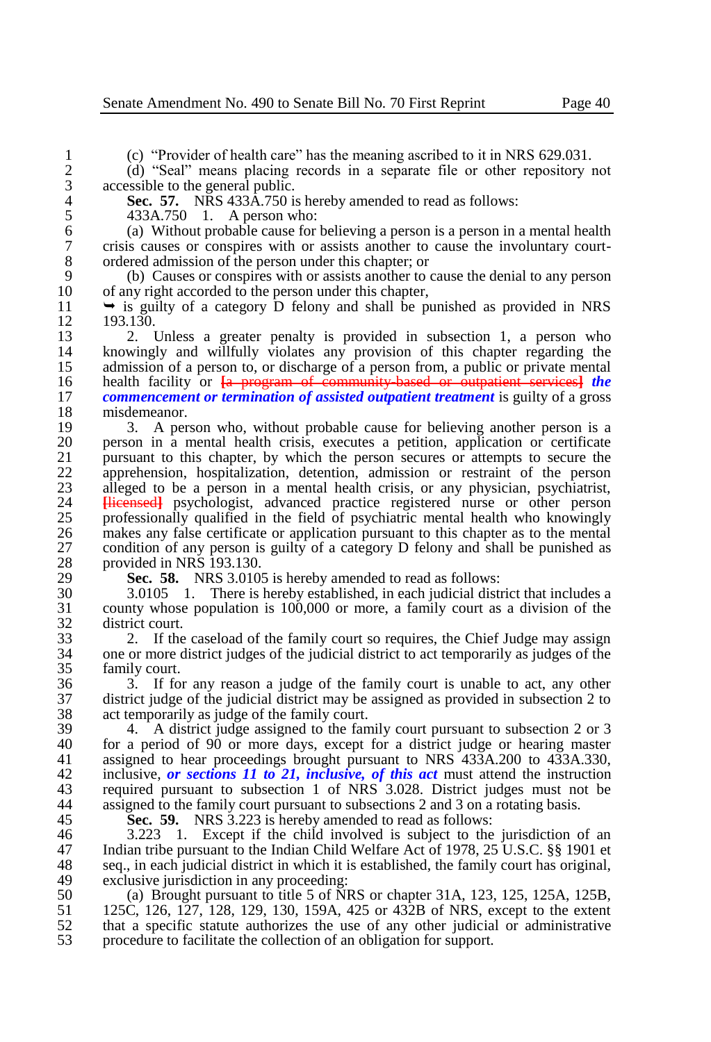1 (c) "Provider of health care" has the meaning ascribed to it in NRS 629.031.

2 (d) "Seal" means placing records in a separate file or other repository not 3 accessible to the general public.<br>4 **Sec. 57.** NRS 433A.750 is

**Sec. 57.** NRS 433Å.750 is hereby amended to read as follows:<br>5 433A.750 1. A person who:

5 433A.750 1. A person who:<br>6 (a) Without probable cause for 6 (a) Without probable cause for believing a person is a person in a mental health 7 crisis causes or conspires with or assists another to cause the involuntary court-8 ordered admission of the person under this chapter; or 9 (b) Causes or conspires with or assists another to

9 (b) Causes or conspires with or assists another to cause the denial to any person 10 of any right accorded to the person under this chapter,<br>11  $\rightarrow$  is quilty of a category D felony and shall be m

11  $\rightarrow$  is guilty of a category D felony and shall be punished as provided in NRS<br>12 193.130

12 193.130.<br>13 2. 1 13 2. Unless a greater penalty is provided in subsection 1, a person who 14 knowingly and willfully violates any provision of this chapter regarding the 14 knowingly and willfully violates any provision of this chapter regarding the admission of a person to, or discharge of a person from, a public or private mental 15 admission of a person to, or discharge of a person from, a public or private mental 16 health facility or  $\overline{a}$  program of community based or outpatient services the 16 health facility or  $\frac{1}{2}$  **For the Exercise Exercise for constant of** *commencement or termination of assisted outpatient treatment is suilty of a gross* 17 *commencement or termination of assisted outpatient treatment* is guilty of a gross 18 misdemeanor.<br>19 3. A per

19 3. A person who, without probable cause for believing another person is a<br>20 between in a mental health crisis, executes a petition, application or certificate 20 person in a mental health crisis, executes a petition, application or certificate 21 pursuant to this chapter, by which the person secures or attempts to secure the apprehension, hospitalization, detention, admission or restraint of the person 22 apprehension, hospitalization, detention, admission or restraint of the person alleged to be a person in a mental health crisis or any physician, psychiatrist. 23 alleged to be a person in a mental health crisis, or any physician, psychiatrist, 24 **Hiermings** psychologist, advanced practice registered nurse or other person 24 **[licensed]** psychologist, advanced practice registered nurse or other person contesting professionally qualified in the field of psychiatric mental health who knowingly 25 professionally qualified in the field of psychiatric mental health who knowingly<br>26 makes any false certificate or application pursuant to this chapter as to the mental 26 makes any false certificate or application pursuant to this chapter as to the mental 27 condition of any person is guilty of a category D felony and shall be punished as 27 condition of any person is guilty of a category D felony and shall be punished as 28 provided in NRS 193.130.

29 **Sec. 58.** NRS 3.0105 is hereby amended to read as follows:

30 3.0105 1. There is hereby established, in each judicial district that includes a 31 county whose population is 100,000 or more, a family court as a division of the 32 district court.<br>33 2. If the

33 2. If the caseload of the family court so requires, the Chief Judge may assign<br>34 one or more district judges of the judicial district to act temporarily as judges of the 34 one or more district judges of the judicial district to act temporarily as judges of the family court.

36 3. If for any reason a judge of the family court is unable to act, any other 37 district judge of the judicial district may be assigned as provided in subsection 2 to 38 act temporarily as judge of the family court.<br>39 4 A district judge assigned to the fan

39 4. A district judge assigned to the family court pursuant to subsection 2 or 3<br>40 for a period of 90 or more days, except for a district judge or hearing master 40 for a period of 90 or more days, except for a district judge or hearing master 41 assigned to hear proceedings brought pursuant to NRS 433A.200 to 433A.330. assigned to hear proceedings brought pursuant to NRS 433A.200 to 433A.330, 42 inclusive, *or sections 11 to 21*, *inclusive*, *of this act* must attend the instruction required pursuant to subsection 1 of NRS 3.028. District judges must not be 43 required pursuant to subsection 1 of NRS 3.028. District judges must not be assigned to the family court pursuant to subsections 2 and 3 on a rotating basis. assigned to the family court pursuant to subsections 2 and 3 on a rotating basis.

45 **Sec. 59.** NRS 3.223 is hereby amended to read as follows:<br>46 3.223 1. Except if the child involved is subject to the

46 3.223 1. Except if the child involved is subject to the jurisdiction of an 47 Indian tribe pursuant to the Indian Child Welfare Act of 1978, 25 U.S.C. 88 1901 et 47 Indian tribe pursuant to the Indian Child Welfare Act of 1978, 25 U.S.C. §§ 1901 et 48 seq., in each judicial district in which it is established, the family court has original. 48 seq., in each judicial district in which it is established, the family court has original,  $\frac{49}{100}$  exclusive invisible in any proceeding: 49 exclusive jurisdiction in any proceeding:<br>50 (a) Brought pursuant to title 5 of NI

50 (a) Brought pursuant to title 5 of NRS or chapter 31A, 123, 125, 125A, 125B, 51 125C, 126, 127, 128, 129, 130, 159A, 425 or 432B of NRS, except to the extent 51 125C, 126, 127, 128, 129, 130, 159A, 425 or 432B of NRS, except to the extent  $\frac{52}{100}$  that a specific statute authorizes the use of any other judicial or administrative 52 that a specific statute authorizes the use of any other judicial or administrative procedure to facilitate the collection of an obligation for support. 53 procedure to facilitate the collection of an obligation for support.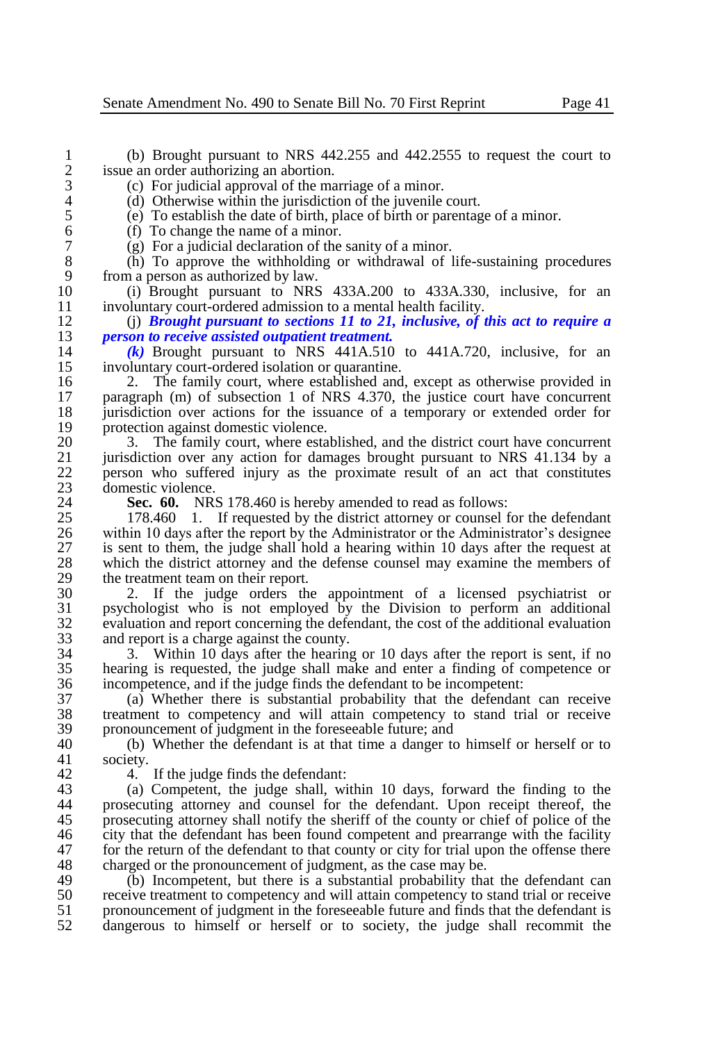1 (b) Brought pursuant to NRS 442.255 and 442.2555 to request the court to issue an order authorizing an abortion. 2 issue an order authorizing an abortion.<br>3 (c) For judicial approval of the ma

3 (c) For judicial approval of the marriage of a minor.<br>4 (d) Otherwise within the jurisdiction of the juvenile

4 (d) Otherwise within the jurisdiction of the juvenile court.<br>5 (e) To establish the date of birth, place of birth or parentage

5 (e) To establish the date of birth, place of birth or parentage of a minor.

6 (f) To change the name of a minor.<br>  $\begin{pmatrix} 7 \\ 1 \end{pmatrix}$  (g) For a judicial declaration of the

7 (g) For a judicial declaration of the sanity of a minor.

8 (h) To approve the withholding or withdrawal of life-sustaining procedures 9 from a person as authorized by law.<br>10 (i) Brought pursuant to NRS

10 (i) Brought pursuant to NRS 433A.200 to 433A.330, inclusive, for an 11 involuntary court-ordered admission to a mental health facility.<br>12 (i) **Brought pursuant to sections 11 to 21, inclusive, of i** 

12 (j) *Brought pursuant to sections 11 to 21, inclusive, of this act to require a*  13 *person to receive assisted outpatient treatment.*

14 *(k)* Brought pursuant to NRS 441A.510 to 441A.720, inclusive, for an involuntary court-ordered isolation or quarantine. 15 involuntary court-ordered isolation or quarantine.<br>16 2. The family court, where established and

16 2. The family court, where established and, except as otherwise provided in paragraph (m) of subsection 1 of NRS 4.370, the justice court have concurrent 17 paragraph (m) of subsection 1 of NRS 4.370, the justice court have concurrent 18 iurisdiction over actions for the issuance of a temporary or extended order for 18 jurisdiction over actions for the issuance of a temporary or extended order for 19 protection against domestic violence.<br>20 3 The family court, where esta

20 3. The family court, where established, and the district court have concurrent 21 iurisdiction over any action for damages brought pursuant to NRS 41.134 by a 21 iurisdiction over any action for damages brought pursuant to NRS 41.134 by a<br>22 interson who suffered injury as the proximate result of an act that constitutes 22 person who suffered injury as the proximate result of an act that constitutes domestic violence. 23 domestic violence.<br>24 **Sec. 60.** NR:

24 **Sec. 60.** NRS 178.460 is hereby amended to read as follows:<br>25 178.460 1. If requested by the district attorney or counsel for

25 178.460 1. If requested by the district attorney or counsel for the defendant 26 within 10 days after the report by the Administrator or the Administrator's designee 26 within 10 days after the report by the Administrator or the Administrator's designee<br>27 is sent to them, the judge shall hold a hearing within 10 days after the request at 27 is sent to them, the judge shall hold a hearing within 10 days after the request at which the district attorney and the defense counsel may examine the members of 28 which the district attorney and the defense counsel may examine the members of the treatment team on their report. 29 the treatment team on their report.<br>30  $\frac{2}{\pi}$  If the judge orders the

30 2. If the judge orders the appointment of a licensed psychiatrist or 31 psychologist who is not employed by the Division to perform an additional 32 evaluation and report concerning the defendant, the cost of the additional evaluation<br>33 and report is a charge against the county. 33 and report is a charge against the county.<br>34 3. Within 10 days after the hearing

34 3. Within 10 days after the hearing or 10 days after the report is sent, if no 35 hearing is requested, the judge shall make and enter a finding of competence or 36 incompetence, and if the judge finds the defendant to be incompetent:<br>37 (a) Whether there is substantial probability that the defendan

37 (a) Whether there is substantial probability that the defendant can receive 38 treatment to competency and will attain competency to stand trial or receive 39 pronouncement of judgment in the foreseeable future; and 40 (b) Whether the defendant is at that time a danger to

40 (b) Whether the defendant is at that time a danger to himself or herself or to society. society.

42 4. If the judge finds the defendant:<br>43 (a) Competent, the judge shall, wi

43 (a) Competent, the judge shall, within 10 days, forward the finding to the 44 prosecuting attorney and counsel for the defendant. Upon receipt thereof, the prosecuting attorney and counsel for the defendant. Upon receipt thereof, the 45 prosecuting attorney shall notify the sheriff of the county or chief of police of the city that the defendant has been found competent and prearrange with the facility 46 city that the defendant has been found competent and prearrange with the facility<br>47 for the return of the defendant to that county or city for trial upon the offense there 47 for the return of the defendant to that county or city for trial upon the offense there<br>48 charged or the pronouncement of judgment, as the case may be. 48 charged or the pronouncement of judgment, as the case may be.<br>49 (b) Incompetent, but there is a substantial probability that

49 (b) Incompetent, but there is a substantial probability that the defendant can<br>50 receive treatment to connectency and will attain connectency to stand trial or receive 50 receive treatment to competency and will attain competency to stand trial or receive<br>51 ropus pronouncement of judgment in the foreseeable future and finds that the defendant is 51 pronouncement of judgment in the foreseeable future and finds that the defendant is<br>52 dangerous to himself or herself or to society, the judge shall recommit the 52 dangerous to himself or herself or to society, the judge shall recommit the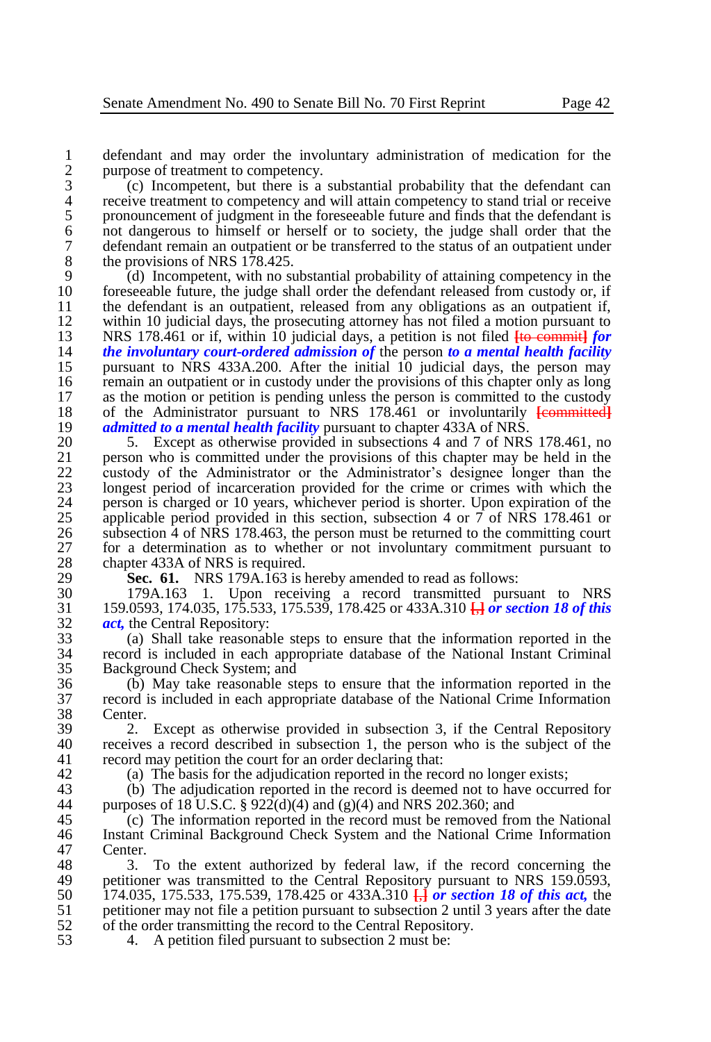1 defendant and may order the involuntary administration of medication for the purpose of treatment to competency. 2 purpose of treatment to competency.<br>3 (c) Incompetent, but there is a

3 (c) Incompetent, but there is a substantial probability that the defendant can receive treatment to competency and will attain competency to stand trial or receive 4 receive treatment to competency and will attain competency to stand trial or receive<br>5 ronouncement of judgment in the foreseeable future and finds that the defendant is 5 pronouncement of judgment in the foreseeable future and finds that the defendant is<br>6 not dangerous to himself or herself or to society, the judge shall order that the 6 obtainery host to himself or herself or to society, the judge shall order that the defendant remain an outpatient or be transferred to the status of an outpatient under 7 defendant remain an outpatient or be transferred to the status of an outpatient under<br>8 the provisions of NRS 178.425. 8 the provisions of NRS  $178.425$ .<br>9 (d) Incompetent, with no si

9 (d) Incompetent, with no substantial probability of attaining competency in the foreseeable future, the judge shall order the defendant released from custody or, if 10 foreseeable future, the judge shall order the defendant released from custody or, if<br>11 fhe defendant is an outpatient, released from any obligations as an outpatient if 11 the defendant is an outpatient, released from any obligations as an outpatient if,<br>12 within 10 judicial days, the prosecuting attorney has not filed a motion pursuant to 12 within 10 judicial days, the prosecuting attorney has not filed a motion pursuant to<br>13 NRS 178.461 or if, within 10 judicial days, a petition is not filed the committed for 13 NRS 178.461 or if, within 10 judicial days, a petition is not filed **[**to commit**]** *for*  14 *the involuntary court-ordered admission of the person to a mental health facility* pursuant to NRS 433A.200. After the initial 10 judicial days, the person may 15 pursuant to NRS 433A.200. After the initial 10 judicial days, the person may<br>16 remain an outpatient or in custody under the provisions of this chapter only as long 16 16 16 16 16 remain an outpatient or in custody under the provisions of this chapter only as long<br>17 16 16 16 17 16 17 16 17 16 17 16 17 16 17 16 17 16 17 16 17 16 17 16 17 16 17 16 17 16 17 16 17 16 17 16 17 as the motion or petition is pending unless the person is committed to the custody 18 of the Administrator pursuant to NRS 178.461 or involuntarily **[committed]**<br>19 *admitted to a mental health facility* pursuant to chapter 433A of NRS. 19 *admitted to a mental health facility* pursuant to chapter 433A of NRS.<br>20 <sup>5</sup> Except as otherwise provided in subsections 4 and 7 of NRS.

20 5. Except as otherwise provided in subsections 4 and 7 of NRS 178.461, no<br>21 person who is committed under the provisions of this chapter may be held in the 21 person who is committed under the provisions of this chapter may be held in the custody of the Administrator or the Administrator's designee longer than the 22 custody of the Administrator or the Administrator's designee longer than the 23 longest period of incarceration provided for the crime or crimes with which the person is charged or 10 years, whichever period is shorter. Upon expiration of the 24 person is charged or 10 years, whichever period is shorter. Upon expiration of the applicable period provided in this section, subsection 4 or 7 of NRS 178.461 or 25 applicable period provided in this section, subsection 4 or  $\overline{7}$  of NRS 178.461 or 26 subsection 4 of NRS 178.463, the person must be returned to the committing court 26 subsection 4 of NRS 178.463, the person must be returned to the committing court 27 for a determination as to whether or not involuntary commitment pursuant to 27 for a determination as to whether or not involuntary commitment pursuant to chapter 433A of NRS is required. 28 chapter 433A of NRS is required.<br>29 **Sec. 61.** NRS 179A 163 is 1

29 **Sec. 61.** NRS 179A.163 is hereby amended to read as follows:<br>30 179A.163 1. Upon receiving a record transmitted purs

30 179A.163 1. Upon receiving a record transmitted pursuant to NRS<br>31 159.0593, 174.035, 175.533, 175.539, 178.425 or 433A.310  $\overline{H}$  or section 18 of this 31 159.0593, 174.035, 175.533, 175.539, 178.425 or 433A.310 **[**,**]** *or section 18 of this*  32 *act*, the Central Repository:<br>33 (a) Shall take reasonable

33 (a) Shall take reasonable steps to ensure that the information reported in the 34 record is included in each appropriate database of the National Instant Criminal Background Check System; and

36 (b) May take reasonable steps to ensure that the information reported in the 37 record is included in each appropriate database of the National Crime Information 38 Center.<br>39 2

39 2. Except as otherwise provided in subsection 3, if the Central Repository 40 receives a record described in subsection 1, the person who is the subject of the record may netition the court for an order declaring that: record may petition the court for an order declaring that:

42 (a) The basis for the adjudication reported in the record no longer exists;<br>43 (b) The adjudication reported in the record is deemed not to have occur

43 (b) The adjudication reported in the record is deemed not to have occurred for purposes of 18 U.S.C.  $\frac{8}{222}$ (d)(4) and (g)(4) and NRS 202.360; and purposes of 18 U.S.C. § 922(d)(4) and (g)(4) and NRS 202.360; and

45 (c) The information reported in the record must be removed from the National 46 Instant Criminal Background Check System and the National Crime Information 46 Instant Criminal Background Check System and the National Crime Information 47 Center.<br>48 3.

48 3. To the extent authorized by federal law, if the record concerning the pertitioner was transmitted to the Central Repository pursuant to NRS 159.0593. 49 petitioner was transmitted to the Central Repository pursuant to NRS 159.0593,<br>50 174.035, 175.533, 175.539, 178.425 or 433A.310  $\overline{H}$  or section 18 of this act, the 50 174.035, 175.533, 175.539, 178.425 or 433A.310 **[**,**]** *or section 18 of this act,* the 51 petitioner may not file a petition pursuant to subsection 2 until 3 years after the date<br>52 of the order transmitting the record to the Central Repository. 52 of the order transmitting the record to the Central Repository.<br>53 4. A petition filed pursuant to subsection 2 must be:

4. A petition filed pursuant to subsection 2 must be: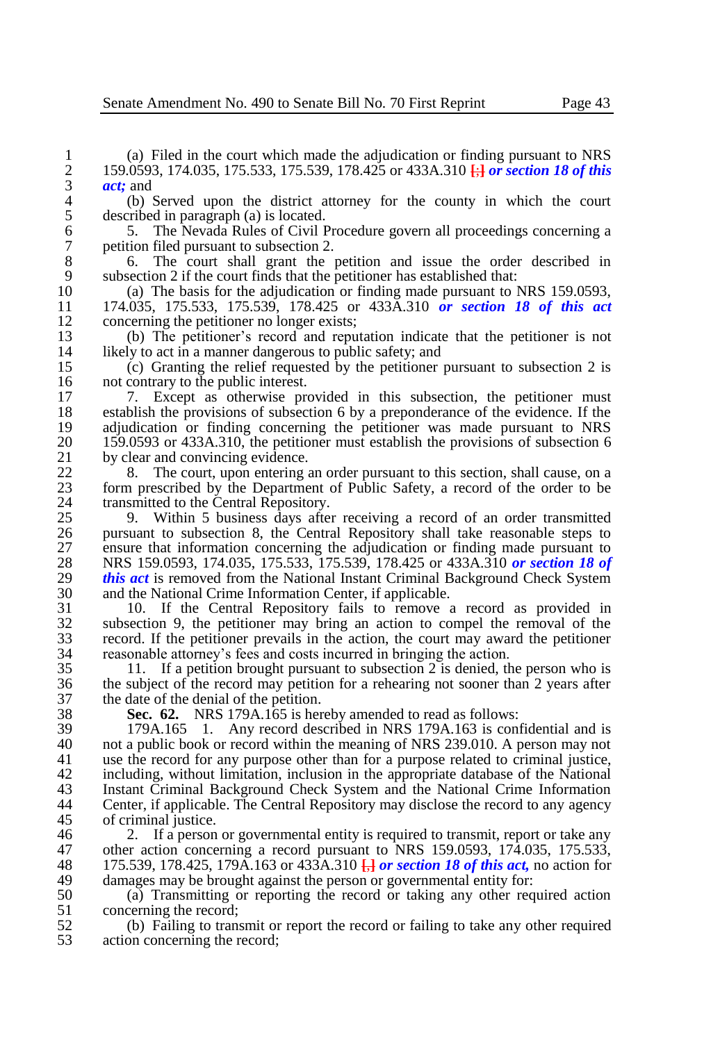4 (b) Served upon the district attorney for the county in which the court 5 described in paragraph (a) is located. 5 described in paragraph (a) is located.<br>6 5. The Nevada Rules of Civil I

6 5. The Nevada Rules of Civil Procedure govern all proceedings concerning a 7 petition filed pursuant to subsection 2.<br>8 6. The court shall grant the

8 6. The court shall grant the petition and issue the order described in subsection 2 if the court finds that the petitioner has established that: 9 subsection 2 if the court finds that the petitioner has established that:<br>10 (a) The basis for the adjudication or finding made pursuant to 1

10 (a) The basis for the adjudication or finding made pursuant to NRS 159.0593,<br>11 174.035, 175.533, 175.539, 178.425 or 433A.310 or section 18 of this act 11 174.035, 175.533, 175.539, 178.425 or 433A.310 *or section 18 of this act*  12 concerning the petitioner no longer exists;<br>13 (b) The petitioner's record and repu

13 (b) The petitioner's record and reputation indicate that the petitioner is not 14 likely to act in a manner dangerous to public safety; and 15 (c) Granting the relief requested by the petitioner

15 (c) Granting the relief requested by the petitioner pursuant to subsection 2 is 16 not contrary to the public interest.<br>17 17 Except as otherwise pro-

17 17 17 7. Except as otherwise provided in this subsection, the petitioner must establish the provisions of subsection 6 by a preponderance of the evidence. If the 18 establish the provisions of subsection 6 by a preponderance of the evidence. If the adjudication or finding concerning the petitioner was made pursuant to NRS 19 adjudication or finding concerning the petitioner was made pursuant to NRS<br>20 159.0593 or 433A.310, the petitioner must establish the provisions of subsection 6 20 159.0593 or 433A.310, the petitioner must establish the provisions of subsection 6<br>21 by clear and convincing evidence. 21 by clear and convincing evidence.<br>22 8. The court, upon entering

22 8. The court, upon entering an order pursuant to this section, shall cause, on a<br>23 form prescribed by the Department of Public Safety, a record of the order to be 23 form prescribed by the Department of Public Safety, a record of the order to be transmitted to the Central Repository. 24 transmitted to the Central Repository.<br>25 9 Within 5 business days after

25 9. Within 5 business days after receiving a record of an order transmitted 26 pursuant to subsection 8, the Central Repository shall take reasonable steps to 26 pursuant to subsection 8, the Central Repository shall take reasonable steps to ensure that information concerning the adjudication or finding made pursuant to 27 ensure that information concerning the adjudication or finding made pursuant to<br>28 NRS 159.0593, 174.035, 175.533, 175.539, 178.425 or 433A.310 or section 18 of 28 NRS 159.0593, 174.035, 175.533, 175.539, 178.425 or 433A.310 *or section 18 of*  29 *this act* is removed from the National Instant Criminal Background Check System<br>30 and the National Crime Information Center, if applicable. 30 and the National Crime Information Center, if applicable.<br>31 10. If the Central Repository fails to remove

 10. If the Central Repository fails to remove a record as provided in subsection 9, the petitioner may bring an action to compel the removal of the record. If the petitioner prevails in the action, the court may award the petitioner 34 reasonable attorney's fees and costs incurred in bringing the action.<br>35 11. If a petition brought pursuant to subsection 2 is denied, the

11. If a petition brought pursuant to subsection  $2$  is denied, the person who is 36 the subject of the record may petition for a rehearing not sooner than 2 years after the date of the denial of the petition. 37 the date of the denial of the petition.<br>38 **Sec. 62.** NRS 179A.165 is her

38 **Sec. 62.** NRS 179A.165 is hereby amended to read as follows:

39 179A.165 1. Any record described in NRS 179A.163 is confidential and is 40 not a public book or record within the meaning of NRS 239.010. A person may not 41 use the record for any purpose other than for a purpose related to criminal justice. use the record for any purpose other than for a purpose related to criminal justice, 42 including, without limitation, inclusion in the appropriate database of the National 43 Instant Criminal Background Check System and the National Crime Information 43 Instant Criminal Background Check System and the National Crime Information Center, if applicable. The Central Repository may disclose the record to any agency 45 of criminal justice.<br>46 2. If a person

46 2. If a person or governmental entity is required to transmit, report or take any<br>47 other action concerning a record pursuant to NRS 159.0593, 174.035, 175.533. 47 other action concerning a record pursuant to NRS 159.0593, 174.035, 175.533, 188 175.539, 178.425, 179A.163 or 433A.310  $\overline{H}$  or section 18 of this act, no action for 48 175.539, 178.425, 179A.163 or 433A.310 **[**,**]** *or section 18 of this act,* no action for 49 damages may be brought against the person or governmental entity for:<br>50 (a) Transmitting or reporting the record or taking any other req

50 (a) Transmitting or reporting the record or taking any other required action 51 concerning the record;<br>52 (b) Failing to trans

52 (b) Failing to transmit or report the record or failing to take any other required action concerning the record: action concerning the record;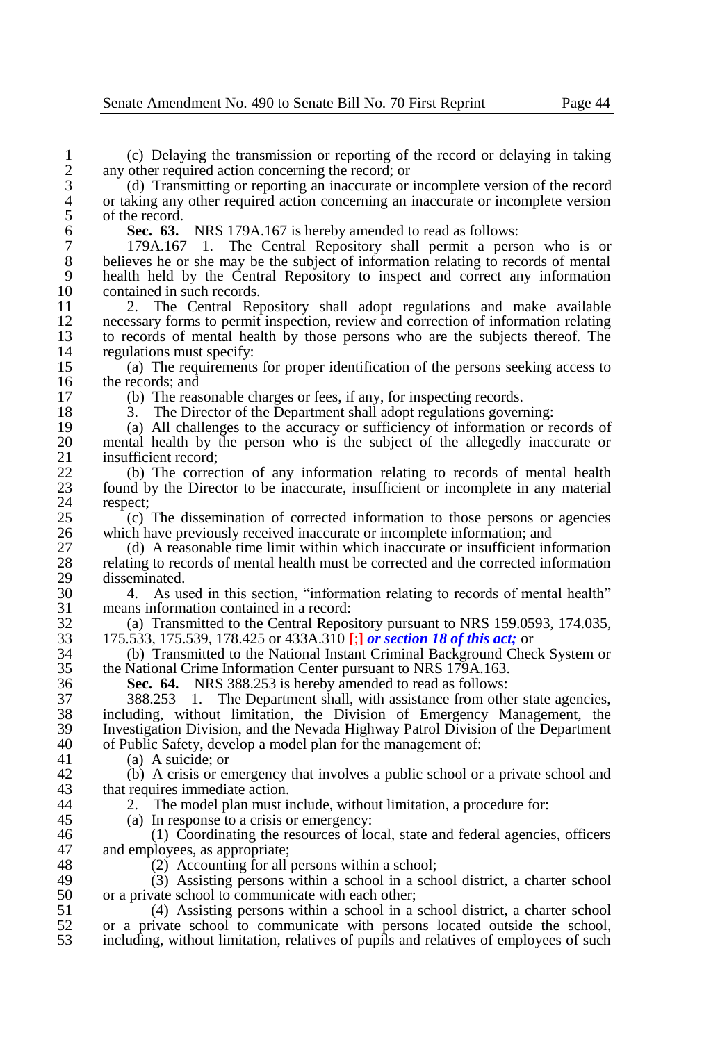1 (c) Delaying the transmission or reporting of the record or delaying in taking any other required action concerning the record: or 2 any other required action concerning the record; or  $\beta$  (d) Transmitting or reporting an inaccurate or

3 (d) Transmitting or reporting an inaccurate or incomplete version of the record 4 or taking any other required action concerning an inaccurate or incomplete version 4 or taking any other required action concerning an inaccurate or incomplete version of the record. 5 of the record.<br>6 Sec. 63.

6 **Sec. 63.** NRS 179A.167 is hereby amended to read as follows:

7 179A.167 1. The Central Repository shall permit a person who is or 8 believes he or she may be the subject of information relating to records of mental<br>9 health held by the Central Repository to inspect and correct any information 9 health held by the Central Repository to inspect and correct any information 10 contained in such records.<br>11 2. The Central Res

11 2. The Central Repository shall adopt regulations and make available<br>12 necessary forms to permit inspection, review and correction of information relating 12 necessary forms to permit inspection, review and correction of information relating<br>13 to records of mental health by those persons who are the subjects thereof. The 13 to records of mental health by those persons who are the subjects thereof. The regulations must specify: 14 regulations must specify:<br>15 (a) The requirements

15 (a) The requirements for proper identification of the persons seeking access to 16 the records; and<br>17 (b) The reas

17 (b) The reasonable charges or fees, if any, for inspecting records.<br>18 3. The Director of the Department shall adopt regulations governed.

18 3. The Director of the Department shall adopt regulations governing:<br>19 (a) All challenges to the accuracy or sufficiency of information or re

19 (a) All challenges to the accuracy or sufficiency of information or records of 20 mental health by the person who is the subject of the allegedly inaccurate or 20 mental health by the person who is the subject of the allegedly inaccurate or 21 insufficient record;<br>22 (b) The correct

22 (b) The correction of any information relating to records of mental health 23 found by the Director to be inaccurate, insufficient or incomplete in any material 23 found by the Director to be inaccurate, insufficient or incomplete in any material 24 respect;<br>25  $(c)$ 

25 (c) The dissemination of corrected information to those persons or agencies 26 which have previously received inaccurate or incomplete information; and 27 (d) A reasonable time limit within which inaccurate or insufficient in

27 (d) A reasonable time limit within which inaccurate or insufficient information<br>28 relating to records of mental health must be corrected and the corrected information 28 relating to records of mental health must be corrected and the corrected information 29 disseminated.<br>30 4 As us

30 4. As used in this section, "information relating to records of mental health" 31 means information contained in a record:<br>32 (a) Transmitted to the Central Repos

32 (a) Transmitted to the Central Repository pursuant to NRS 159.0593, 174.035, 175.533, 175.539, 178.425 or 433A.310  $\overline{4}$  or section 18 of this act: or 33 175.533, 175.539, 178.425 or 433A.310 **[**;**]** *or section 18 of this act;* or

34 (b) Transmitted to the National Instant Criminal Background Check System or the National Crime Information Center pursuant to NRS 179A.163.

36 **Sec. 64.** NRS 388.253 is hereby amended to read as follows:

37 388.253 1. The Department shall, with assistance from other state agencies, 38 including, without limitation, the Division of Emergency Management, the 139 Investigation Division and the Nevada Highway Patrol Division of the Department 39 Investigation Division, and the Nevada Highway Patrol Division of the Department 40 of Public Safety, develop a model plan for the management of:<br>41 (a) A suicide: or

(a) A suicide; or

42 (b) A crisis or emergency that involves a public school or a private school and that requires immediate action. 43 that requires immediate action.<br>44 2 The model plan must in

2. The model plan must include, without limitation, a procedure for:

45 (a) In response to a crisis or emergency:<br>46 (1) Coordinating the resources of lo 46 (1) Coordinating the resources of local, state and federal agencies, officers and employees as appropriate: 47 and employees, as appropriate;<br>48 (2) Accounting for all

48 (2) Accounting for all persons within a school;<br>49 (3) Assisting persons within a school in a scho

49 (3) Assisting persons within a school in a school district, a charter school 50 or a private school to communicate with each other: 50 or a private school to communicate with each other;<br>51 (4) Assisting persons within a school in a

51 (4) Assisting persons within a school in a school district, a charter school 52 or a private school to communicate with persons located outside the school, including, without limitation, relatives of pupils and relatives of employees of such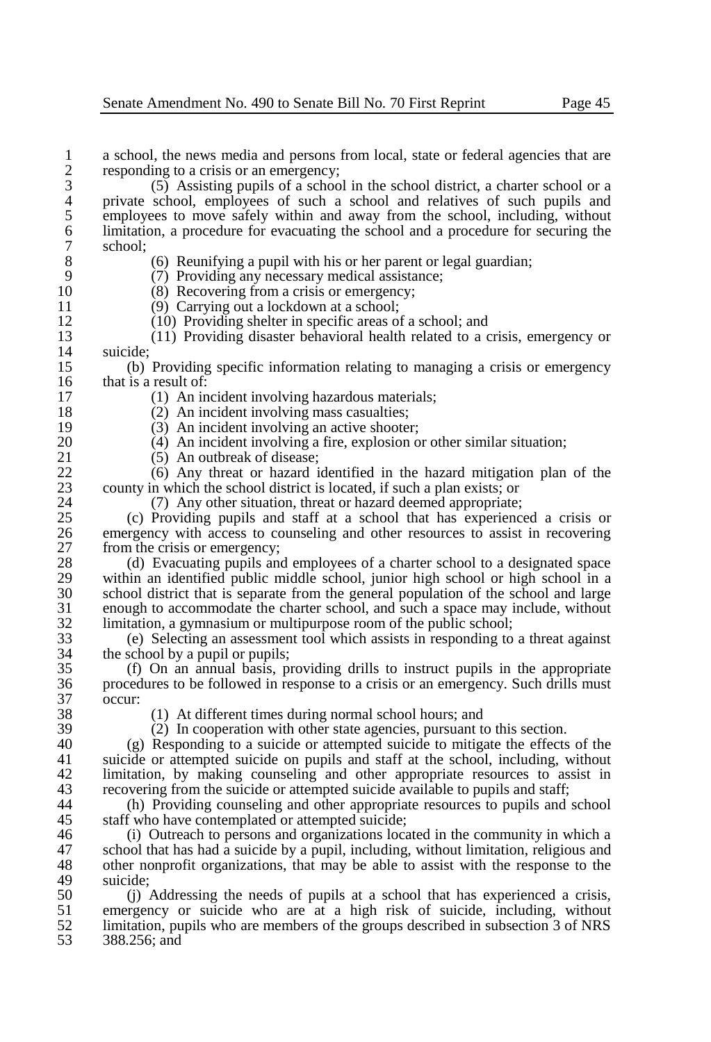1 a school, the news media and persons from local, state or federal agencies that are responding to a crisis or an emergency: 2 responding to a crisis or an emergency;<br>3 (5) Assisting pupils of a school 3 (5) Assisting pupils of a school in the school district, a charter school or a 4 private school, employees of such a school and relatives of such pupils and employees to move safely within and away from the school, including, without 5 employees to move safely within and away from the school, including, without 6 limitation, a procedure for evacuating the school and a procedure for securing the 6 limitation, a procedure for evacuating the school and a procedure for securing the 7 school; 8 (6) Reunifying a pupil with his or her parent or legal guardian;<br>9 (7) Providing any necessary medical assistance: 9 (7) Providing any necessary medical assistance;<br>10 (8) Recovering from a crisis or emergency: 10 (8) Recovering from a crisis or emergency;<br>11 (9) Carrying out a lockdown at a school: 11 (9) Carrying out a lockdown at a school;<br>12 (10) Providing shelter in specific areas of 12 (10) Providing shelter in specific areas of a school; and<br>13 (11) Providing disaster behavioral health related to a c 13 (11) Providing disaster behavioral health related to a crisis, emergency or  $\begin{array}{cc} 14 & \text{suicide;} \\ 15 & \text{(b)} \end{array}$ 15 (b) Providing specific information relating to managing a crisis or emergency  $16$  that is a result of:<br>17 (1) An in 17 (1) An incident involving hazardous materials;<br>18 (2) An incident involving mass casualties: 18 (2) An incident involving mass casualties;<br>19 (3) An incident involving an active shoote 19 (3) An incident involving an active shooter;<br>20 (4) An incident involving a fire, explosion of 20 (4) An incident involving a fire, explosion or other similar situation;<br>21 (5) An outbreak of disease: 21 (5) An outbreak of disease;<br>22 (6) Any threat or hazard i 22  $(6)$  Any threat or hazard identified in the hazard mitigation plan of the 23 county in which the school district is located if such a plan exists: or 23 county in which the school district is located, if such a plan exists; or  $(7)$  Any other situation, threat or hazard deemed appropriate: 24 (7) Any other situation, threat or hazard deemed appropriate;<br>25 (c) Providing pupils and staff at a school that has experience 25 (c) Providing pupils and staff at a school that has experienced a crisis or 26 emergency with access to counseling and other resources to assist in recovering from the crisis or emergency: 27 from the crisis or emergency;<br>28 (d) Evacuating pupils and 28 (d) Evacuating pupils and employees of a charter school to a designated space<br>29 within an identified public middle school, junior high school or high school in a 29 within an identified public middle school, junior high school or high school in a<br>30 school district that is separate from the general population of the school and large 30 school district that is separate from the general population of the school and large<br>31 enough to accommodate the charter school, and such a space may include, without 31 enough to accommodate the charter school, and such a space may include, without 32 limitation, a gymnasium or multipurpose room of the public school;<br>33 (e) Selecting an assessment tool which assists in responding to 33 (e) Selecting an assessment tool which assists in responding to a threat against 34 the school by a pupil or pupils;<br>35 (f) On an annual basis, pr 35 (f) On an annual basis, providing drills to instruct pupils in the appropriate 36 procedures to be followed in response to a crisis or an emergency. Such drills must 37 occur: 38 (1) At different times during normal school hours; and<br>39 (2) In cooperation with other state agencies, pursuant to 39 (2) In cooperation with other state agencies, pursuant to this section.<br>40 (9) Responding to a suicide or attempted suicide to mitigate the effects 40 (g) Responding to a suicide or attempted suicide to mitigate the effects of the suicide or attempted suicide on pupils and staff at the school, including without suicide or attempted suicide on pupils and staff at the school, including, without 42 limitation, by making counseling and other appropriate resources to assist in recovering from the suicide or attempted suicide available to pupils and staff: 43 recovering from the suicide or attempted suicide available to pupils and staff;<br>44 (b) Providing counseling and other appropriate resources to pupils and 44 (h) Providing counseling and other appropriate resources to pupils and school<br>45 staff who have contemplated or attempted suicide: 45 staff who have contemplated or attempted suicide;<br>46 (i) Outreach to persons and organizations local 46 (i) Outreach to persons and organizations located in the community in which a<br>47 school that has had a suicide by a pupil, including without limitation, religious and

47 school that has had a suicide by a pupil, including, without limitation, religious and 48 other nonprofit organizations, that may be able to assist with the response to the 48 other nonprofit organizations, that may be able to assist with the response to the suicide: 49 suicide;<br>50 (i)

50 (j) Addressing the needs of pupils at a school that has experienced a crisis,<br>51 emergency or suicide who are at a high risk of suicide including without 51 emergency or suicide who are at a high risk of suicide, including, without 52 limitation pupils who are members of the groups described in subsection 3 of NRS 52 limitation, pupils who are members of the groups described in subsection 3 of NRS<br>53 388.256: and 53 388.256; and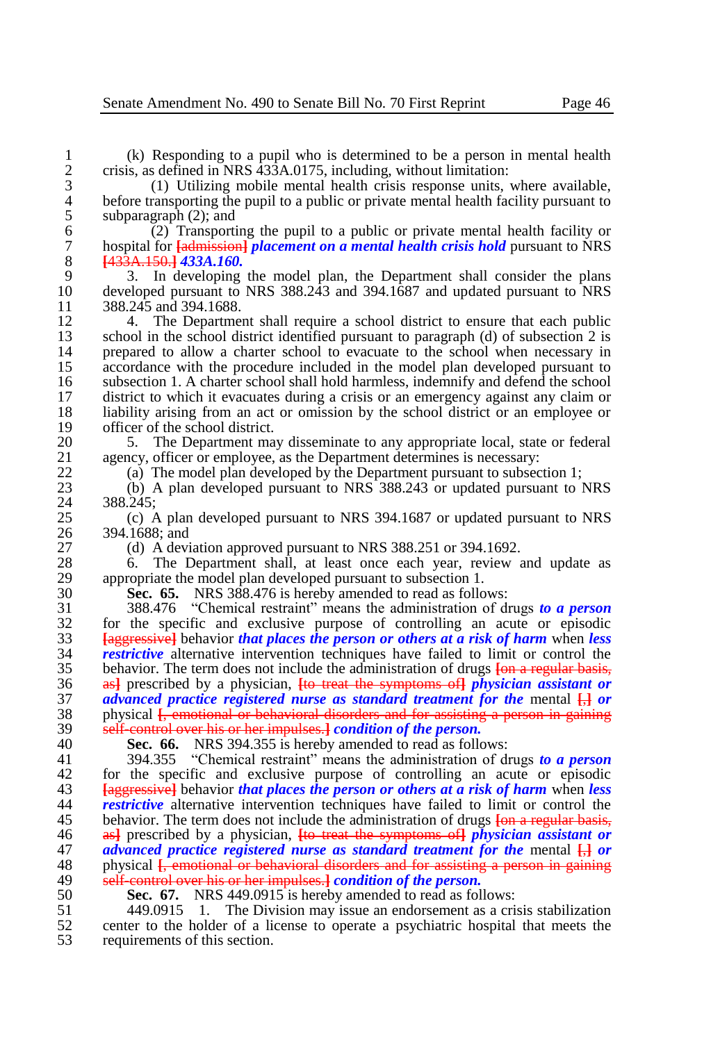1 (k) Responding to a pupil who is determined to be a person in mental health 2 crisis, as defined in NRS  $\frac{433A.0175}{438A.0175}$ , including, without limitation:<br>3 (1) Utilizing mobile mental health crisis response units,

3 (1) Utilizing mobile mental health crisis response units, where available, 4 before transporting the pupil to a public or private mental health facility pursuant to subparagraph (2): and 5 subparagraph  $(2)$ ; and  $(2)$  Transporti

 $\begin{bmatrix} 2 \end{bmatrix}$  Transporting the pupil to a public or private mental health facility or hospital for  $\frac{1}{2}$  health *placement on a mental health crisis hold* pursuant to NRS 7 hospital for **[**admission**]** *placement on a mental health crisis hold* pursuant to NRS 8 **[**433A.150.**]** *433A.160.*

9 3. In developing the model plan, the Department shall consider the plans<br>10 developed pursuant to NRS 388.243 and 394.1687 and updated pursuant to NRS 10 developed pursuant to NRS 388.243 and 394.1687 and updated pursuant to NRS  $11$  388.245 and 394.1688. 11 388.245 and 394.1688.<br>12 4 The Departmen

12 4. The Department shall require a school district to ensure that each public<br>13 school in the school district identified pursuant to paragraph (d) of subsection 2 is 13 school in the school district identified pursuant to paragraph (d) of subsection 2 is<br>14 prepared to allow a charter school to evacuate to the school when necessary in 14 prepared to allow a charter school to evacuate to the school when necessary in accordance with the procedure included in the model plan developed pursuant to 15 accordance with the procedure included in the model plan developed pursuant to subsection 1. A charter school shall hold harmless, indemnify and defend the school 16 subsection 1. A charter school shall hold harmless, indemnify and defend the school<br>17 district to which it evacuates during a crisis or an emergency against any claim or 17 district to which it evacuates during a crisis or an emergency against any claim or 18 liability arising from an act or omission by the school district or an employee or 18 liability arising from an act or omission by the school district or an employee or 19 officer of the school district.<br>20 5 The Department ma

20 5. The Department may disseminate to any appropriate local, state or federal agency, officer or employee, as the Department determines is necessary: 21 agency, officer or employee, as the Department determines is necessary:<br>22 (a) The model plan developed by the Department pursuant to subsect

22 (a) The model plan developed by the Department pursuant to subsection 1;<br>23 (b) A plan developed pursuant to NRS 388.243 or undated pursuant to 1

23 (b) A plan developed pursuant to NRS 388.243 or updated pursuant to NRS 24 388.245;<br>25 (c) A

25 (c) A plan developed pursuant to NRS 394.1687 or updated pursuant to NRS 26 394.1688; and<br>27 (d) A devi

27 (d) A deviation approved pursuant to NRS 388.251 or 394.1692.<br>28 6. The Department shall, at least once each year, review

28 6. The Department shall, at least once each year, review and update as appropriate the model plan developed pursuant to subsection 1. 29 appropriate the model plan developed pursuant to subsection 1.<br>30 **Sec. 65.** NRS 388.476 is hereby amended to read as follo

30 **Sec. 65.** NRS 388.476 is hereby amended to read as follows:

31 388.476 "Chemical restraint" means the administration of drugs *to a person*  $\frac{32}{33}$  for the specific and exclusive purpose of controlling an acute or episodic  $\frac{33}{33}$  **Lagernosized** behavior that places the person or others at a risk of harm when less 33 **[**aggressive**]** behavior *that places the person or others at a risk of harm* when *less restrictive* alternative intervention techniques have failed to limit or control the behavior. The term does not include the administration of drugs **Fon a regular basis**. 35 behavior. The term does not include the administration of drugs **[**on a regular basis, 36 as**]** prescribed by a physician, **[**to treat the symptoms of**]** *physician assistant or*  37 *advanced practice registered nurse as standard treatment for the* mental  $\frac{1}{1}$  *or* by obvisical *f*, emotional or behavioral disorders and for assisting a person in gaining 38 physical  $\frac{1}{k}$  emotional or behavioral disorders and for assisting a person in gaining  $\frac{1}{2}$  self-control over his or her impulses 1 condition of the nerson. <sup>39</sup> self-control over his or her impulses.] *condition of the person.*<br>40 Sec. 66. NRS 394 355 is hereby amended to read as follo

40 **Sec. 66.** NRS 394.355 is hereby amended to read as follows:

41 394.355 "Chemical restraint" means the administration of drugs *to a person* 42 for the specific and exclusive purpose of controlling an acute or episodic 43 **Following 14** Following that *Haces* the person or others at a risk of harm when less 43 **[**aggressive**]** behavior *that places the person or others at a risk of harm* when *less restrictive* alternative intervention techniques have failed to limit or control the 45 behavior. The term does not include the administration of drugs **[on a regular basis,** 46 as<sup>1</sup> prescribed by a physician. **Its treat the symptoms of** *physician assistant or* 46 as**]** prescribed by a physician, **[**to treat the symptoms of**]** *physician assistant or*  47 *advanced practice registered nurse as standard treatment for the mental*  $\frac{1}{1}$  *or physical <i>f*, emotional or behavioral disorders and for assisting a person in gaining 48 physical  $\hat{f}_r$  emotional or behavioral disorders and for assisting a person in gaining  $49$  self-control over his or her impulses **1** condition of the nerson. 49 self-control over his or her impulses.**]** *condition of the person.*

50 **Sec. 67.** NRS 449.0915 is hereby amended to read as follows:

51 449.0915 1. The Division may issue an endorsement as a crisis stabilization 52 center to the holder of a license to operate a psychiatric hospital that meets the requirements of this section.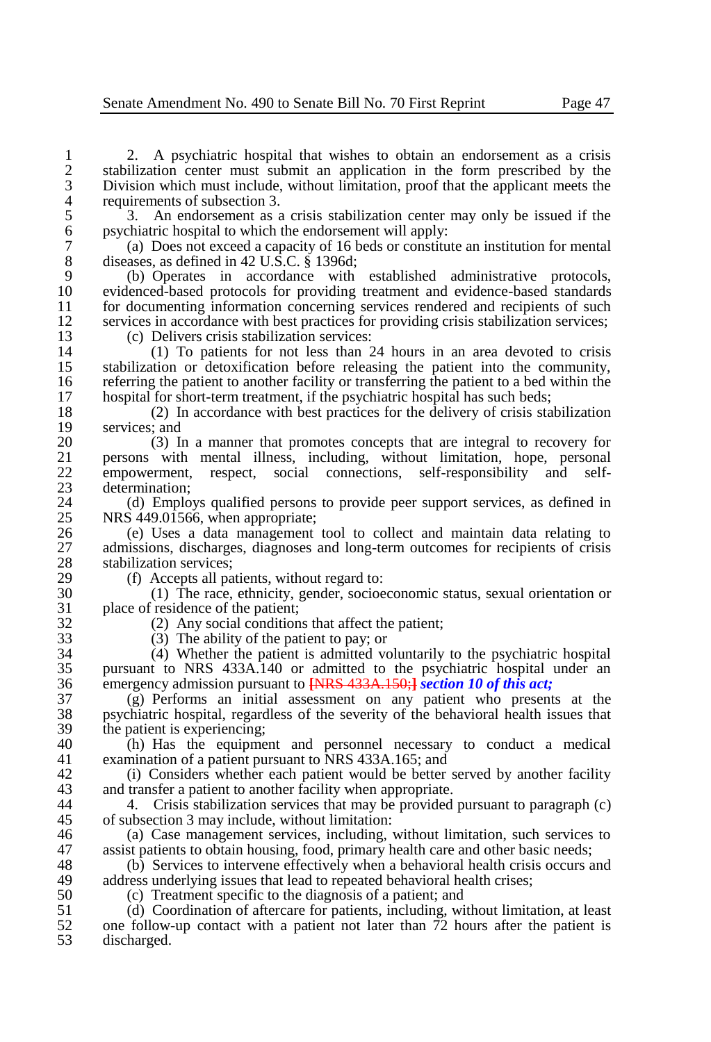2. A psychiatric hospital that wishes to obtain an endorsement as a crisis tabilization center must submit an application in the form prescribed by the 2 stabilization center must submit an application in the form prescribed by the 23 Division which must include, without limitation, proof that the applicant meets the 3 Division which must include, without limitation, proof that the applicant meets the 4 requirements of subsection 3.<br>5 3. An endorsement as a

5 3. An endorsement as a crisis stabilization center may only be issued if the psychiatric hospital to which the endorsement will apply: 6 psychiatric hospital to which the endorsement will apply:

7 (a) Does not exceed a capacity of 16 beds or constitute an institution for mental 8 diseases, as defined in 42 U.S.C.  $\frac{8}{5}$  1396d;<br>9 (b) Operates in accordance with

9 (b) Operates in accordance with established administrative protocols, 10 evidenced-based protocols for providing treatment and evidence-based standards<br>11 for documenting information concerning services rendered and recipients of such 11 for documenting information concerning services rendered and recipients of such services in accordance with best practices for providing crisis stabilization services: 12 services in accordance with best practices for providing crisis stabilization services;<br>13 (c) Delivers crisis stabilization services:

13 (c) Delivers crisis stabilization services:<br>14 (1) To patients for not less than 2

14 (1) To patients for not less than 24 hours in an area devoted to crisis stabilization or detoxification before releasing the patient into the community. 15 stabilization or detoxification before releasing the patient into the community,<br>16 referring the patient to another facility or transferring the patient to a bed within the 16 referring the patient to another facility or transferring the patient to a bed within the<br>17 hospital for short-term treatment, if the psychiatric hospital has such beds: 17 hospital for short-term treatment, if the psychiatric hospital has such beds;<br>18 (2) In accordance with best practices for the delivery of crisis sta

18 (2) In accordance with best practices for the delivery of crisis stabilization  $19$  services; and  $20$   $(3)$  I<sub>1</sub>

20 (3) In a manner that promotes concepts that are integral to recovery for 21 errors with mental illness, including, without limitation, hope, personal 21 persons with mental illness, including, without limitation, hope, personal empowerment, respect, social connections, self-responsibility and self-22 empowerment, respect, social connections, self-responsibility and self-23 determination;<br>24 (d) Emplo

24 (d) Employs qualified persons to provide peer support services, as defined in<br>25 NRS 449.01566, when appropriate: 25 NRS 449.01566, when appropriate;<br>26 (e) Uses a data management

26 (e) Uses a data management tool to collect and maintain data relating to admissions, discharges, diagnoses and long-term outcomes for recipients of crisis 27 admissions, discharges, diagnoses and long-term outcomes for recipients of crisis 28 stabilization services;<br>29 (f) Accents all na

29 (f) Accepts all patients, without regard to:<br>30 (1) The race, ethnicity, gender, socioe

30 (1) The race, ethnicity, gender, socioeconomic status, sexual orientation or 31 place of residence of the patient;<br>32 (2) Any social condition

 $32$  (2) Any social conditions that affect the patient;<br> $33$  (3) The ability of the patient to pay: or

33 (3) The ability of the patient to pay; or<br>34 (4) Whether the patient is admitted vo 34 (4) Whether the patient is admitted voluntarily to the psychiatric hospital 35 pursuant to NRS 433A.140 or admitted to the psychiatric hospital under an 36 emergency admission pursuant to **[NRS 433A.150;]** *section 10 of this act*;<br>37 (g) Performs an initial assessment on any patient who presents

37 (g) Performs an initial assessment on any patient who presents at the 38 psychiatric hospital, regardless of the severity of the behavioral health issues that 39 the patient is experiencing;<br>40 (h) Has the equipment

40 (h) Has the equipment and personnel necessary to conduct a medical examination of a patient pursuant to NRS 433A.165; and examination of a patient pursuant to NRS 433A.165; and

42 (i) Considers whether each patient would be better served by another facility<br>43 and transfer a patient to another facility when appropriate. 43 and transfer a patient to another facility when appropriate.<br>44 <br>4. Crisis stabilization services that may be provided

44 4. Crisis stabilization services that may be provided pursuant to paragraph (c) of subsection 3 may include, without limitation: 45 of subsection 3 may include, without limitation:<br>46 (a) Case management services, including

46 (a) Case management services, including, without limitation, such services to 47 assist patients to obtain housing, food, primary health care and other basic needs: 47 assist patients to obtain housing, food, primary health care and other basic needs;<br>48 (b) Services to intervene effectively when a behavioral health crisis occurs a

48 (b) Services to intervene effectively when a behavioral health crisis occurs and address underlying issues that lead to repeated behavioral health crises: 49 address underlying issues that lead to repeated behavioral health crises;<br>50 (c) Treatment specific to the diagnosis of a patient: and

50 (c) Treatment specific to the diagnosis of a patient; and 51 (d) Coordination of aftercare for patients, including wi

51 (d) Coordination of aftercare for patients, including, without limitation, at least 52 one follow-up contact with a patient not later than 72 hours after the patient is 52 one follow-up contact with a patient not later than  $\overline{72}$  hours after the patient is discharged. discharged.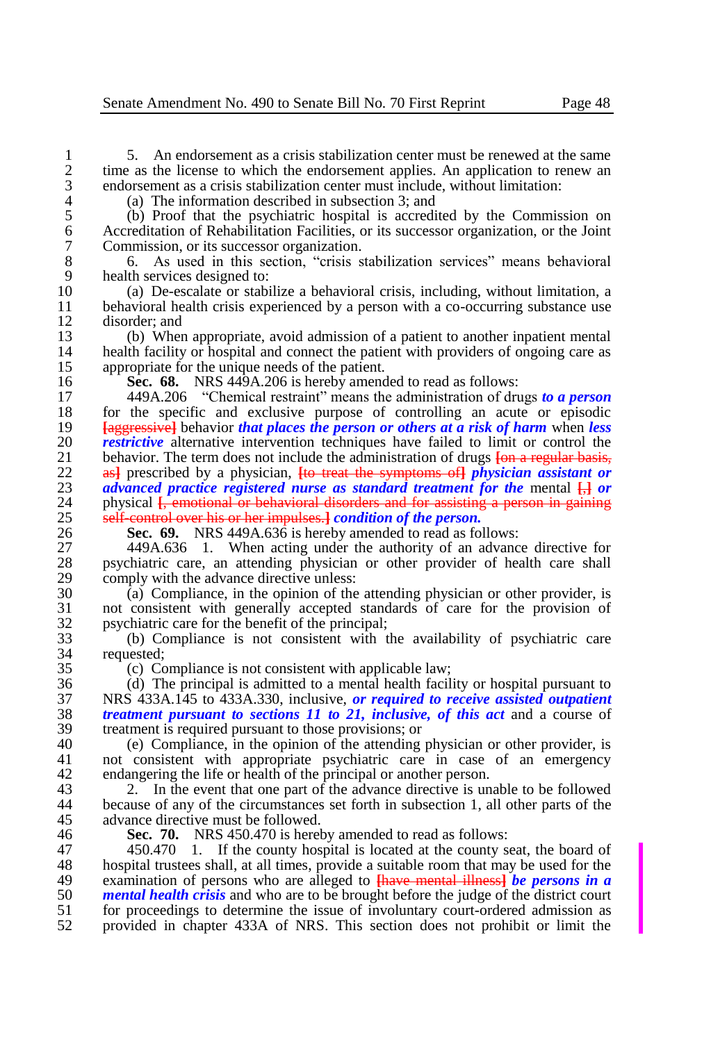1 5. An endorsement as a crisis stabilization center must be renewed at the same<br>2 time as the license to which the endorsement applies. An application to renew an 2 time as the license to which the endorsement applies. An application to renew an endorsement as a crisis stabilization center must include, without limitation: 3 endorsement as a crisis stabilization center must include, without limitation:<br>4 (a) The information described in subsection 3: and

4 (a) The information described in subsection 3; and 5 (b) Proof that the psychiatric hospital is accredi-5 (b) Proof that the psychiatric hospital is accredited by the Commission on 6 Accreditation of Rehabilitation Facilities, or its successor organization, or the Joint Commission, or its successor organization.

7 Commission, or its successor organization.<br>8 6. As used in this section. "crisis s 8 6. As used in this section, "crisis stabilization services" means behavioral

9 health services designed to:<br>10 (a) De-escalate or stabi 10 (a) De-escalate or stabilize a behavioral crisis, including, without limitation, a 11 behavioral health crisis experienced by a person with a co-occurring substance use disorder: and 12 disorder; and<br>13 (b) When

13 (b) When appropriate, avoid admission of a patient to another inpatient mental<br>14 health facility or hospital and connect the patient with providers of ongoing care as 14 health facility or hospital and connect the patient with providers of ongoing care as appropriate for the unique needs of the patient. 15 appropriate for the unique needs of the patient.<br>16 **Sec. 68.** NRS 449A.206 is hereby amend

16 **Sec. 68.** NRS 449A.206 is hereby amended to read as follows:<br>17 449A.206 "Chemical restraint" means the administration of drive

17 449A.206 "Chemical restraint" means the administration of drugs *to a person*  18 for the specific and exclusive purpose of controlling an acute or episodic<br>19 **Followian** Harmore that *naces* the person or others at a risk of harm when less 19 **[**aggressive**]** behavior *that places the person or others at a risk of harm* when *less*  20 *restrictive* alternative intervention techniques have failed to limit or control the behavior. The term does not include the administration of drugs **Fon a regular basis**. 21 behavior. The term does not include the administration of drugs <del>[on a regular basis,</del> 22 as<sup>1</sup> prescribed by a physician. **Ito treat the symptoms of** *physician assistant or* 22 as<sup>1</sup> prescribed by a physician, <del>[to treat the symptoms of</del> *physician assistant or advanced practice registered nurse as standard treatment for the mental*  $\Box$  *or* 23 *advanced practice registered nurse as standard treatment for the mental*  $\frac{1}{1}$  *or physical <i>f*, emotional or behavioral disorders and for assisting a person in gaining 24 physical  $\oint_C$  emotional or behavioral disorders and for assisting a person in gaining  $25$  self-control over his or her impulses **1** condition of the nerson. 25 self-control over his or her impulses.**]** *condition of the person.*<br>26 Sec. 69. NRS 449A.636 is hereby amended to read as following

26 **Sec. 69.** NRS 449A.636 is hereby amended to read as follows:

27 449A.636 1. When acting under the authority of an advance directive for<br>28 november of health care, an attending physician or other provider of health care shall 28 psychiatric care, an attending physician or other provider of health care shall comply with the advance directive unless: 29 comply with the advance directive unless:<br>30 (a) Compliance, in the opinion of the

 $\hat{a}$  ( $\hat{a}$ ) Compliance, in the opinion of the attending physician or other provider, is<br>31 not consistent with generally accepted standards of care for the provision of 31 not consistent with generally accepted standards of care for the provision of 32 psychiatric care for the benefit of the principal;<br>33 (b) Compliance is not consistent with the

33 (b) Compliance is not consistent with the availability of psychiatric care 34 requested;<br>35 (c) Co

35 (c) Compliance is not consistent with applicable law;

36 (d) The principal is admitted to a mental health facility or hospital pursuant to<br>37 NRS 433A 145 to 433A 330, inclusive, or required to receive assisted outpatient 37 NRS 433A.145 to 433A.330, inclusive, *or required to receive assisted outpatient*  38 *treatment pursuant to sections 11 to 21, inclusive, of this act and a course of* **treatment is required pursuant to those provisions: or** 39 treatment is required pursuant to those provisions; or  $40$  (e) Compliance, in the opinion of the attending

40 (e) Compliance, in the opinion of the attending physician or other provider, is<br>41 ont consistent with appropriate psychiatric care in case of an emergency not consistent with appropriate psychiatric care in case of an emergency 42 endangering the life or health of the principal or another person.<br>43  $\therefore$  The event that one part of the advance directive is un

43 2. In the event that one part of the advance directive is unable to be followed<br>44 because of any of the circumstances set forth in subsection 1, all other parts of the because of any of the circumstances set forth in subsection 1, all other parts of the 45 advance directive must be followed.<br>46 **Sec. 70.** NRS 450.470 is here

46 **Sec. 70.** NRS 450.470 is hereby amended to read as follows:<br>47 450.470 1. If the county hospital is located at the county so 47 450.470 1. If the county hospital is located at the county seat, the board of hospital trustees shall, at all times, provide a suitable room that may be used for the 48 hospital trustees shall, at all times, provide a suitable room that may be used for the examination of persons who are alleged to **these** mental illness the *nersons* in a 49 examination of persons who are alleged to **[**have mental illness**]** *be persons in a*  50 **mental health crisis** and who are to be brought before the judge of the district court for proceedings to determine the issue of involuntary court-ordered admission as 51 for proceedings to determine the issue of involuntary court-ordered admission as<br>52 provided in chapter 433A of NRS. This section does not prohibit or limit the 52 provided in chapter 433A of NRS. This section does not prohibit or limit the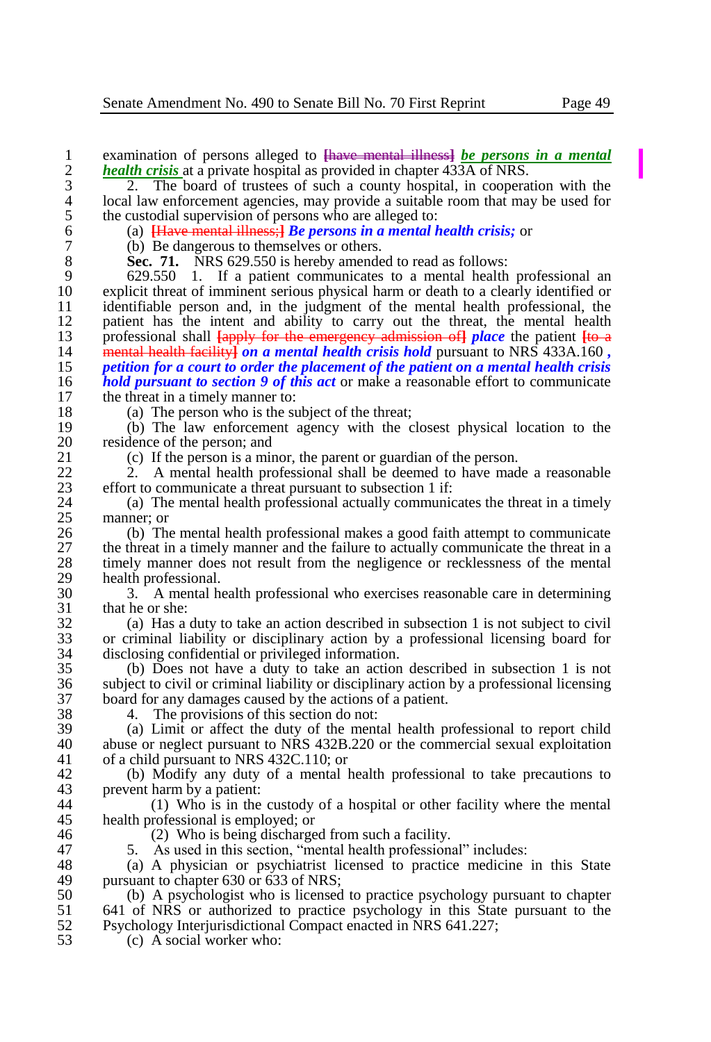1 examination of persons alleged to **[**have mental illness**]** *be persons in a mental*  **2** *health crisis* at a private hospital as provided in chapter 433A of NRS.<br>2. The board of trustees of such a county hospital, in coopera

<sup>3</sup> <sup>2</sup>. The board of trustees of such a county hospital, in cooperation with the local law enforcement agencies, may provide a suitable room that may be used for 4 local law enforcement agencies, may provide a suitable room that may be used for the custodial supervision of persons who are alleged to: 5 the custodial supervision of persons who are alleged to:<br>6 (a)  $\frac{Have \text{ mental illness}}{Haves}$  *He persons in a mental limess*;

6 (a) **[**Have mental illness;**]** *Be persons in a mental health crisis;* or

7 (b) Be dangerous to themselves or others.<br>8 **Sec. 71.** NRS 629.550 is hereby amende

8 **Sec. 71.** NRS 629.550 is hereby amended to read as follows:<br>9 629.550 1. If a patient communicates to a mental health

 629.550 1. If a patient communicates to a mental health professional an explicit threat of imminent serious physical harm or death to a clearly identified or 11 identifiable person and, in the judgment of the mental health professional, the national health professional, the mental health 12 patient has the intent and ability to carry out the threat, the mental health professional shall  $\frac{1}{2}$  for the emergency admission of *place* the patient  $\frac{1}{2}$  professional shall **[**apply for the emergency admission of**]** *place* the patient **[**to a mental health facility**]** *on a mental health crisis hold* pursuant to NRS 433A.160 *, petition for a court to order the placement of the patient on a mental health crisis hold pursuant to section 9 of this act* or make a reasonable effort to communicate the threat in a timely manner to: 17 the threat in a timely manner to:<br>18 (a) The person who is the sum

18 (a) The person who is the subject of the threat;<br>19 (b) The law enforcement agency with the c 19 (b) The law enforcement agency with the closest physical location to the 20 residence of the person; and  $21$  (c) If the person is a min

21 (c) If the person is a minor, the parent or guardian of the person.<br>22 (2) A mental health professional shall be deemed to have mad

22 2. A mental health professional shall be deemed to have made a reasonable<br>23 effort to communicate a threat pursuant to subsection 1 if: 23 effort to communicate a threat pursuant to subsection 1 if:<br>24 (a) The mental health professional actually communic

24 (a) The mental health professional actually communicates the threat in a timely manner: or  $25$  manner; or  $26$  (b) The

26 (b) The mental health professional makes a good faith attempt to communicate the threat in a timely manner and the failure to actually communicate the threat in a 27 the threat in a timely manner and the failure to actually communicate the threat in a<br>28 timely manner does not result from the negligence or recklessness of the mental 28 timely manner does not result from the negligence or recklessness of the mental 29 health professional.<br>30  $\overline{3}$  A mental h

30 3. A mental health professional who exercises reasonable care in determining  $31$  that he or she:<br> $32$  (a) Has a

32 (a) Has a duty to take an action described in subsection 1 is not subject to civil 33 or criminal liability or disciplinary action by a professional licensing board for 34 disclosing confidential or privileged information.

35 (b) Does not have a duty to take an action described in subsection 1 is not 36 subject to civil or criminal liability or disciplinary action by a professional licensing<br>37 board for any damages caused by the actions of a patient. 37 board for any damages caused by the actions of a patient.<br>38 4. The provisions of this section do not:

38 4. The provisions of this section do not:<br>39 (a) Limit or affect the duty of the ment

 $39$  (a) Limit or affect the duty of the mental health professional to report child  $40$  abuse or neglect pursuant to NRS 432B 220 or the commercial sexual exploitation 40 abuse or neglect pursuant to NRS 432B.220 or the commercial sexual exploitation of a child pursuant to NRS 432C.110: or of a child pursuant to NRS 432C.110; or

42 (b) Modify any duty of a mental health professional to take precautions to prevent harm by a patient: 43 prevent harm by a patient:<br> $\frac{44}{10}$  Who is in the

 $(1)$  Who is in the custody of a hospital or other facility where the mental 45 health professional is employed; or  $\frac{46}{20}$  Who is being discharge

46 (2) Who is being discharged from such a facility.<br>47 5. As used in this section. "mental health professions"

47 5. As used in this section, "mental health professional" includes:<br>48 (a) A physician or psychiatrist licensed to practice medicine

48 (a) A physician or psychiatrist licensed to practice medicine in this State<br>49 mursuant to chapter 630 or 633 of NRS: 49 pursuant to chapter 630 or 633 of NRS;<br>50 (b) A psychologist who is licensed

50 (b) A psychologist who is licensed to practice psychology pursuant to chapter 51 641 of NRS or authorized to practice psychology in this State pursuant to the 51 641 of NRS or authorized to practice psychology in this State pursuant to the<br>52 Psychology Interiurisdictional Compact enacted in NRS 641.227: 52 Psychology Interjurisdictional Compact enacted in NRS 641.227;<br>53 (c) A social worker who:

 $(c)$  A social worker who: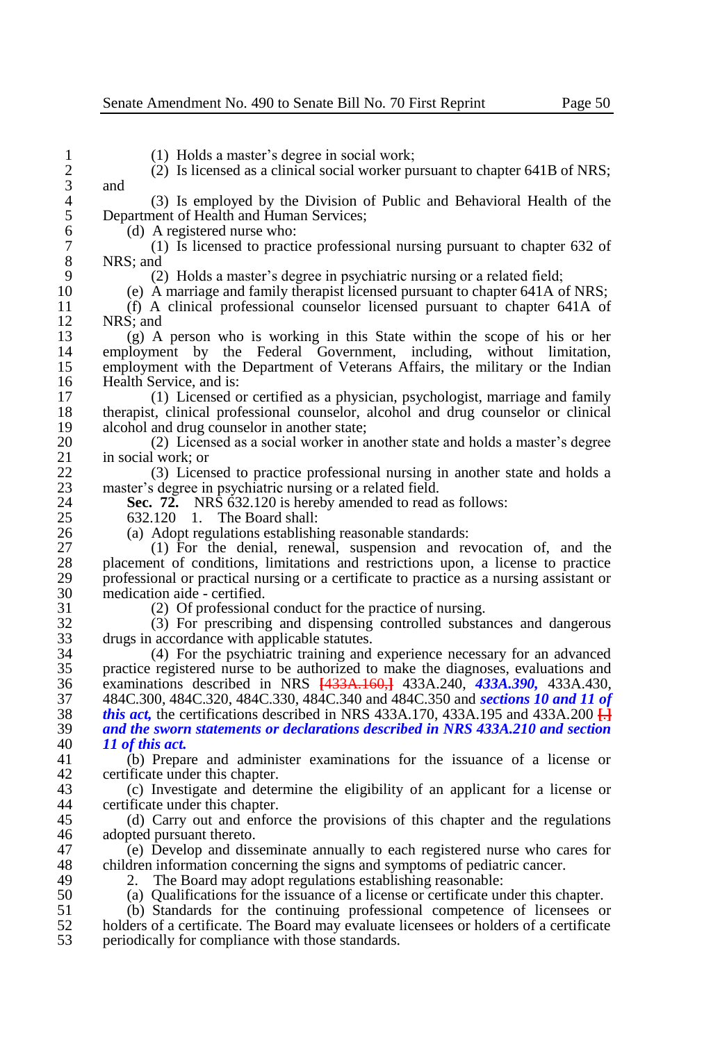1 (1) Holds a master's degree in social work;<br>2 (2) Is licensed as a clinical social worker pu 2 (2) Is licensed as a clinical social worker pursuant to chapter 641B of NRS;  $\begin{array}{cc} 3 & \text{and} \\ 4 & \end{array}$ 4 (3) Is employed by the Division of Public and Behavioral Health of the Department of Health and Human Services: 5 Department of Health and Human Services;<br>6 (d) A registered nurse who:  $\begin{bmatrix} 6 \\ 7 \end{bmatrix}$  (d) A registered nurse who:<br>  $\begin{bmatrix} 7 \\ 1 \end{bmatrix}$  Is licensed to practic 7 (1) Is licensed to practice professional nursing pursuant to chapter 632 of  $\begin{array}{c} 8 \\ 9 \end{array}$  NRS; and  $\begin{array}{c} (2) \\ (2) \end{array}$ 9 (2) Holds a master's degree in psychiatric nursing or a related field;<br>10 (e) A marriage and family therapist licensed pursuant to chapter 641A or 10 (e) A marriage and family therapist licensed pursuant to chapter 641A of NRS; 11 (f) A clinical professional counselor licensed pursuant to chapter 641A of 12 NRS; and<br>13 (g) A 13 (g) A person who is working in this State within the scope of his or her 14 employment by the Federal Government, including, without limitation, employment with the Department of Veterans Affairs, the military or the Indian 15 employment with the Department of Veterans Affairs, the military or the Indian Health Service, and is: 16 Health Service, and is:<br>17 (1) Licensed c 17 (1) Licensed or certified as a physician, psychologist, marriage and family 18 therapist, clinical professional counselor, alcohol and drug counselor or clinical alcohol and drug counselor in another state: 19 alcohol and drug counselor in another state;<br>20 (2) Licensed as a social worker in a 20 (2) Licensed as a social worker in another state and holds a master's degree  $\begin{array}{ll}\n 21 \quad & \text{in social work; or} \\
 22 \quad & \text{(3) Linear} \\
 \end{array}$ 22 (3) Licensed to practice professional nursing in another state and holds a master's degree in psychiatric nursing or a related field. 23 master's degree in psychiatric nursing or a related field.<br>24 **Sec. 72.** NRS 632.120 is hereby amended to read 24 **Sec. 72.** NRS 632.120 is hereby amended to read as follows:<br>25 632.120 1. The Board shall: 25 632.120 1. The Board shall:<br>26 (a) Adopt regulations establishi 26 (a) Adopt regulations establishing reasonable standards:<br>27 (1) For the denial, renewal, suspension and re  $27$  (1) For the denial, renewal, suspension and revocation of, and the placement of conditions limitations and restrictions upon a license to practice 28 placement of conditions, limitations and restrictions upon, a license to practice<br>29 professional or practical nursing or a certificate to practice as a nursing assistant or 29 professional or practical nursing or a certificate to practice as a nursing assistant or 30 medication aide - certified.<br>31 (2) Of professional 31 (2) Of professional conduct for the practice of nursing.<br>32 (3) For prescribing and dispensing controlled substance 32 (3) For prescribing and dispensing controlled substances and dangerous 33 drugs in accordance with applicable statutes.<br>34 (4) For the psychiatric training and 34 (4) For the psychiatric training and experience necessary for an advanced 35 practice registered nurse to be authorized to make the diagnoses, evaluations and 36 examinations described in NRS **[**433A.160,**]** 433A.240, *433A.390,* 433A.430, 37 484C.300, 484C.320, 484C.330, 484C.340 and 484C.350 and *sections 10 and 11 of*  38 *this act,* the certifications described in NRS 433A.170, 433A.195 and 433A.200  $\frac{1}{14}$ <br>39 *and the sworn statements or declarations described in NRS 433A.210 and section* 39 *and the sworn statements or declarations described in NRS 433A.210 and section*  40 *11 of this act.* 41 (b) Prepare and administer examinations for the issuance of a license or 42 certificate under this chapter.<br>43 (c) Investigate and deter 43 (c) Investigate and determine the eligibility of an applicant for a license or certificate under this chapter. 45 (d) Carry out and enforce the provisions of this chapter and the regulations adopted pursuant thereto. 46 adopted pursuant thereto.<br>47 (e) Develop and diss 47 (e) Develop and disseminate annually to each registered nurse who cares for 48 children information concerning the signs and symptoms of pediatric cancer.<br>49 2. The Board may adopt regulations establishing reasonable: 49 2. The Board may adopt regulations establishing reasonable:<br>50 (a) Qualifications for the issuance of a license or certificate un 50 (a) Qualifications for the issuance of a license or certificate under this chapter.<br>51 (b) Standards for the continuing professional competence of licensees or 51 (b) Standards for the continuing professional competence of licensees or bolders of a certificate. The Board may evaluate licensees or bolders of a certificate 52 holders of a certificate. The Board may evaluate licensees or holders of a certificate periodically for compliance with those standards. 53 periodically for compliance with those standards.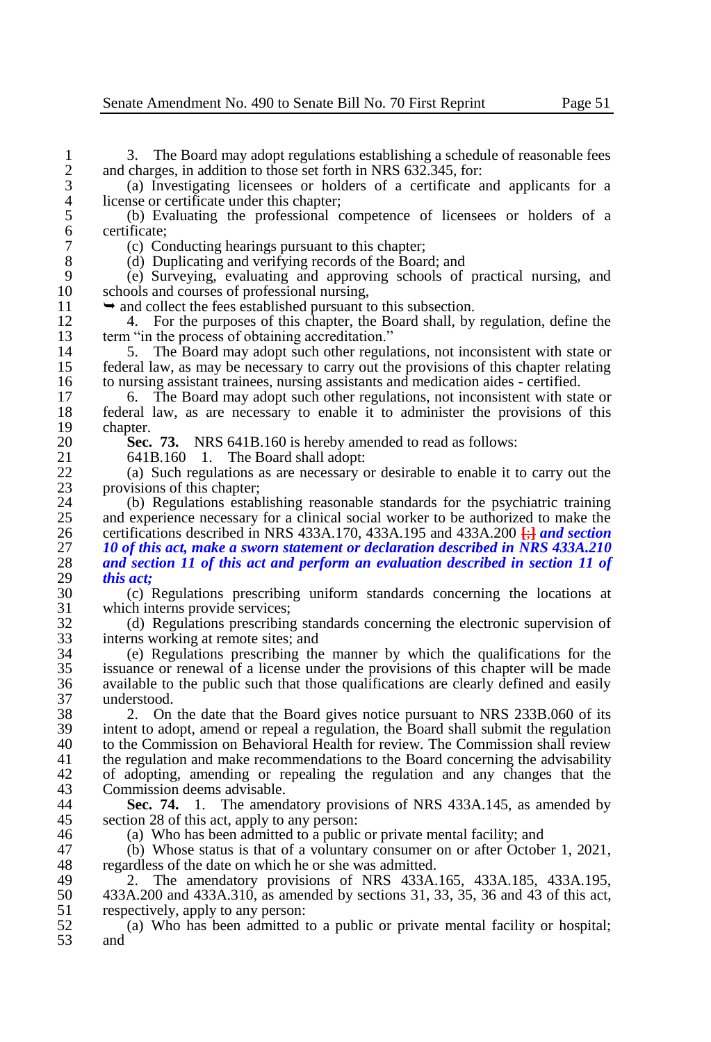1 3. The Board may adopt regulations establishing a schedule of reasonable fees<br>2 and charges, in addition to those set forth in NRS 632.345, for: 2 and charges, in addition to those set forth in NRS 632.345, for:<br>3 (a) Investigating licensees or holders of a certificate a

3 (a) Investigating licensees or holders of a certificate and applicants for a 4 license or certificate under this chapter;<br>5 (b) Evaluating the professional c

5 (b) Evaluating the professional competence of licensees or holders of a 6 certificate;

7 (c) Conducting hearings pursuant to this chapter;<br>8 (d) Duplicating and verifying records of the Boar

8 (d) Duplicating and verifying records of the Board; and<br>9 (e) Surveying, evaluating and approving schools of

9 (e) Surveying, evaluating and approving schools of practical nursing, and 10 schools and courses of professional nursing,<br>11  $\rightarrow$  and collect the fees established pursuant to

11  $\rightarrow$  and collect the fees established pursuant to this subsection.<br>12 4. For the purposes of this chapter, the Board shall, by

12 4. For the purposes of this chapter, the Board shall, by regulation, define the term "in the process of obtaining accreditation." 13 term "in the process of obtaining accreditation."<br>14 5. The Board may adopt such other regularity

14 5. The Board may adopt such other regulations, not inconsistent with state or 15 federal law, as may be necessary to carry out the provisions of this chapter relating 15 federal law, as may be necessary to carry out the provisions of this chapter relating<br>16 to nursing assistant trainees, nursing assistants and medication aides - certified. 16 to nursing assistant trainees, nursing assistants and medication aides - certified.<br>17 6. The Board may adopt such other regulations, not inconsistent with sta

17 6. The Board may adopt such other regulations, not inconsistent with state or 18 federal law, as are necessary to enable it to administer the provisions of this 18 federal law, as are necessary to enable it to administer the provisions of this 19 chapter.<br>20 Sec.

20 **Sec. 73.** NRS 641B.160 is hereby amended to read as follows:<br>21 641B.160 1. The Board shall adopt:

21 641B.160 1. The Board shall adopt:<br>22 (a) Such regulations as are necessary c

22 (a) Such regulations as are necessary or desirable to enable it to carry out the 23 provisions of this chapter;<br>24 (b) Regulations estable

24 (b) Regulations establishing reasonable standards for the psychiatric training<br>25 and experience necessary for a clinical social worker to be authorized to make the 25 and experience necessary for a clinical social worker to be authorized to make the certifications described in NRS 433A.170, 433A.195 and 433A.200  $\frac{1}{2}$  and section certifications described in NRS 433A.170, 433A.195 and 433A.200 **[**;**]** *and section 10 of this act, make a sworn statement or declaration described in NRS 433A.210 and section 11 of this act and perform an evaluation described in section 11 of this act;*

30 (c) Regulations prescribing uniform standards concerning the locations at 31 which interns provide services;<br>32 (d) Regulations prescribing

32 (d) Regulations prescribing standards concerning the electronic supervision of 33 interns working at remote sites; and<br>34 (e) Regulations prescribing the

34 (e) Regulations prescribing the manner by which the qualifications for the issuance or renewal of a license under the provisions of this chapter will be made 36 available to the public such that those qualifications are clearly defined and easily 37 understood.<br>38 2. On

38 2. On the date that the Board gives notice pursuant to NRS 233B.060 of its 39 intent to adopt, amend or repeal a regulation, the Board shall submit the regulation 40 to the Commission on Behavioral Health for review. The Commission shall review 40 to the Commission on Behavioral Health for review. The Commission shall review<br>41 the regulation and make recommendations to the Board concerning the advisability 41 the regulation and make recommendations to the Board concerning the advisability 42 of adopting, amending or repealing the regulation and any changes that the Commission deems advisable. 43 Commission deems advisable.<br>44 Sec. 74. 1. The amend

**Sec. 74.** 1. The amendatory provisions of NRS 433A.145, as amended by 45 section 28 of this act, apply to any person:<br>46 (a) Who has been admitted to a public

46 (a) Who has been admitted to a public or private mental facility; and 47 (b) Whose status is that of a voluntary consumer on or after Octobe

47 (b) Whose status is that of a voluntary consumer on or after October 1, 2021, regardless of the date on which he or she was admitted. 48 regardless of the date on which he or she was admitted.<br>49 2. The amendatory provisions of NRS 433A.

49 2. The amendatory provisions of NRS 433A.165, 433A.185, 433A.195, 433A.200 and 433A.310. as amended by sections 31, 33, 35, 36 and 43 of this act. 50 433A.200 and 433A.310, as amended by sections 31, 33, 35, 36 and 43 of this act, respectively, apply to any person: 51 respectively, apply to any person:<br>52 (a) Who has been admitted 1

52 (a) Who has been admitted to a public or private mental facility or hospital; and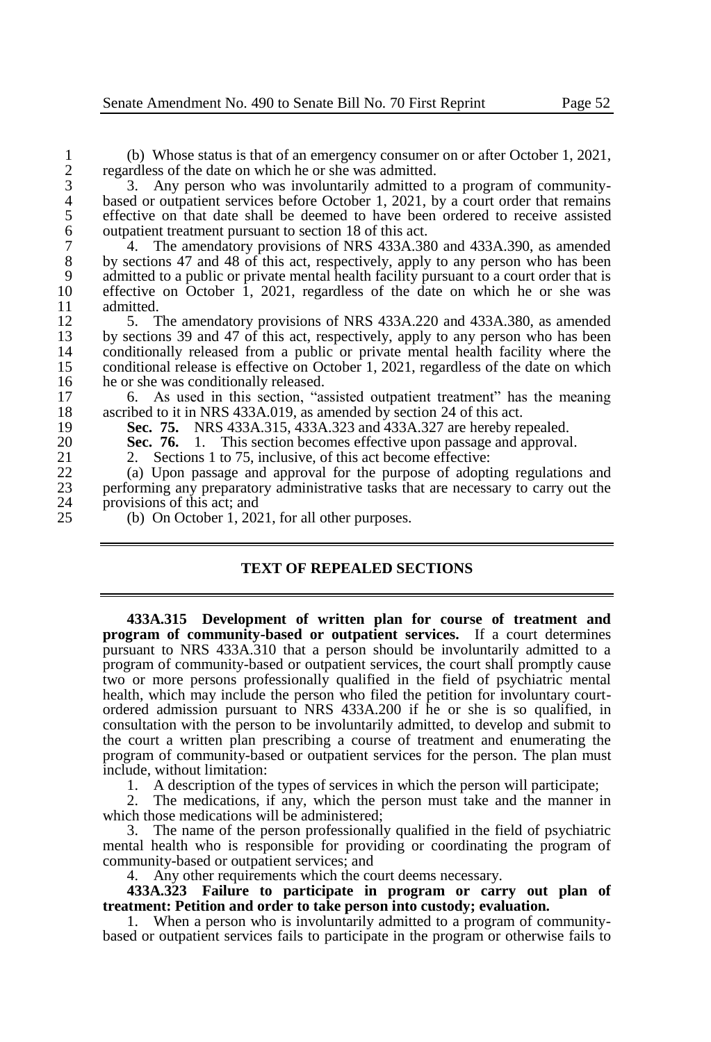1 (b) Whose status is that of an emergency consumer on or after October 1, 2021, regardless of the date on which he or she was admitted. 2 regardless of the date on which he or she was admitted.<br>3 3. Any person who was involuntarily admitted to

3 3. Any person who was involuntarily admitted to a program of community-<br>4 based or outpatient services before October 1, 2021, by a court order that remains 4 based or outpatient services before October 1, 2021, by a court order that remains effective on that date shall be deemed to have been ordered to receive assisted 5 effective on that date shall be deemed to have been ordered to receive assisted<br>6 outpatient treatment pursuant to section 18 of this act. 6 outpatient treatment pursuant to section 18 of this act.<br>7 4. The amendatory provisions of NRS 433A.38

<sup>7</sup> <sup>4</sup>. The amendatory provisions of NRS 433A.380 and 433A.390, as amended by sections 47 and 48 of this act. respectively, apply to any person who has been 8 by sections 47 and 48 of this act, respectively, apply to any person who has been 9 admitted to a public or private mental health facility pursuant to a court order that is<br>10 effective on October 1, 2021, regardless of the date on which he or she was 10 effective on October 1, 2021, regardless of the date on which he or she was admitted  $11$  admitted.<br> $12$  5 T

12 5. The amendatory provisions of NRS 433A.220 and 433A.380, as amended by sections 39 and 47 of this act. respectively, apply to any person who has been 13 by sections 39 and 47 of this act, respectively, apply to any person who has been<br>14 conditionally released from a public or private mental health facility where the 14 conditionally released from a public or private mental health facility where the conditional release is effective on October 1, 2021, regardless of the date on which 15 conditional release is effective on October 1, 2021, regardless of the date on which he or she was conditionally released. 16 he or she was conditionally released.<br>17 6 As used in this section. "as

17 6. As used in this section, "assisted outpatient treatment" has the meaning ascribed to it in NRS 433A.019. as amended by section 24 of this act. 18 ascribed to it in NRS 433A.019, as amended by section 24 of this act.<br>19 **Sec. 75.** NRS 433A.315. 433A.323 and 433A.327 are hereby re

19 **Sec. 75.** NRS 433A.315, 433A.323 and 433A.327 are hereby repealed.<br>20 **Sec. 76.** 1. This section becomes effective upon passage and approval

20 **Sec. 76.** 1. This section becomes effective upon passage and approval.<br>21 2. Sections 1 to 75, inclusive, of this act become effective:

21 2. Sections 1 to 75, inclusive, of this act become effective:<br>22 (a) Upon passage and approval for the purpose of adoption

22 (a) Upon passage and approval for the purpose of adopting regulations and <br>23 energo energy preparatory administrative tasks that are necessary to carry out the 23 performing any preparatory administrative tasks that are necessary to carry out the 24 provisions of this act; and<br>25 (b) On October 1, 202

(b) On October 1, 2021, for all other purposes.

# **TEXT OF REPEALED SECTIONS**

**433A.315 Development of written plan for course of treatment and program of community-based or outpatient services.** If a court determines pursuant to NRS 433A.310 that a person should be involuntarily admitted to a program of community-based or outpatient services, the court shall promptly cause two or more persons professionally qualified in the field of psychiatric mental health, which may include the person who filed the petition for involuntary courtordered admission pursuant to NRS 433A.200 if he or she is so qualified, in consultation with the person to be involuntarily admitted, to develop and submit to the court a written plan prescribing a course of treatment and enumerating the program of community-based or outpatient services for the person. The plan must include, without limitation:

1. A description of the types of services in which the person will participate;

2. The medications, if any, which the person must take and the manner in which those medications will be administered;

3. The name of the person professionally qualified in the field of psychiatric mental health who is responsible for providing or coordinating the program of community-based or outpatient services; and

4. Any other requirements which the court deems necessary.

**433A.323 Failure to participate in program or carry out plan of treatment: Petition and order to take person into custody; evaluation.**

1. When a person who is involuntarily admitted to a program of communitybased or outpatient services fails to participate in the program or otherwise fails to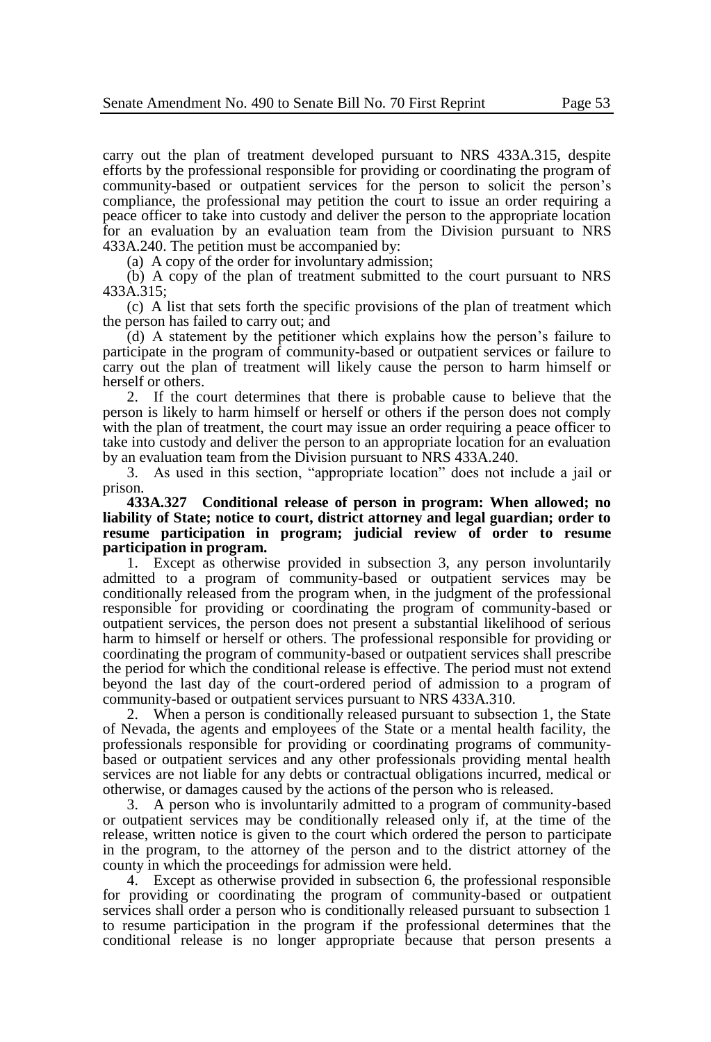carry out the plan of treatment developed pursuant to NRS 433A.315, despite efforts by the professional responsible for providing or coordinating the program of community-based or outpatient services for the person to solicit the person's compliance, the professional may petition the court to issue an order requiring a peace officer to take into custody and deliver the person to the appropriate location for an evaluation by an evaluation team from the Division pursuant to NRS 433A.240. The petition must be accompanied by:

(a) A copy of the order for involuntary admission;

(b) A copy of the plan of treatment submitted to the court pursuant to NRS 433A.315;

(c) A list that sets forth the specific provisions of the plan of treatment which the person has failed to carry out; and

(d) A statement by the petitioner which explains how the person's failure to participate in the program of community-based or outpatient services or failure to carry out the plan of treatment will likely cause the person to harm himself or herself or others.

2. If the court determines that there is probable cause to believe that the person is likely to harm himself or herself or others if the person does not comply with the plan of treatment, the court may issue an order requiring a peace officer to take into custody and deliver the person to an appropriate location for an evaluation by an evaluation team from the Division pursuant to NRS 433A.240.

3. As used in this section, "appropriate location" does not include a jail or prison.

**433A.327 Conditional release of person in program: When allowed; no liability of State; notice to court, district attorney and legal guardian; order to resume participation in program; judicial review of order to resume participation in program.**

1. Except as otherwise provided in subsection 3, any person involuntarily admitted to a program of community-based or outpatient services may be conditionally released from the program when, in the judgment of the professional responsible for providing or coordinating the program of community-based or outpatient services, the person does not present a substantial likelihood of serious harm to himself or herself or others. The professional responsible for providing or coordinating the program of community-based or outpatient services shall prescribe the period for which the conditional release is effective. The period must not extend beyond the last day of the court-ordered period of admission to a program of community-based or outpatient services pursuant to NRS 433A.310.

2. When a person is conditionally released pursuant to subsection 1, the State of Nevada, the agents and employees of the State or a mental health facility, the professionals responsible for providing or coordinating programs of communitybased or outpatient services and any other professionals providing mental health services are not liable for any debts or contractual obligations incurred, medical or otherwise, or damages caused by the actions of the person who is released.

3. A person who is involuntarily admitted to a program of community-based or outpatient services may be conditionally released only if, at the time of the release, written notice is given to the court which ordered the person to participate in the program, to the attorney of the person and to the district attorney of the county in which the proceedings for admission were held.

4. Except as otherwise provided in subsection 6, the professional responsible for providing or coordinating the program of community-based or outpatient services shall order a person who is conditionally released pursuant to subsection 1 to resume participation in the program if the professional determines that the conditional release is no longer appropriate because that person presents a